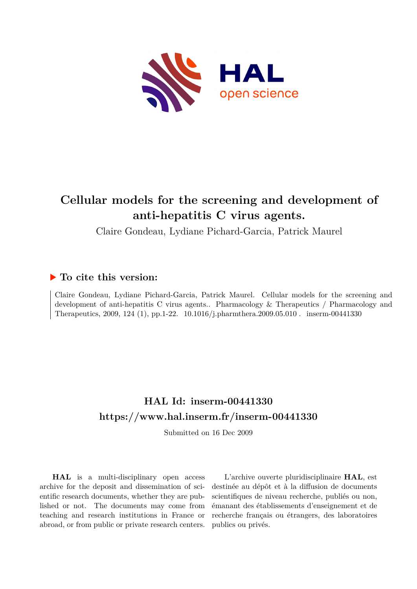

# **Cellular models for the screening and development of anti-hepatitis C virus agents.**

Claire Gondeau, Lydiane Pichard-Garcia, Patrick Maurel

## **To cite this version:**

Claire Gondeau, Lydiane Pichard-Garcia, Patrick Maurel. Cellular models for the screening and development of anti-hepatitis C virus agents.. Pharmacology & Therapeutics / Pharmacology and Therapeutics, 2009, 124 (1), pp.1-22.  $10.1016/j.pharmthera.2009.05.010$ . inserm-00441330

# **HAL Id: inserm-00441330 <https://www.hal.inserm.fr/inserm-00441330>**

Submitted on 16 Dec 2009

**HAL** is a multi-disciplinary open access archive for the deposit and dissemination of scientific research documents, whether they are published or not. The documents may come from teaching and research institutions in France or abroad, or from public or private research centers.

L'archive ouverte pluridisciplinaire **HAL**, est destinée au dépôt et à la diffusion de documents scientifiques de niveau recherche, publiés ou non, émanant des établissements d'enseignement et de recherche français ou étrangers, des laboratoires publics ou privés.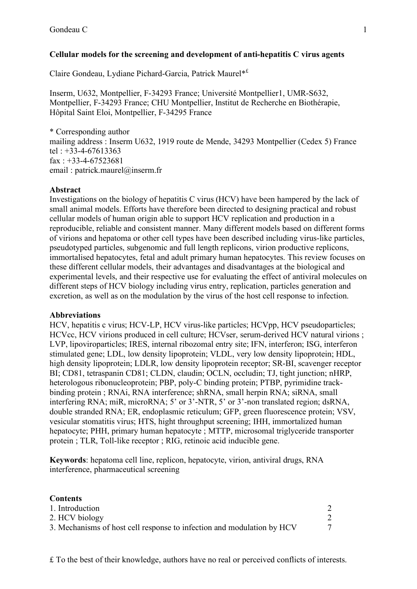## **Cellular models for the screening and development of anti-hepatitis C virus agents**

Claire Gondeau, Lydiane Pichard-Garcia, Patrick Maurel\*£

Inserm, U632, Montpellier, F-34293 France; Université Montpellier1, UMR-S632, Montpellier, F-34293 France; CHU Montpellier, Institut de Recherche en Biothérapie, Hôpital Saint Eloi, Montpellier, F-34295 France

\* Corresponding author mailing address : Inserm U632, 1919 route de Mende, 34293 Montpellier (Cedex 5) France tel : +33-4-67613363  $\text{fax}$ : +33-4-67523681 email: patrick.maurel@inserm.fr

#### **Abstract**

Investigations on the biology of hepatitis C virus (HCV) have been hampered by the lack of small animal models. Efforts have therefore been directed to designing practical and robust cellular models of human origin able to support HCV replication and production in a reproducible, reliable and consistent manner. Many different models based on different forms of virions and hepatoma or other cell types have been described including virus-like particles, pseudotyped particles, subgenomic and full length replicons, virion productive replicons, immortalised hepatocytes, fetal and adult primary human hepatocytes. This review focuses on these different cellular models, their advantages and disadvantages at the biological and experimental levels, and their respective use for evaluating the effect of antiviral molecules on different steps of HCV biology including virus entry, replication, particles generation and excretion, as well as on the modulation by the virus of the host cell response to infection.

#### **Abbreviations**

HCV, hepatitis c virus; HCV-LP, HCV virus-like particles; HCVpp, HCV pseudoparticles; HCVcc, HCV virions produced in cell culture; HCVser, serum-derived HCV natural virions; LVP, lipoviroparticles; IRES, internal ribozomal entry site; IFN, interferon; ISG, interferon stimulated gene; LDL, low density lipoprotein; VLDL, very low density lipoprotein; HDL, high density lipoprotein; LDLR, low density lipoprotein receptor; SR-BI, scavenger receptor BI; CD81, tetraspanin CD81; CLDN, claudin; OCLN, occludin; TJ, tight junction; nHRP, heterologous ribonucleoprotein; PBP, poly-C binding protein; PTBP, pyrimidine trackbinding protein ; RNAi, RNA interference; shRNA, small herpin RNA; siRNA, small interfering RNA; miR, microRNA; 5' or 3'-NTR, 5' or 3'-non translated region; dsRNA, double stranded RNA; ER, endoplasmic reticulum; GFP, green fluorescence protein; VSV, vesicular stomatitis virus; HTS, hight throughput screening; IHH, immortalized human hepatocyte; PHH, primary human hepatocyte ; MTTP, microsomal triglyceride transporter protein ; TLR, Toll-like receptor ; RIG, retinoic acid inducible gene.

**Keywords**: hepatoma cell line, replicon, hepatocyte, virion, antiviral drugs, RNA interference, pharmaceutical screening

| <b>Contents</b>                                                        |  |
|------------------------------------------------------------------------|--|
| 1. Introduction                                                        |  |
| 2. HCV biology                                                         |  |
| 3. Mechanisms of host cell response to infection and modulation by HCV |  |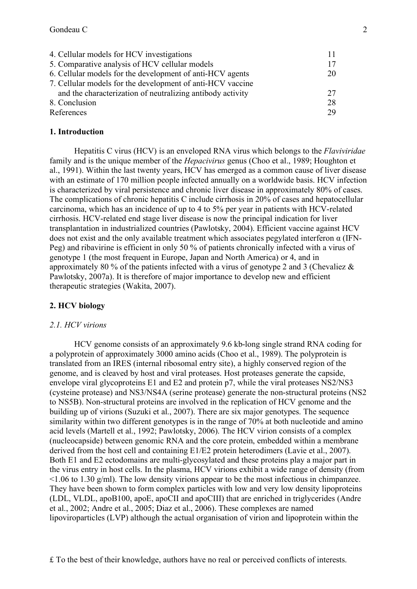| 4. Cellular models for HCV investigations                  |    |
|------------------------------------------------------------|----|
| 5. Comparative analysis of HCV cellular models             | 17 |
| 6. Cellular models for the development of anti-HCV agents  | 20 |
| 7. Cellular models for the development of anti-HCV vaccine |    |
| and the characterization of neutralizing antibody activity | 27 |
| 8. Conclusion                                              | 28 |
| References                                                 | 29 |

#### **1. Introduction**

Hepatitis C virus (HCV) is an enveloped RNA virus which belongs to the *Flaviviridae* family and is the unique member of the *Hepacivirus* genus (Choo et al., 1989; Houghton et al., 1991). Within the last twenty years, HCV has emerged as a common cause of liver disease with an estimate of 170 million people infected annually on a worldwide basis. HCV infection is characterized by viral persistence and chronic liver disease in approximately 80% of cases. The complications of chronic hepatitis C include cirrhosis in 20% of cases and hepatocellular carcinoma, which has an incidence of up to 4 to 5% per year in patients with HCV-related cirrhosis. HCV-related end stage liver disease is now the principal indication for liver transplantation in industrialized countries (Pawlotsky, 2004). Efficient vaccine against HCV does not exist and the only available treatment which associates pegylated interferon α (IFN-Peg) and ribavirine is efficient in only 50 % of patients chronically infected with a virus of genotype 1 (the most frequent in Europe, Japan and North America) or 4, and in approximately 80 % of the patients infected with a virus of genotype 2 and 3 (Chevaliez  $\&$ Pawlotsky, 2007a). It is therefore of major importance to develop new and efficient therapeutic strategies (Wakita, 2007).

#### **2. HCV biology**

#### *2.1. HCV virions*

HCV genome consists of an approximately 9.6 kb-long single strand RNA coding for a polyprotein of approximately 3000 amino acids (Choo et al., 1989). The polyprotein is translated from an IRES (internal ribosomal entry site), a highly conserved region of the genome, and is cleaved by host and viral proteases. Host proteases generate the capside, envelope viral glycoproteins E1 and E2 and protein p7, while the viral proteases NS2/NS3 (cysteine protease) and NS3/NS4A (serine protease) generate the non-structural proteins (NS2 to NS5B). Non-structural proteins are involved in the replication of HCV genome and the building up of virions (Suzuki et al., 2007). There are six major genotypes. The sequence similarity within two different genotypes is in the range of 70% at both nucleotide and amino acid levels (Martell et al., 1992; Pawlotsky, 2006). The HCV virion consists of a complex (nucleocapside) between genomic RNA and the core protein, embedded within a membrane derived from the host cell and containing E1/E2 protein heterodimers (Lavie et al., 2007). Both E1 and E2 ectodomains are multi-glycosylated and these proteins play a major part in the virus entry in host cells. In the plasma, HCV virions exhibit a wide range of density (from  $\leq$ 1.06 to 1.30 g/ml). The low density virions appear to be the most infectious in chimpanzee. They have been shown to form complex particles with low and very low density lipoproteins (LDL, VLDL, apoB100, apoE, apoCII and apoCIII) that are enriched in triglycerides (Andre et al., 2002; Andre et al., 2005; Diaz et al., 2006). These complexes are named lipoviroparticles (LVP) although the actual organisation of virion and lipoprotein within the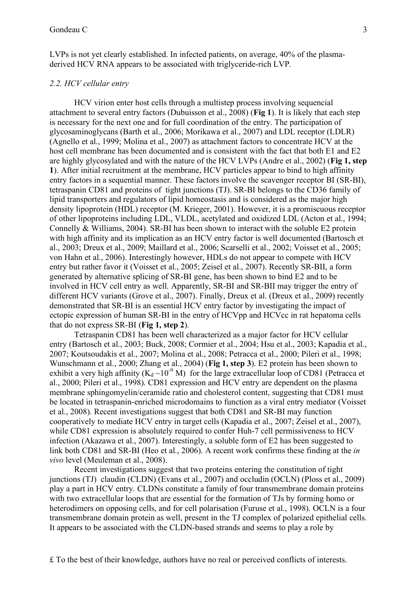LVPs is not yet clearly established. In infected patients, on average, 40% of the plasmaderived HCV RNA appears to be associated with triglyceride-rich LVP.

#### *2.2. HCV cellular entry*

HCV virion enter host cells through a multistep process involving sequencial attachment to several entry factors (Dubuisson et al., 2008) (**Fig 1**). It is likely that each step is necessary for the next one and for full coordination of the entry. The participation of glycosaminoglycans (Barth et al., 2006; Morikawa et al., 2007) and LDL receptor (LDLR) (Agnello et al., 1999; Molina et al., 2007) as attachment factors to concentrate HCV at the host cell membrane has been documented and is consistent with the fact that both E1 and E2 are highly glycosylated and with the nature of the HCV LVPs (Andre et al., 2002) (**Fig 1, step 1**). After initial recruitment at the membrane, HCV particles appear to bind to high affinity entry factors in a sequential manner. These factors involve the scavenger receptor BI (SR-BI), tetraspanin CD81 and proteins of tight junctions (TJ). SR-BI belongs to the CD36 family of lipid transporters and regulators of lipid homeostasis and is considered as the major high density lipoprotein (HDL) receptor (M. Krieger, 2001). However, it is a promiscuous receptor of other lipoproteins including LDL, VLDL, acetylated and oxidized LDL (Acton et al., 1994; Connelly & Williams, 2004). SR-BI has been shown to interact with the soluble E2 protein with high affinity and its implication as an HCV entry factor is well documented (Bartosch et al., 2003; Dreux et al., 2009; Maillard et al., 2006; Scarselli et al., 2002; Voisset et al., 2005; von Hahn et al., 2006). Interestingly however, HDLs do not appear to compete with HCV entry but rather favor it (Voisset et al., 2005; Zeisel et al., 2007). Recently SR-BII, a form generated by alternative splicing of SR-BI gene, has been shown to bind E2 and to be involved in HCV cell entry as well. Apparently, SR-BI and SR-BII may trigger the entry of different HCV variants (Grove et al., 2007). Finally, Dreux et al. (Dreux et al., 2009) recently demonstrated that SR-BI is an essential HCV entry factor by investigating the impact of ectopic expression of human SR-BI in the entry of HCVpp and HCVcc in rat hepatoma cells that do not express SR-BI (**Fig 1, step 2**).

Tetraspanin CD81 has been well characterized as a major factor for HCV cellular entry (Bartosch et al., 2003; Buck, 2008; Cormier et al., 2004; Hsu et al., 2003; Kapadia et al., 2007; Koutsoudakis et al., 2007; Molina et al., 2008; Petracca et al., 2000; Pileri et al., 1998; Wunschmann et al., 2000; Zhang et al., 2004) (**Fig 1, step 3**). E2 protein has been shown to exhibit a very high affinity ( $K_d \sim 10^{-9}$  M) for the large extracellular loop of CD81 (Petracca et al., 2000; Pileri et al., 1998). CD81 expression and HCV entry are dependent on the plasma membrane sphingomyelin/ceramide ratio and cholesterol content, suggesting that CD81 must be located in tetraspanin-enriched microdomains to function as a viral entry mediator (Voisset et al., 2008). Recent investigations suggest that both CD81 and SR-BI may function cooperatively to mediate HCV entry in target cells (Kapadia et al., 2007; Zeisel et al., 2007), while CD81 expression is absolutely required to confer Huh-7 cell permissiveness to HCV infection (Akazawa et al., 2007). Interestingly, a soluble form of E2 has been suggested to link both CD81 and SR-BI (Heo et al., 2006). A recent work confirms these finding at the *in vivo* level (Meuleman et al., 2008).

Recent investigations suggest that two proteins entering the constitution of tight junctions (TJ) claudin (CLDN) (Evans et al., 2007) and occludin (OCLN) (Ploss et al., 2009) play a part in HCV entry. CLDNs constitute a family of four transmembrane domain proteins with two extracellular loops that are essential for the formation of TJs by forming homo or heterodimers on opposing cells, and for cell polarisation (Furuse et al., 1998). OCLN is a four transmembrane domain protein as well, present in the TJ complex of polarized epithelial cells. It appears to be associated with the CLDN-based strands and seems to play a role by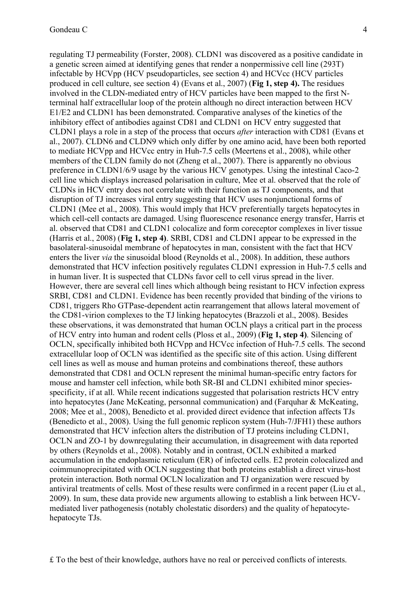regulating TJ permeability (Forster, 2008). CLDN1 was discovered as a positive candidate in a genetic screen aimed at identifying genes that render a nonpermissive cell line (293T) infectable by HCVpp (HCV pseudoparticles, see section 4) and HCVcc (HCV particles produced in cell culture, see section 4) (Evans et al., 2007) (**Fig 1, step 4).** The residues involved in the CLDN-mediated entry of HCV particles have been mapped to the first Nterminal half extracellular loop of the protein although no direct interaction between HCV E1/E2 and CLDN1 has been demonstrated. Comparative analyses of the kinetics of the inhibitory effect of antibodies against CD81 and CLDN1 on HCV entry suggested that CLDN1 plays a role in a step of the process that occurs *after* interaction with CD81 (Evans et al., 2007). CLDN6 and CLDN9 which only differ by one amino acid, have been both reported to mediate HCVpp and HCVcc entry in Huh-7.5 cells (Meertens et al., 2008), while other members of the CLDN family do not (Zheng et al., 2007). There is apparently no obvious preference in CLDN1/6/9 usage by the various HCV genotypes. Using the intestinal Caco-2 cell line which displays increased polarisation in culture, Mee et al. observed that the role of CLDNs in HCV entry does not correlate with their function as TJ components, and that disruption of TJ increases viral entry suggesting that HCV uses nonjunctional forms of CLDN1 (Mee et al., 2008). This would imply that HCV preferentially targets hepatocytes in which cell-cell contacts are damaged. Using fluorescence resonance energy transfer, Harris et al. observed that CD81 and CLDN1 colocalize and form coreceptor complexes in liver tissue (Harris et al., 2008) (**Fig 1, step 4)**. SRBI, CD81 and CLDN1 appear to be expressed in the basolateral-sinusoidal membrane of hepatocytes in man, consistent with the fact that HCV enters the liver *via* the sinusoidal blood (Reynolds et al., 2008). In addition, these authors demonstrated that HCV infection positively regulates CLDN1 expression in Huh-7.5 cells and in human liver. It is suspected that CLDNs favor cell to cell virus spread in the liver. However, there are several cell lines which although being resistant to HCV infection express SRBI, CD81 and CLDN1. Evidence has been recently provided that binding of the virions to CD81, triggers Rho GTPase-dependent actin rearrangement that allows lateral movement of the CD81-virion complexes to the TJ linking hepatocytes (Brazzoli et al., 2008). Besides these observations, it was demonstrated that human OCLN plays a critical part in the process of HCV entry into human and rodent cells (Ploss et al., 2009) (**Fig 1, step 4)**. Silencing of OCLN, specifically inhibited both HCVpp and HCVcc infection of Huh-7.5 cells. The second extracellular loop of OCLN was identified as the specific site of this action. Using different cell lines as well as mouse and human proteins and combinations thereof, these authors demonstrated that CD81 and OCLN represent the minimal human-specific entry factors for mouse and hamster cell infection, while both SR-BI and CLDN1 exhibited minor speciesspecificity, if at all. While recent indications suggested that polarisation restricts HCV entry into hepatocytes (Jane McKeating, personnal communication) and (Farquhar & McKeating, 2008; Mee et al., 2008), Benedicto et al. provided direct evidence that infection affects TJs (Benedicto et al., 2008). Using the full genomic replicon system (Huh-7/JFH1) these authors demonstrated that HCV infection alters the distribution of TJ proteins including CLDN1, OCLN and ZO-1 by downregulating their accumulation, in disagreement with data reported by others (Reynolds et al., 2008). Notably and in contrast, OCLN exhibited a marked accumulation in the endoplasmic reticulum (ER) of infected cells. E2 protein colocalized and coimmunoprecipitated with OCLN suggesting that both proteins establish a direct virus-host protein interaction. Both normal OCLN localization and TJ organization were rescued by antiviral treatments of cells. Most of these results were confirmed in a recent paper (Liu et al., 2009). In sum, these data provide new arguments allowing to establish a link between HCVmediated liver pathogenesis (notably cholestatic disorders) and the quality of hepatocytehepatocyte TJs.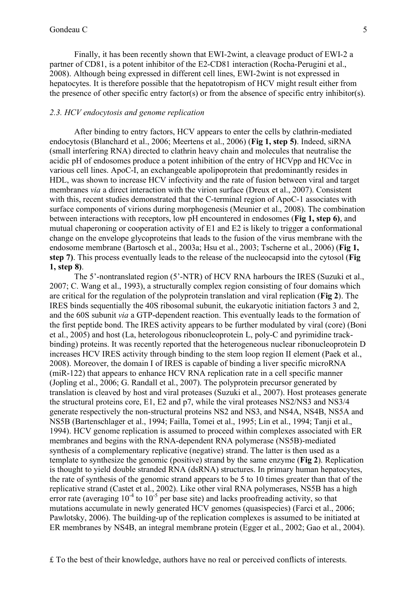Finally, it has been recently shown that EWI-2wint, a cleavage product of EWI-2 a partner of CD81, is a potent inhibitor of the E2-CD81 interaction (Rocha-Perugini et al., 2008). Although being expressed in different cell lines, EWI-2wint is not expressed in hepatocytes. It is therefore possible that the hepatotropism of HCV might result either from the presence of other specific entry factor(s) or from the absence of specific entry inhibitor(s).

### *2.3. HCV endocytosis and genome replication*

After binding to entry factors, HCV appears to enter the cells by clathrin-mediated endocytosis (Blanchard et al., 2006; Meertens et al., 2006) (**Fig 1, step 5)**. Indeed, siRNA (small interfering RNA) directed to clathrin heavy chain and molecules that neutralise the acidic pH of endosomes produce a potent inhibition of the entry of HCVpp and HCVcc in various cell lines. ApoC-I, an exchangeable apolipoprotein that predominantly resides in HDL, was shown to increase HCV infectivity and the rate of fusion between viral and target membranes *via* a direct interaction with the virion surface (Dreux et al., 2007). Consistent with this, recent studies demonstrated that the C-terminal region of ApoC-1 associates with surface components of virions during morphogenesis (Meunier et al., 2008). The combination between interactions with receptors, low pH encountered in endosomes (**Fig 1, step 6)**, and mutual chaperoning or cooperation activity of E1 and E2 is likely to trigger a conformational change on the envelope glycoproteins that leads to the fusion of the virus membrane with the endosome membrane (Bartosch et al., 2003a; Hsu et al., 2003; Tscherne et al., 2006) (**Fig 1, step 7)**. This process eventually leads to the release of the nucleocapsid into the cytosol (**Fig 1, step 8)**.

The 5'-nontranslated region (5'-NTR) of HCV RNA harbours the IRES (Suzuki et al., 2007; C. Wang et al., 1993), a structurally complex region consisting of four domains which are critical for the regulation of the polyprotein translation and viral replication (**Fig 2**). The IRES binds sequentially the 40S ribosomal subunit, the eukaryotic initiation factors 3 and 2, and the 60S subunit *via* a GTP-dependent reaction. This eventually leads to the formation of the first peptide bond. The IRES activity appears to be further modulated by viral (core) (Boni et al., 2005) and host (La, heterologous ribonucleoprotein L, poly-C and pyrimidine trackbinding) proteins. It was recently reported that the heterogeneous nuclear ribonucleoprotein D increases HCV IRES activity through binding to the stem loop region II element (Paek et al., 2008). Moreover, the domain I of IRES is capable of binding a liver specific microRNA (miR-122) that appears to enhance HCV RNA replication rate in a cell specific manner (Jopling et al., 2006; G. Randall et al., 2007). The polyprotein precursor generated by translation is cleaved by host and viral proteases (Suzuki et al., 2007). Host proteases generate the structural proteins core, E1, E2 and p7, while the viral proteases NS2/NS3 and NS3/4 generate respectively the non-structural proteins NS2 and NS3, and NS4A, NS4B, NS5A and NS5B (Bartenschlager et al., 1994; Failla, Tomei et al., 1995; Lin et al., 1994; Tanji et al., 1994). HCV genome replication is assumed to proceed within complexes associated with ER membranes and begins with the RNA-dependent RNA polymerase (NS5B)-mediated synthesis of a complementary replicative (negative) strand. The latter is then used as a template to synthesize the genomic (positive) strand by the same enzyme (**Fig 2**). Replication is thought to yield double stranded RNA (dsRNA) structures. In primary human hepatocytes, the rate of synthesis of the genomic strand appears to be 5 to 10 times greater than that of the replicative strand (Castet et al., 2002). Like other viral RNA polymerases, NS5B has a high error rate (averaging  $10^{-4}$  to  $10^{-5}$  per base site) and lacks proofreading activity, so that mutations accumulate in newly generated HCV genomes (quasispecies) (Farci et al., 2006; Pawlotsky, 2006). The building-up of the replication complexes is assumed to be initiated at ER membranes by NS4B, an integral membrane protein (Egger et al., 2002; Gao et al., 2004).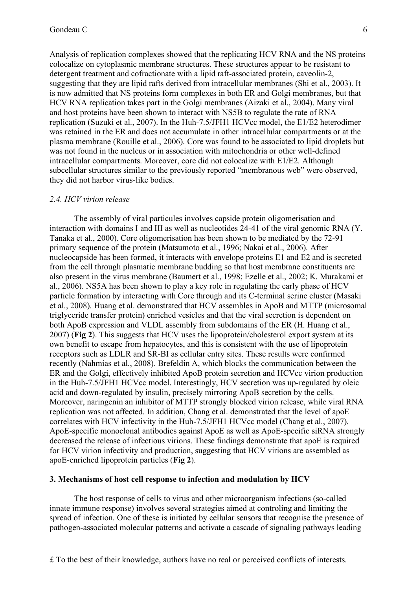Analysis of replication complexes showed that the replicating HCV RNA and the NS proteins colocalize on cytoplasmic membrane structures. These structures appear to be resistant to detergent treatment and cofractionate with a lipid raft-associated protein, caveolin-2, suggesting that they are lipid rafts derived from intracellular membranes (Shi et al., 2003). It is now admitted that NS proteins form complexes in both ER and Golgi membranes, but that HCV RNA replication takes part in the Golgi membranes (Aizaki et al., 2004). Many viral and host proteins have been shown to interact with NS5B to regulate the rate of RNA replication (Suzuki et al., 2007). In the Huh-7.5/JFH1 HCVcc model, the E1/E2 heterodimer was retained in the ER and does not accumulate in other intracellular compartments or at the plasma membrane (Rouille et al., 2006). Core was found to be associated to lipid droplets but was not found in the nucleus or in association with mitochondria or other well-defined intracellular compartments. Moreover, core did not colocalize with E1/E2. Although subcellular structures similar to the previously reported "membranous web" were observed, they did not harbor virus-like bodies.

#### *2.4. HCV virion release*

The assembly of viral particules involves capside protein oligomerisation and interaction with domains I and III as well as nucleotides 24-41 of the viral genomic RNA (Y. Tanaka et al., 2000). Core oligomerisation has been shown to be mediated by the 72-91 primary sequence of the protein (Matsumoto et al., 1996; Nakai et al., 2006). After nucleocapside has been formed, it interacts with envelope proteins E1 and E2 and is secreted from the cell through plasmatic membrane budding so that host membrane constituents are also present in the virus membrane (Baumert et al., 1998; Ezelle et al., 2002; K. Murakami et al., 2006). NS5A has been shown to play a key role in regulating the early phase of HCV particle formation by interacting with Core through and its C-terminal serine cluster (Masaki et al., 2008). Huang et al. demonstrated that HCV assembles in ApoB and MTTP (microsomal triglyceride transfer protein) enriched vesicles and that the viral secretion is dependent on both ApoB expression and VLDL assembly from subdomains of the ER (H. Huang et al., 2007) (**Fig 2**). This suggests that HCV uses the lipoprotein/cholesterol export system at its own benefit to escape from hepatocytes, and this is consistent with the use of lipoprotein receptors such as LDLR and SR-BI as cellular entry sites. These results were confirmed recently (Nahmias et al., 2008). Brefeldin A, which blocks the communication between the ER and the Golgi, effectively inhibited ApoB protein secretion and HCVcc virion production in the Huh-7.5/JFH1 HCVcc model. Interestingly, HCV secretion was up-regulated by oleic acid and down-regulated by insulin, precisely mirroring ApoB secretion by the cells. Moreover, naringenin an inhibitor of MTTP strongly blocked virion release, while viral RNA replication was not affected. In addition, Chang et al. demonstrated that the level of apoE correlates with HCV infectivity in the Huh-7.5/JFH1 HCVcc model (Chang et al., 2007). ApoE-specific monoclonal antibodies against ApoE as well as ApoE-specific siRNA strongly decreased the release of infectious virions. These findings demonstrate that apoE is required for HCV virion infectivity and production, suggesting that HCV virions are assembled as apoE-enriched lipoprotein particles (**Fig 2**).

#### **3. Mechanisms of host cell response to infection and modulation by HCV**

The host response of cells to virus and other microorganism infections (so-called innate immune response) involves several strategies aimed at controling and limiting the spread of infection. One of these is initiated by cellular sensors that recognise the presence of pathogen-associated molecular patterns and activate a cascade of signaling pathways leading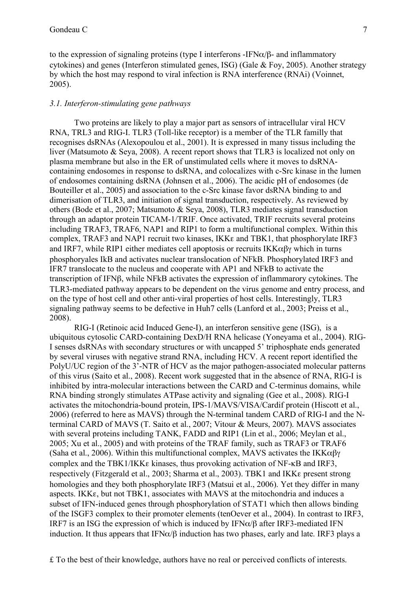to the expression of signaling proteins (type I interferons -IFN $\alpha/\beta$ - and inflammatory cytokines) and genes (Interferon stimulated genes, ISG) (Gale & Foy, 2005). Another strategy by which the host may respond to viral infection is RNA interference (RNAi) (Voinnet, 2005).

## *3.1. Interferon-stimulating gene pathways*

Two proteins are likely to play a major part as sensors of intracellular viral HCV RNA, TRL3 and RIG-I. TLR3 (Toll-like receptor) is a member of the TLR familly that recognises dsRNAs (Alexopoulou et al., 2001). It is expressed in many tissus including the liver (Matsumoto & Seya, 2008). A recent report shows that TLR3 is localized not only on plasma membrane but also in the ER of unstimulated cells where it moves to dsRNAcontaining endosomes in response to dsRNA, and colocalizes with c-Src kinase in the lumen of endosomes containing dsRNA (Johnsen et al., 2006). The acidic pH of endosomes (de Bouteiller et al., 2005) and association to the c-Src kinase favor dsRNA binding to and dimerisation of TLR3, and initiation of signal transduction, respectively. As reviewed by others (Bode et al., 2007; Matsumoto & Seya, 2008), TLR3 mediates signal transduction through an adaptor protein TICAM-1/TRIF. Once activated, TRIF recruits several proteins including TRAF3, TRAF6, NAP1 and RIP1 to form a multifunctional complex. Within this complex, TRAF3 and NAP1 recruit two kinases, IKKε and TBK1, that phosphorylate IRF3 and IRF7, while RIP1 either mediates cell apoptosis or recruits IKK $\alpha\beta\gamma$  which in turns phosphoryales IkB and activates nuclear translocation of NFkB. Phosphorylated IRF3 and IFR7 translocate to the nucleus and cooperate with AP1 and NFkB to activate the transcription of IFNβ, while NFkB activates the expression of inflammarory cytokines. The TLR3-mediated pathway appears to be dependent on the virus genome and entry process, and on the type of host cell and other anti-viral properties of host cells. Interestingly, TLR3 signaling pathway seems to be defective in Huh7 cells (Lanford et al., 2003; Preiss et al., 2008).

RIG-I (Retinoic acid Induced Gene-I), an interferon sensitive gene (ISG), is a ubiquitous cytosolic CARD-containing DexD/H RNA helicase (Yoneyama et al., 2004). RIG-I senses dsRNAs with secondary structures or with uncapped 5' triphosphate ends generated by several viruses with negative strand RNA, including HCV. A recent report identified the PolyU/UC region of the 3'-NTR of HCV as the major pathogen-associated molecular patterns of this virus (Saito et al., 2008). Recent work suggested that in the absence of RNA, RIG-I is inhibited by intra-molecular interactions between the CARD and C-terminus domains, while RNA binding strongly stimulates ATPase activity and signaling (Gee et al., 2008). RIG-I activates the mitochondria-bound protein, IPS-1/MAVS/VISA/Cardif protein (Hiscott et al., 2006) (referred to here as MAVS) through the N-terminal tandem CARD of RIG-I and the Nterminal CARD of MAVS (T. Saito et al., 2007; Vitour & Meurs, 2007). MAVS associates with several proteins including TANK, FADD and RIP1 (Lin et al., 2006; Meylan et al., 2005; Xu et al., 2005) and with proteins of the TRAF family, such as TRAF3 or TRAF6 (Saha et al., 2006). Within this multifunctional complex, MAVS activates the IKK $\alpha\beta\gamma$ complex and the TBK1/IKKε kinases, thus provoking activation of NF-κB and IRF3, respectively (Fitzgerald et al., 2003; Sharma et al., 2003). TBK1 and IKKε present strong homologies and they both phosphorylate IRF3 (Matsui et al., 2006). Yet they differ in many aspects. IKKε, but not TBK1, associates with MAVS at the mitochondria and induces a subset of IFN-induced genes through phosphorylation of STAT1 which then allows binding of the ISGF3 complex to their promoter elements (tenOever et al., 2004). In contrast to IRF3, IRF7 is an ISG the expression of which is induced by IFN $\alpha/\beta$  after IRF3-mediated IFN induction. It thus appears that  $IFN\alpha/\beta$  induction has two phases, early and late. IRF3 plays a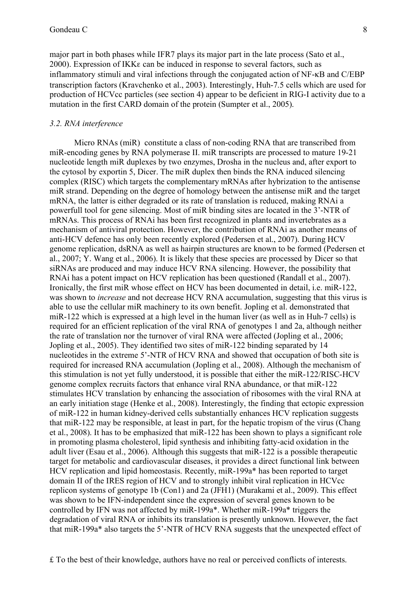major part in both phases while IFR7 plays its major part in the late process (Sato et al., 2000). Expression of IKKε can be induced in response to several factors, such as inflammatory stimuli and viral infections through the conjugated action of NF-κB and C/EBP transcription factors (Kravchenko et al., 2003). Interestingly, Huh-7.5 cells which are used for production of HCVcc particles (see section 4) appear to be deficient in RIG-I activity due to a mutation in the first CARD domain of the protein (Sumpter et al., 2005).

#### *3.2. RNA interference*

Micro RNAs (miR) constitute a class of non-coding RNA that are transcribed from miR-encoding genes by RNA polymerase II. miR transcripts are processed to mature 19-21 nucleotide length miR duplexes by two enzymes, Drosha in the nucleus and, after export to the cytosol by exportin 5, Dicer. The miR duplex then binds the RNA induced silencing complex (RISC) which targets the complementary mRNAs after hybrization to the antisense miR strand. Depending on the degree of homology between the antisense miR and the target mRNA, the latter is either degraded or its rate of translation is reduced, making RNAi a powerfull tool for gene silencing. Most of miR binding sites are located in the 3'-NTR of mRNAs. This process of RNAi has been first recognized in plants and invertebrates as a mechanism of antiviral protection. However, the contribution of RNAi as another means of anti-HCV defence has only been recently explored (Pedersen et al., 2007). During HCV genome replication, dsRNA as well as hairpin structures are known to be formed (Pedersen et al., 2007; Y. Wang et al., 2006). It is likely that these species are processed by Dicer so that siRNAs are produced and may induce HCV RNA silencing. However, the possibility that RNAi has a potent impact on HCV replication has been questioned (Randall et al., 2007). Ironically, the first miR whose effect on HCV has been documented in detail, i.e. miR-122, was shown to *increase* and not decrease HCV RNA accumulation, suggesting that this virus is able to use the cellular miR machinery to its own benefit. Jopling et al. demonstrated that miR-122 which is expressed at a high level in the human liver (as well as in Huh-7 cells) is required for an efficient replication of the viral RNA of genotypes 1 and 2a, although neither the rate of translation nor the turnover of viral RNA were affected (Jopling et al., 2006; Jopling et al., 2005). They identified two sites of miR-122 binding separated by 14 nucleotides in the extreme 5'-NTR of HCV RNA and showed that occupation of both site is required for increased RNA accumulation (Jopling et al., 2008). Although the mechanism of this stimulation is not yet fully understood, it is possible that either the miR-122/RISC-HCV genome complex recruits factors that enhance viral RNA abundance, or that miR-122 stimulates HCV translation by enhancing the association of ribosomes with the viral RNA at an early initiation stage (Henke et al., 2008). Interestingly, the finding that ectopic expression of miR-122 in human kidney-derived cells substantially enhances HCV replication suggests that miR-122 may be responsible, at least in part, for the hepatic tropism of the virus (Chang et al., 2008). It has to be emphasized that miR-122 has been shown to plays a significant role in promoting plasma cholesterol, lipid synthesis and inhibiting fatty-acid oxidation in the adult liver (Esau et al., 2006). Although this suggests that miR-122 is a possible therapeutic target for metabolic and cardiovascular diseases, it provides a direct functional link between HCV replication and lipid homeostasis. Recently, miR-199a\* has been reported to target domain II of the IRES region of HCV and to strongly inhibit viral replication in HCVcc replicon systems of genotype 1b (Con1) and 2a (JFH1) (Murakami et al., 2009). This effect was shown to be IFN-independent since the expression of several genes known to be controlled by IFN was not affected by miR-199a\*. Whether miR-199a\* triggers the degradation of viral RNA or inhibits its translation is presently unknown. However, the fact that miR-199a\* also targets the 5'-NTR of HCV RNA suggests that the unexpected effect of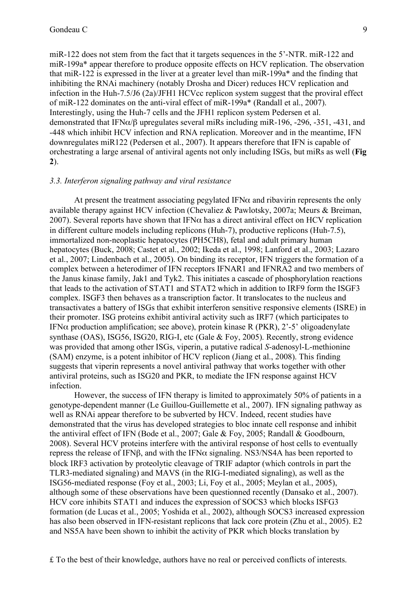miR-122 does not stem from the fact that it targets sequences in the 5'-NTR. miR-122 and miR-199a\* appear therefore to produce opposite effects on HCV replication. The observation that miR-122 is expressed in the liver at a greater level than miR-199a\* and the finding that inhibiting the RNAi machinery (notably Drosha and Dicer) reduces HCV replication and infection in the Huh-7.5/J6 (2a)/JFH1 HCVcc replicon system suggest that the proviral effect of miR-122 dominates on the anti-viral effect of miR-199a\* (Randall et al., 2007). Interestingly, using the Huh-7 cells and the JFH1 replicon system Pedersen et al. demonstrated that IFNα/β upregulates several miRs including miR-196, -296, -351, -431, and -448 which inhibit HCV infection and RNA replication. Moreover and in the meantime, IFN downregulates miR122 (Pedersen et al., 2007). It appears therefore that IFN is capable of orchestrating a large arsenal of antiviral agents not only including ISGs, but miRs as well (**Fig 2**).

#### *3.3. Interferon signaling pathway and viral resistance*

At present the treatment associating pegylated IFN $\alpha$  and ribavirin represents the only available therapy against HCV infection (Chevaliez & Pawlotsky, 2007a; Meurs & Breiman, 2007). Several reports have shown that IFN $\alpha$  has a direct antiviral effect on HCV replication in different culture models including replicons (Huh-7), productive replicons (Huh-7.5), immortalized non-neoplastic hepatocytes (PH5CH8), fetal and adult primary human hepatocytes (Buck, 2008; Castet et al., 2002; Ikeda et al., 1998; Lanford et al., 2003; Lazaro et al., 2007; Lindenbach et al., 2005). On binding its receptor, IFN triggers the formation of a complex between a heterodimer of IFN receptors IFNAR1 and IFNRA2 and two members of the Janus kinase family, Jak1 and Tyk2. This initiates a cascade of phosphorylation reactions that leads to the activation of STAT1 and STAT2 which in addition to IRF9 form the ISGF3 complex. ISGF3 then behaves as a transcription factor. It translocates to the nucleus and transactivates a battery of ISGs that exhibit interferon sensitive responsive elements (ISRE) in their promoter. ISG proteins exhibit antiviral activity such as IRF7 (which participates to IFN $\alpha$  production amplification; see above), protein kinase R (PKR), 2'-5' oligoadenylate synthase (OAS), ISG56, ISG20, RIG-I, etc (Gale & Foy, 2005). Recently, strong evidence was provided that among other ISGs, viperin, a putative radical *S*-adenosyl-L-methionine (SAM) enzyme, is a potent inhibitor of HCV replicon (Jiang et al., 2008). This finding suggests that viperin represents a novel antiviral pathway that works together with other antiviral proteins, such as ISG20 and PKR, to mediate the IFN response against HCV infection.

However, the success of IFN therapy is limited to approximately 50% of patients in a genotype-dependent manner (Le Guillou-Guillemette et al., 2007). IFN signaling pathway as well as RNAi appear therefore to be subverted by HCV. Indeed, recent studies have demonstrated that the virus has developed strategies to bloc innate cell response and inhibit the antiviral effect of IFN (Bode et al., 2007; Gale & Foy, 2005; Randall & Goodbourn, 2008). Several HCV proteins interfere with the antiviral response of host cells to eventually repress the release of IFNβ, and with the IFNα signaling. NS3/NS4A has been reported to block IRF3 activation by proteolytic cleavage of TRIF adaptor (which controls in part the TLR3-mediated signaling) and MAVS (in the RIG-I-mediated signaling), as well as the ISG56-mediated response (Foy et al., 2003; Li, Foy et al., 2005; Meylan et al., 2005), although some of these observations have been questionned recently (Dansako et al., 2007). HCV core inhibits STAT1 and induces the expression of SOCS3 which blocks ISFG3 formation (de Lucas et al., 2005; Yoshida et al., 2002), although SOCS3 increased expression has also been observed in IFN-resistant replicons that lack core protein (Zhu et al., 2005). E2 and NS5A have been shown to inhibit the activity of PKR which blocks translation by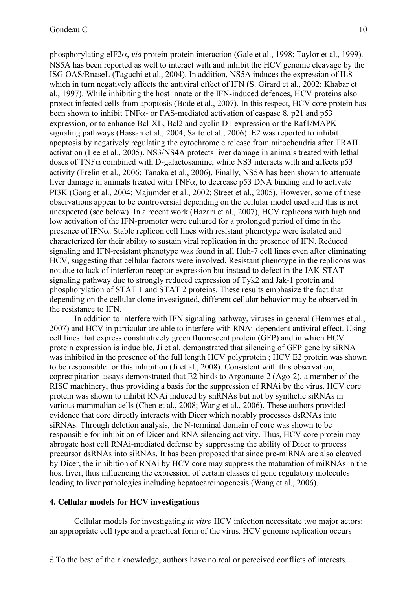phosphorylating eIF2α, *via* protein-protein interaction (Gale et al., 1998; Taylor et al., 1999). NS5A has been reported as well to interact with and inhibit the HCV genome cleavage by the ISG OAS/RnaseL (Taguchi et al., 2004). In addition, NS5A induces the expression of IL8 which in turn negatively affects the antiviral effect of IFN (S. Girard et al., 2002; Khabar et al., 1997). While inhibiting the host innate or the IFN-induced defences, HCV proteins also protect infected cells from apoptosis (Bode et al., 2007). In this respect, HCV core protein has been shown to inhibit TNF $\alpha$ - or FAS-mediated activation of caspase 8, p21 and p53 expression, or to enhance Bcl-XL, Bcl2 and cyclin D1 expression or the Raf1/MAPK signaling pathways (Hassan et al., 2004; Saito et al., 2006). E2 was reported to inhibit apoptosis by negatively regulating the cytochrome c release from mitochondria after TRAIL activation (Lee et al., 2005). NS3/NS4A protects liver damage in animals treated with lethal doses of TNF $\alpha$  combined with D-galactosamine, while NS3 interacts with and affects p53 activity (Frelin et al., 2006; Tanaka et al., 2006). Finally, NS5A has been shown to attenuate liver damage in animals treated with TNFα, to decrease p53 DNA binding and to activate PI3K (Gong et al., 2004; Majumder et al., 2002; Street et al., 2005). However, some of these observations appear to be controversial depending on the cellular model used and this is not unexpected (see below). In a recent work (Hazari et al., 2007), HCV replicons with high and low activation of the IFN-promoter were cultured for a prolonged period of time in the presence of IFNα. Stable replicon cell lines with resistant phenotype were isolated and characterized for their ability to sustain viral replication in the presence of IFN. Reduced signaling and IFN-resistant phenotype was found in all Huh-7 cell lines even after eliminating HCV, suggesting that cellular factors were involved. Resistant phenotype in the replicons was not due to lack of interferon receptor expression but instead to defect in the JAK-STAT signaling pathway due to strongly reduced expression of Tyk2 and Jak-1 protein and phosphorylation of STAT 1 and STAT 2 proteins. These results emphasize the fact that depending on the cellular clone investigated, different cellular behavior may be observed in the resistance to IFN.

In addition to interfere with IFN signaling pathway, viruses in general (Hemmes et al., 2007) and HCV in particular are able to interfere with RNAi-dependent antiviral effect. Using cell lines that express constitutively green fluorescent protein (GFP) and in which HCV protein expression is inducible, Ji et al. demonstrated that silencing of GFP gene by siRNA was inhibited in the presence of the full length HCV polyprotein ; HCV E2 protein was shown to be responsible for this inhibition (Ji et al., 2008). Consistent with this observation, coprecipitation assays demonstrated that E2 binds to Argonaute-2 (Ago-2), a member of the RISC machinery, thus providing a basis for the suppression of RNAi by the virus. HCV core protein was shown to inhibit RNAi induced by shRNAs but not by synthetic siRNAs in various mammalian cells (Chen et al., 2008; Wang et al., 2006). These authors provided evidence that core directly interacts with Dicer which notably processes dsRNAs into siRNAs. Through deletion analysis, the N-terminal domain of core was shown to be responsible for inhibition of Dicer and RNA silencing activity. Thus, HCV core protein may abrogate host cell RNAi-mediated defense by suppressing the ability of Dicer to process precursor dsRNAs into siRNAs. It has been proposed that since pre-miRNA are also cleaved by Dicer, the inhibition of RNAi by HCV core may suppress the maturation of miRNAs in the host liver, thus influencing the expression of certain classes of gene regulatory molecules leading to liver pathologies including hepatocarcinogenesis (Wang et al., 2006).

## **4. Cellular models for HCV investigations**

Cellular models for investigating *in vitro* HCV infection necessitate two major actors: an appropriate cell type and a practical form of the virus. HCV genome replication occurs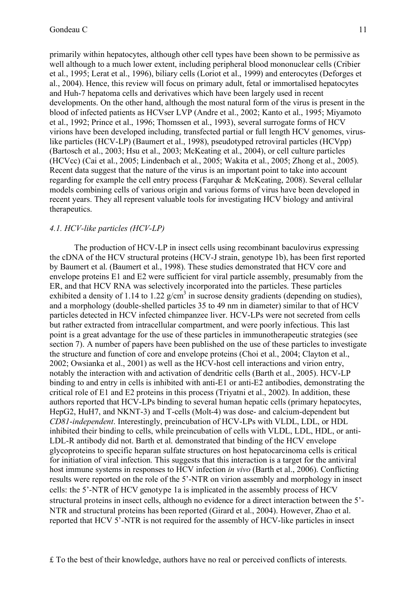primarily within hepatocytes, although other cell types have been shown to be permissive as well although to a much lower extent, including peripheral blood mononuclear cells (Cribier et al., 1995; Lerat et al., 1996), biliary cells (Loriot et al., 1999) and enterocytes (Deforges et al., 2004). Hence, this review will focus on primary adult, fetal or immortalised hepatocytes and Huh-7 hepatoma cells and derivatives which have been largely used in recent developments. On the other hand, although the most natural form of the virus is present in the blood of infected patients as HCVser LVP (Andre et al., 2002; Kanto et al., 1995; Miyamoto et al., 1992; Prince et al., 1996; Thomssen et al., 1993), several surrogate forms of HCV virions have been developed including, transfected partial or full length HCV genomes, viruslike particles (HCV-LP) (Baumert et al., 1998), pseudotyped retroviral particles (HCVpp) (Bartosch et al., 2003; Hsu et al., 2003; McKeating et al., 2004), or cell culture particles (HCVcc) (Cai et al., 2005; Lindenbach et al., 2005; Wakita et al., 2005; Zhong et al., 2005). Recent data suggest that the nature of the virus is an important point to take into account regarding for example the cell entry process (Farquhar & McKeating, 2008). Several cellular models combining cells of various origin and various forms of virus have been developed in recent years. They all represent valuable tools for investigating HCV biology and antiviral therapeutics.

#### *4.1. HCV-like particles (HCV-LP)*

The production of HCV-LP in insect cells using recombinant baculovirus expressing the cDNA of the HCV structural proteins (HCV-J strain, genotype 1b), has been first reported by Baumert et al. (Baumert et al., 1998). These studies demonstrated that HCV core and envelope proteins E1 and E2 were sufficient for viral particle assembly, presumably from the ER, and that HCV RNA was selectively incorporated into the particles. These particles exhibited a density of 1.14 to 1.22  $g/cm<sup>3</sup>$  in sucrose density gradients (depending on studies), and a morphology (double-shelled particles 35 to 49 nm in diameter) similar to that of HCV particles detected in HCV infected chimpanzee liver. HCV-LPs were not secreted from cells but rather extracted from intracellular compartment, and were poorly infectious. This last point is a great advantage for the use of these particles in immunotherapeutic strategies (see section 7). A number of papers have been published on the use of these particles to investigate the structure and function of core and envelope proteins (Choi et al., 2004; Clayton et al., 2002; Owsianka et al., 2001) as well as the HCV-host cell interactions and virion entry, notably the interaction with and activation of dendritic cells (Barth et al., 2005). HCV-LP binding to and entry in cells is inhibited with anti-E1 or anti-E2 antibodies, demonstrating the critical role of E1 and E2 proteins in this process (Triyatni et al., 2002). In addition, these authors reported that HCV-LPs binding to several human hepatic cells (primary hepatocytes, HepG2, HuH7, and NKNT-3) and T-cells (Molt-4) was dose- and calcium-dependent but *CD81*-*independent*. Interestingly, preincubation of HCV-LPs with VLDL, LDL, or HDL inhibited their binding to cells, while preincubation of cells with VLDL, LDL, HDL, or anti-LDL-R antibody did not. Barth et al. demonstrated that binding of the HCV envelope glycoproteins to specific heparan sulfate structures on host hepatocarcinoma cells is critical for initiation of viral infection. This suggests that this interaction is a target for the antiviral host immune systems in responses to HCV infection *in vivo* (Barth et al., 2006). Conflicting results were reported on the role of the 5'-NTR on virion assembly and morphology in insect cells: the 5'-NTR of HCV genotype 1a is implicated in the assembly process of HCV structural proteins in insect cells, although no evidence for a direct interaction between the 5'- NTR and structural proteins has been reported (Girard et al., 2004). However, Zhao et al. reported that HCV 5'-NTR is not required for the assembly of HCV-like particles in insect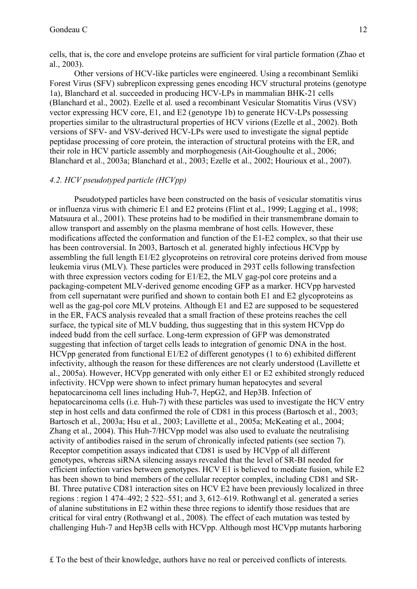cells, that is, the core and envelope proteins are sufficient for viral particle formation (Zhao et al., 2003).

Other versions of HCV-like particles were engineered. Using a recombinant Semliki Forest Virus (SFV) subreplicon expressing genes encoding HCV structural proteins (genotype 1a), Blanchard et al. succeeded in producing HCV-LPs in mammalian BHK-21 cells (Blanchard et al., 2002). Ezelle et al. used a recombinant Vesicular Stomatitis Virus (VSV) vector expressing HCV core, E1, and E2 (genotype 1b) to generate HCV-LPs possessing properties similar to the ultrastructural properties of HCV virions (Ezelle et al., 2002). Both versions of SFV- and VSV-derived HCV-LPs were used to investigate the signal peptide peptidase processing of core protein, the interaction of structural proteins with the ER, and their role in HCV particle assembly and morphogenesis (Ait-Goughoulte et al., 2006; Blanchard et al., 2003a; Blanchard et al., 2003; Ezelle et al., 2002; Hourioux et al., 2007).

## *4.2. HCV pseudotyped particle (HCVpp)*

Pseudotyped particles have been constructed on the basis of vesicular stomatitis virus or influenza virus with chimeric E1 and E2 proteins (Flint et al., 1999; Lagging et al., 1998; Matsuura et al., 2001). These proteins had to be modified in their transmembrane domain to allow transport and assembly on the plasma membrane of host cells. However, these modifications affected the conformation and function of the E1-E2 complex, so that their use has been controversial. In 2003, Bartosch et al. generated highly infectious HCVpp by assembling the full length E1/E2 glycoproteins on retroviral core proteins derived from mouse leukemia virus (MLV). These particles were produced in 293T cells following transfection with three expression vectors coding for E1/E2, the MLV gag-pol core proteins and a packaging-competent MLV-derived genome encoding GFP as a marker. HCVpp harvested from cell supernatant were purified and shown to contain both E1 and E2 glycoproteins as well as the gag-pol core MLV proteins. Although E1 and E2 are supposed to be sequestered in the ER, FACS analysis revealed that a small fraction of these proteins reaches the cell surface, the typical site of MLV budding, thus suggesting that in this system HCVpp do indeed budd from the cell surface. Long-term expression of GFP was demonstrated suggesting that infection of target cells leads to integration of genomic DNA in the host. HCVpp generated from functional E1/E2 of different genotypes (1 to 6) exhibited different infectivity, although the reason for these differences are not clearly understood (Lavillette et al., 2005a). However, HCVpp generated with only either E1 or E2 exhibited strongly reduced infectivity. HCVpp were shown to infect primary human hepatocytes and several hepatocarcinoma cell lines including Huh-7, HepG2, and Hep3B. Infection of hepatocarcinoma cells (i.e. Huh-7) with these particles was used to investigate the HCV entry step in host cells and data confirmed the role of CD81 in this process (Bartosch et al., 2003; Bartosch et al., 2003a; Hsu et al., 2003; Lavillette et al., 2005a; McKeating et al., 2004; Zhang et al., 2004). This Huh-7/HCVpp model was also used to evaluate the neutralising activity of antibodies raised in the serum of chronically infected patients (see section 7). Receptor competition assays indicated that CD81 is used by HCVpp of all different genotypes, whereas siRNA silencing assays revealed that the level of SR-BI needed for efficient infection varies between genotypes. HCV E1 is believed to mediate fusion, while E2 has been shown to bind members of the cellular receptor complex, including CD81 and SR-BI. Three putative CD81 interaction sites on HCV E2 have been previously localized in three regions : region 1 474–492; 2 522–551; and 3, 612–619. Rothwangl et al. generated a series of alanine substitutions in E2 within these three regions to identify those residues that are critical for viral entry (Rothwangl et al., 2008). The effect of each mutation was tested by challenging Huh-7 and Hep3B cells with HCVpp. Although most HCVpp mutants harboring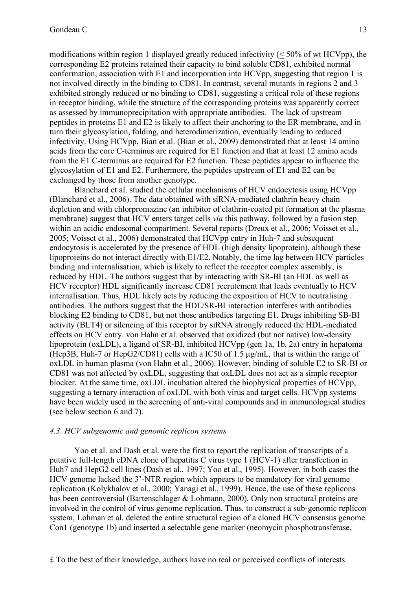modifications within region 1 displayed greatly reduced infectivity  $(< 50\%$  of wt HCVpp), the corresponding E2 proteins retained their capacity to bind soluble CD81, exhibited normal conformation, association with E1 and incorporation into HCVpp, suggesting that region 1 is not involved directly in the binding to CD81. In contrast, several mutants in regions 2 and 3 exhibited strongly reduced or no binding to CD81, suggesting a critical role of these regions in receptor binding, while the structure of the corresponding proteins was apparently correct as assessed by immunoprecipitation with appropriate antibodies. The lack of upstream peptides in proteins E1 and E2 is likely to affect their anchoring to the ER membrane, and in turn their glycosylation, folding, and heterodimerization, eventually leading to reduced infectivity. Using HCVpp, Bian et al. (Bian et al., 2009) demonstrated that at least 14 amino acids from the core C-terminus are required for E1 function and that at least 12 amino acids from the E1 C-terminus are required for E2 function. These peptides appear to influence the glycosylation of E1 and E2. Furthermore, the peptides upstream of E1 and E2 can be exchanged by those from another genotype.

Blanchard et al. studied the cellular mechanisms of HCV endocytosis using HCVpp (Blanchard et al., 2006). The data obtained with siRNA-mediated clathrin heavy chain depletion and with chlorpromazine (an inhibitor of clathrin-coated pit formation at the plasma membrane) suggest that HCV enters target cells *via* this pathway, followed by a fusion step within an acidic endosomal compartment. Several reports (Dreux et al., 2006; Voisset et al., 2005; Voisset et al., 2006) demonstrated that HCVpp entry in Huh-7 and subsequent endocytosis is accelerated by the presence of HDL (high density lipoprotein), although these lipoproteins do not interact directly with E1/E2. Notably, the time lag between HCV particles binding and internalisation, which is likely to reflect the receptor complex assembly, is reduced by HDL. The authors suggest that by interacting with SR-BI (an HDL as well as HCV receptor) HDL significantly increase CD81 recrutement that leads eventually to HCV internalisation. Thus, HDL likely acts by reducing the exposition of HCV to neutralising antibodies. The authors suggest that the HDL/SR-BI interaction interferes with antibodies blocking E2 binding to CD81, but not those antibodies targeting E1. Drugs inhibiting SB-BI activity (BLT4) or silencing of this receptor by siRNA strongly reduced the HDL-mediated effects on HCV entry. von Hahn et al. observed that oxidized (but not native) low-density lipoprotein (oxLDL), a ligand of SR-BI, inhibited HCVpp (gen 1a, 1b, 2a) entry in hepatoma (Hep3B, Huh-7 or HepG2/CD81) cells with a IC50 of 1.5 µg/mL, that is within the range of oxLDL in human plasma (von Hahn et al., 2006). However, binding of soluble E2 to SR-BI or CD81 was not affected by oxLDL, suggesting that oxLDL does not act as a simple receptor blocker. At the same time, oxLDL incubation altered the biophysical properties of HCVpp, suggesting a ternary interaction of oxLDL with both virus and target cells. HCVpp systems have been widely used in the screening of anti-viral compounds and in immunological studies (see below section 6 and 7).

#### *4.3. HCV subgenomic and genomic replicon systems*

Yoo et al. and Dash et al. were the first to report the replication of transcripts of a putative full-length cDNA clone of hepatitis C virus type 1 (HCV-1) after transfection in Huh7 and HepG2 cell lines (Dash et al., 1997; Yoo et al., 1995). However, in both cases the HCV genome lacked the 3'-NTR region which appears to be mandatory for viral genome replication (Kolykhalov et al., 2000; Yanagi et al., 1999). Hence, the use of these replicons has been controversial (Bartenschlager & Lohmann, 2000). Only non structural proteins are involved in the control of virus genome replication. Thus, to construct a sub-genomic replicon system, Lohman et al. deleted the entire structural region of a cloned HCV consensus genome Con1 (genotype 1b) and inserted a selectable gene marker (neomycin phosphotransferase,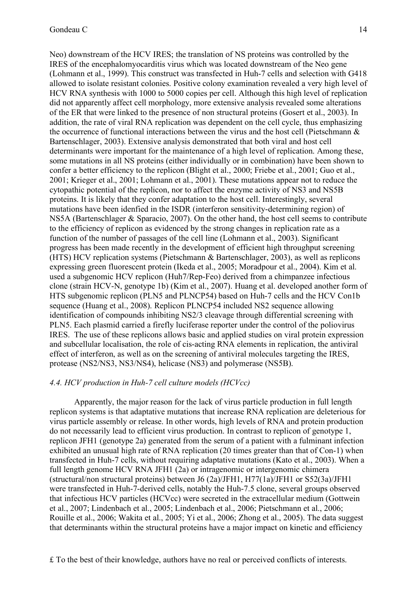Neo) downstream of the HCV IRES; the translation of NS proteins was controlled by the IRES of the encephalomyocarditis virus which was located downstream of the Neo gene (Lohmann et al., 1999). This construct was transfected in Huh-7 cells and selection with G418 allowed to isolate resistant colonies. Positive colony examination revealed a very high level of HCV RNA synthesis with 1000 to 5000 copies per cell. Although this high level of replication did not apparently affect cell morphology, more extensive analysis revealed some alterations of the ER that were linked to the presence of non structural proteins (Gosert et al., 2003). In addition, the rate of viral RNA replication was dependent on the cell cycle, thus emphasizing the occurrence of functional interactions between the virus and the host cell (Pietschmann & Bartenschlager, 2003). Extensive analysis demonstrated that both viral and host cell determinants were important for the maintenance of a high level of replication. Among these, some mutations in all NS proteins (either individually or in combination) have been shown to confer a better efficiency to the replicon (Blight et al., 2000; Friebe et al., 2001; Guo et al., 2001; Krieger et al., 2001; Lohmann et al., 2001). These mutations appear not to reduce the cytopathic potential of the replicon, nor to affect the enzyme activity of NS3 and NS5B proteins. It is likely that they confer adaptation to the host cell. Interestingly, several mutations have been idenfied in the ISDR (interferon sensitivity-determining region) of NS5A (Bartenschlager & Sparacio, 2007). On the other hand, the host cell seems to contribute to the efficiency of replicon as evidenced by the strong changes in replication rate as a function of the number of passages of the cell line (Lohmann et al., 2003). Significant progress has been made recently in the development of efficient high throughput screening (HTS) HCV replication systems (Pietschmann & Bartenschlager, 2003), as well as replicons expressing green fluorescent protein (Ikeda et al., 2005; Moradpour et al., 2004). Kim et al. used a subgenomic HCV replicon (Huh7/Rep-Feo) derived from a chimpanzee infectious clone (strain HCV-N, genotype 1b) (Kim et al., 2007). Huang et al. developed another form of HTS subgenomic replicon (PLN5 and PLNCP54) based on Huh-7 cells and the HCV Con1b sequence (Huang et al., 2008). Replicon PLNCP54 included NS2 sequence allowing identification of compounds inhibiting NS2/3 cleavage through differential screening with PLN5. Each plasmid carried a firefly luciferase reporter under the control of the poliovirus IRES. The use of these replicons allows basic and applied studies on viral protein expression and subcellular localisation, the role of cis-acting RNA elements in replication, the antiviral effect of interferon, as well as on the screening of antiviral molecules targeting the IRES, protease (NS2/NS3, NS3/NS4), helicase (NS3) and polymerase (NS5B).

#### *4.4. HCV production in Huh-7 cell culture models (HCVcc)*

Apparently, the major reason for the lack of virus particle production in full length replicon systems is that adaptative mutations that increase RNA replication are deleterious for virus particle assembly or release. In other words, high levels of RNA and protein production do not necessarily lead to efficient virus production. In contrast to replicon of genotype 1, replicon JFH1 (genotype 2a) generated from the serum of a patient with a fulminant infection exhibited an unusual high rate of RNA replication (20 times greater than that of Con-1) when transfected in Huh-7 cells, without requiring adaptative mutations (Kato et al., 2003). When a full length genome HCV RNA JFH1 (2a) or intragenomic or intergenomic chimera (structural/non structural proteins) between J6 (2a)/JFH1, H77(1a)/JFH1 or S52(3a)/JFH1 were transfected in Huh-7-derived cells, notably the Huh-7.5 clone, several groups observed that infectious HCV particles (HCVcc) were secreted in the extracellular medium (Gottwein et al., 2007; Lindenbach et al., 2005; Lindenbach et al., 2006; Pietschmann et al., 2006; Rouille et al., 2006; Wakita et al., 2005; Yi et al., 2006; Zhong et al., 2005). The data suggest that determinants within the structural proteins have a major impact on kinetic and efficiency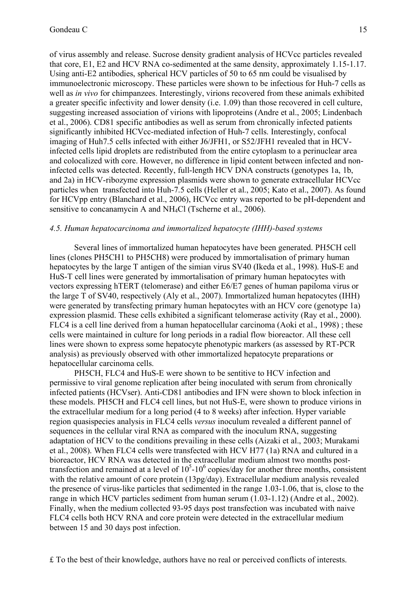of virus assembly and release. Sucrose density gradient analysis of HCVcc particles revealed that core, E1, E2 and HCV RNA co-sedimented at the same density, approximately 1.15-1.17. Using anti-E2 antibodies, spherical HCV particles of 50 to 65 nm could be visualised by immunoelectronic microscopy. These particles were shown to be infectious for Huh-7 cells as well as *in vivo* for chimpanzees. Interestingly, virions recovered from these animals exhibited a greater specific infectivity and lower density (i.e. 1.09) than those recovered in cell culture, suggesting increased association of virions with lipoproteins (Andre et al., 2005; Lindenbach et al., 2006). CD81 specific antibodies as well as serum from chronically infected patients significantly inhibited HCVcc-mediated infection of Huh-7 cells. Interestingly, confocal imaging of Huh7.5 cells infected with either J6/JFH1, or S52/JFH1 revealed that in HCVinfected cells lipid droplets are redistributed from the entire cytoplasm to a perinuclear area and colocalized with core. However, no difference in lipid content between infected and noninfected cells was detected. Recently, full-length HCV DNA constructs (genotypes 1a, 1b, and 2a) in HCV-ribozyme expression plasmids were shown to generate extracellular HCVcc particles when transfected into Huh-7.5 cells (Heller et al., 2005; Kato et al., 2007). As found for HCVpp entry (Blanchard et al., 2006), HCVcc entry was reported to be pH-dependent and sensitive to concanamycin A and NH<sub>4</sub>Cl (Tscherne et al., 2006).

#### *4.5. Human hepatocarcinoma and immortalized hepatocyte (IHH)-based systems*

Several lines of immortalized human hepatocytes have been generated. PH5CH cell lines (clones PH5CH1 to PH5CH8) were produced by immortalisation of primary human hepatocytes by the large T antigen of the simian virus SV40 (Ikeda et al., 1998). HuS-E and HuS-T cell lines were generated by immortalisation of primary human hepatocytes with vectors expressing hTERT (telomerase) and either E6/E7 genes of human papiloma virus or the large T of SV40, respectively (Aly et al., 2007). Immortalized human hepatocytes (IHH) were generated by transfecting primary human hepatocytes with an HCV core (genotype 1a) expression plasmid. These cells exhibited a significant telomerase activity (Ray et al., 2000). FLC4 is a cell line derived from a human hepatocellular carcinoma (Aoki et al., 1998) ; these cells were maintained in culture for long periods in a radial flow bioreactor. All these cell lines were shown to express some hepatocyte phenotypic markers (as assessed by RT-PCR analysis) as previously observed with other immortalized hepatocyte preparations or hepatocellular carcinoma cells.

PH5CH, FLC4 and HuS-E were shown to be sentitive to HCV infection and permissive to viral genome replication after being inoculated with serum from chronically infected patients (HCVser). Anti-CD81 antibodies and IFN were shown to block infection in these models. PH5CH and FLC4 cell lines, but not HuS-E, were shown to produce virions in the extracellular medium for a long period (4 to 8 weeks) after infection. Hyper variable region quasispecies analysis in FLC4 cells *versus* inoculum revealed a different pannel of sequences in the cellular viral RNA as compared with the inoculum RNA, suggesting adaptation of HCV to the conditions prevailing in these cells (Aizaki et al., 2003; Murakami et al., 2008). When FLC4 cells were transfected with HCV H77 (1a) RNA and cultured in a bioreactor, HCV RNA was detected in the extracellular medium almost two months posttransfection and remained at a level of  $10<sup>5</sup>$ -10<sup>6</sup> copies/day for another three months, consistent with the relative amount of core protein (13pg/day). Extracellular medium analysis revealed the presence of virus-like particles that sedimented in the range 1.03-1.06, that is, close to the range in which HCV particles sediment from human serum (1.03-1.12) (Andre et al., 2002). Finally, when the medium collected 93-95 days post transfection was incubated with naive FLC4 cells both HCV RNA and core protein were detected in the extracellular medium between 15 and 30 days post infection.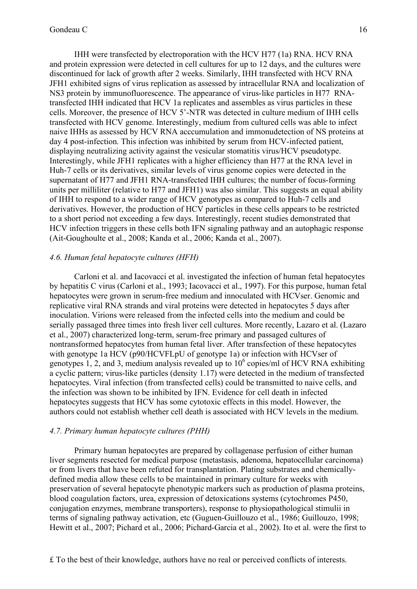IHH were transfected by electroporation with the HCV H77 (1a) RNA. HCV RNA and protein expression were detected in cell cultures for up to 12 days, and the cultures were discontinued for lack of growth after 2 weeks. Similarly, IHH transfected with HCV RNA JFH1 exhibited signs of virus replication as assessed by intracellular RNA and localization of NS3 protein by immunofluorescence. The appearance of virus-like particles in H77 RNAtransfected IHH indicated that HCV 1a replicates and assembles as virus particles in these cells. Moreover, the presence of HCV 5'-NTR was detected in culture medium of IHH cells transfected with HCV genome. Interestingly, medium from cultured cells was able to infect naive IHHs as assessed by HCV RNA acccumulation and immonudetection of NS proteins at day 4 post-infection. This infection was inhibited by serum from HCV-infected patient, displaying neutralizing activity against the vesicular stomatitis virus/HCV pseudotype. Interestingly, while JFH1 replicates with a higher efficiency than H77 at the RNA level in Huh-7 cells or its derivatives, similar levels of virus genome copies were detected in the supernatant of H77 and JFH1 RNA-transfected IHH cultures; the number of focus-forming units per milliliter (relative to H77 and JFH1) was also similar. This suggests an equal ability of IHH to respond to a wider range of HCV genotypes as compared to Huh-7 cells and derivatives. However, the production of HCV particles in these cells appears to be restricted to a short period not exceeding a few days. Interestingly, recent studies demonstrated that HCV infection triggers in these cells both IFN signaling pathway and an autophagic response (Ait-Goughoulte et al., 2008; Kanda et al., 2006; Kanda et al., 2007).

#### *4.6. Human fetal hepatocyte cultures (HFH)*

Carloni et al. and Iacovacci et al. investigated the infection of human fetal hepatocytes by hepatitis C virus (Carloni et al., 1993; Iacovacci et al., 1997). For this purpose, human fetal hepatocytes were grown in serum-free medium and innoculated with HCVser. Genomic and replicative viral RNA strands and viral proteins were detected in hepatocytes 5 days after inoculation. Virions were released from the infected cells into the medium and could be serially passaged three times into fresh liver cell cultures. More recently, Lazaro et al. (Lazaro et al., 2007) characterized long-term, serum-free primary and passaged cultures of nontransformed hepatocytes from human fetal liver. After transfection of these hepatocytes with genotype 1a HCV (p90/HCVFLpU of genotype 1a) or infection with HCVser of genotypes 1, 2, and 3, medium analysis revealed up to  $10^6$  copies/ml of HCV RNA exhibiting a cyclic pattern; virus-like particles (density 1.17) were detected in the medium of transfected hepatocytes. Viral infection (from transfected cells) could be transmitted to naive cells, and the infection was shown to be inhibited by IFN. Evidence for cell death in infected hepatocytes suggests that HCV has some cytotoxic effects in this model. However, the authors could not establish whether cell death is associated with HCV levels in the medium.

#### *4.7. Primary human hepatocyte cultures (PHH)*

Primary human hepatocytes are prepared by collagenase perfusion of either human liver segments resected for medical purpose (metastasis, adenoma, hepatocellular carcinoma) or from livers that have been refuted for transplantation. Plating substrates and chemicallydefined media allow these cells to be maintained in primary culture for weeks with preservation of several hepatocyte phenotypic markers such as production of plasma proteins, blood coagulation factors, urea, expression of detoxications systems (cytochromes P450, conjugation enzymes, membrane transporters), response to physiopathological stimulii in terms of signaling pathway activation, etc (Guguen-Guillouzo et al., 1986; Guillouzo, 1998; Hewitt et al., 2007; Pichard et al., 2006; Pichard-Garcia et al., 2002). Ito et al. were the first to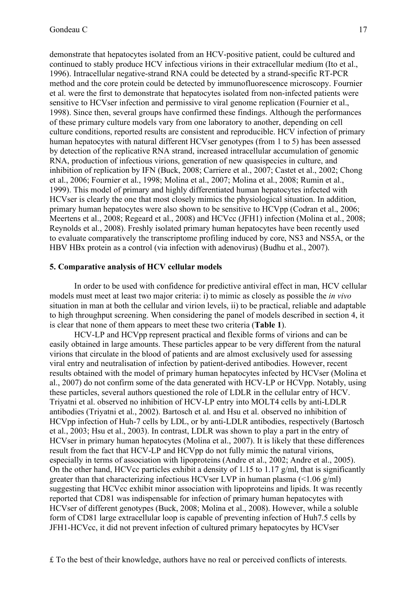demonstrate that hepatocytes isolated from an HCV-positive patient, could be cultured and continued to stably produce HCV infectious virions in their extracellular medium (Ito et al., 1996). Intracellular negative-strand RNA could be detected by a strand-specific RT-PCR method and the core protein could be detected by immunofluorescence microscopy. Fournier et al. were the first to demonstrate that hepatocytes isolated from non-infected patients were sensitive to HCVser infection and permissive to viral genome replication (Fournier et al., 1998). Since then, several groups have confirmed these findings. Although the performances of these primary culture models vary from one laboratory to another, depending on cell culture conditions, reported results are consistent and reproducible. HCV infection of primary human hepatocytes with natural different HCVser genotypes (from 1 to 5) has been assessed by detection of the replicative RNA strand, increased intracellular accumulation of genomic RNA, production of infectious virions, generation of new quasispecies in culture, and inhibition of replication by IFN (Buck, 2008; Carriere et al., 2007; Castet et al., 2002; Chong et al., 2006; Fournier et al., 1998; Molina et al., 2007; Molina et al., 2008; Rumin et al., 1999). This model of primary and highly differentiated human hepatocytes infected with HCVser is clearly the one that most closely mimics the physiological situation. In addition, primary human hepatocytes were also shown to be sensitive to HCVpp (Codran et al., 2006; Meertens et al., 2008; Regeard et al., 2008) and HCVcc (JFH1) infection (Molina et al., 2008; Reynolds et al., 2008). Freshly isolated primary human hepatocytes have been recently used to evaluate comparatively the transcriptome profiling induced by core, NS3 and NS5A, or the HBV HBx protein as a control (via infection with adenovirus) (Budhu et al., 2007).

#### **5. Comparative analysis of HCV cellular models**

In order to be used with confidence for predictive antiviral effect in man, HCV cellular models must meet at least two major criteria: i) to mimic as closely as possible the *in vivo* situation in man at both the cellular and virion levels, ii) to be practical, reliable and adaptable to high throughput screening. When considering the panel of models described in section 4, it is clear that none of them appears to meet these two criteria (**Table 1**).

HCV-LP and HCVpp represent practical and flexible forms of virions and can be easily obtained in large amounts. These particles appear to be very different from the natural virions that circulate in the blood of patients and are almost exclusively used for assessing viral entry and neutralisation of infection by patient-derived antibodies. However, recent results obtained with the model of primary human hepatocytes infected by HCVser (Molina et al., 2007) do not confirm some of the data generated with HCV-LP or HCVpp. Notably, using these particles, several authors questioned the role of LDLR in the cellular entry of HCV. Triyatni et al. observed no inhibition of HCV-LP entry into MOLT4 cells by anti-LDLR antibodies (Triyatni et al., 2002). Bartosch et al. and Hsu et al. observed no inhibition of HCVpp infection of Huh-7 cells by LDL, or by anti-LDLR antibodies, respectively (Bartosch et al., 2003; Hsu et al., 2003). In contrast, LDLR was shown to play a part in the entry of HCVser in primary human hepatocytes (Molina et al., 2007). It is likely that these differences result from the fact that HCV-LP and HCVpp do not fully mimic the natural virions, especially in terms of association with lipoproteins (Andre et al., 2002; Andre et al., 2005). On the other hand, HCVcc particles exhibit a density of 1.15 to 1.17 g/ml, that is significantly greater than that characterizing infectious HCVser LVP in human plasma (<1.06 g/ml) suggesting that HCVcc exhibit minor association with lipoproteins and lipids. It was recently reported that CD81 was indispensable for infection of primary human hepatocytes with HCVser of different genotypes (Buck, 2008; Molina et al., 2008). However, while a soluble form of CD81 large extracellular loop is capable of preventing infection of Huh7.5 cells by JFH1-HCVcc, it did not prevent infection of cultured primary hepatocytes by HCVser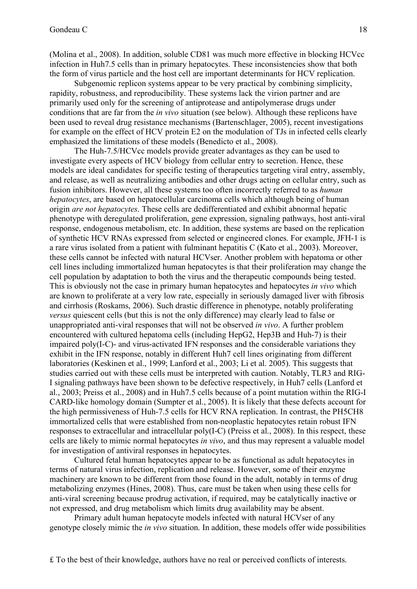(Molina et al., 2008). In addition, soluble CD81 was much more effective in blocking HCVcc infection in Huh7.5 cells than in primary hepatocytes. These inconsistencies show that both the form of virus particle and the host cell are important determinants for HCV replication.

Subgenomic replicon systems appear to be very practical by combining simplicity, rapidity, robustness, and reproducibility. These systems lack the virion partner and are primarily used only for the screening of antiprotease and antipolymerase drugs under conditions that are far from the *in vivo* situation (see below). Although these replicons have been used to reveal drug resistance mechanisms (Bartenschlager, 2005), recent investigations for example on the effect of HCV protein E2 on the modulation of TJs in infected cells clearly emphasized the limitations of these models (Benedicto et al., 2008).

The Huh-7.5/HCVcc models provide greater advantages as they can be used to investigate every aspects of HCV biology from cellular entry to secretion. Hence, these models are ideal candidates for specific testing of therapeutics targeting viral entry, assembly, and release, as well as neutralizing antibodies and other drugs acting on cellular entry, such as fusion inhibitors. However, all these systems too often incorrectly referred to as *human hepatocytes*, are based on hepatocellular carcinoma cells which although being of human origin *are not hepatocytes*. These cells are dedifferentiated and exhibit abnormal hepatic phenotype with deregulated proliferation, gene expression, signaling pathways, host anti-viral response, endogenous metabolism, etc. In addition, these systems are based on the replication of synthetic HCV RNAs expressed from selected or engineered clones. For example, JFH-1 is a rare virus isolated from a patient with fulminant hepatitis C (Kato et al., 2003). Moreover, these cells cannot be infected with natural HCVser. Another problem with hepatoma or other cell lines including immortalized human hepatocytes is that their proliferation may change the cell population by adaptation to both the virus and the therapeutic compounds being tested. This is obviously not the case in primary human hepatocytes and hepatocytes *in vivo* which are known to proliferate at a very low rate, especially in seriously damaged liver with fibrosis and cirrhosis (Roskams, 2006). Such drastic difference in phenotype, notably proliferating *versus* quiescent cells (but this is not the only difference) may clearly lead to false or unappropriated anti-viral responses that will not be observed *in vivo*. A further problem encountered with cultured hepatoma cells (including HepG2, Hep3B and Huh-7) is their impaired poly(I-C)- and virus-activated IFN responses and the considerable variations they exhibit in the IFN response, notably in different Huh7 cell lines originating from different laboratories (Keskinen et al., 1999; Lanford et al., 2003; Li et al. 2005). This suggests that studies carried out with these cells must be interpreted with caution. Notably, TLR3 and RIG-I signaling pathways have been shown to be defective respectively, in Huh7 cells (Lanford et al., 2003; Preiss et al., 2008) and in Huh7.5 cells because of a point mutation within the RIG-I CARD-like homology domain (Sumpter et al., 2005). It is likely that these defects account for the high permissiveness of Huh-7.5 cells for HCV RNA replication. In contrast, the PH5CH8 immortalized cells that were established from non-neoplastic hepatocytes retain robust IFN responses to extracellular and intracellular poly(I-C) (Preiss et al., 2008). In this respect, these cells are likely to mimic normal hepatocytes *in vivo*, and thus may represent a valuable model for investigation of antiviral responses in hepatocytes.

Cultured fetal human hepatocytes appear to be as functional as adult hepatocytes in terms of natural virus infection, replication and release. However, some of their enzyme machinery are known to be different from those found in the adult, notably in terms of drug metabolizing enzymes (Hines, 2008). Thus, care must be taken when using these cells for anti-viral screening because prodrug activation, if required, may be catalytically inactive or not expressed, and drug metabolism which limits drug availability may be absent.

Primary adult human hepatocyte models infected with natural HCVser of any genotype closely mimic the *in vivo* situation. In addition, these models offer wide possibilities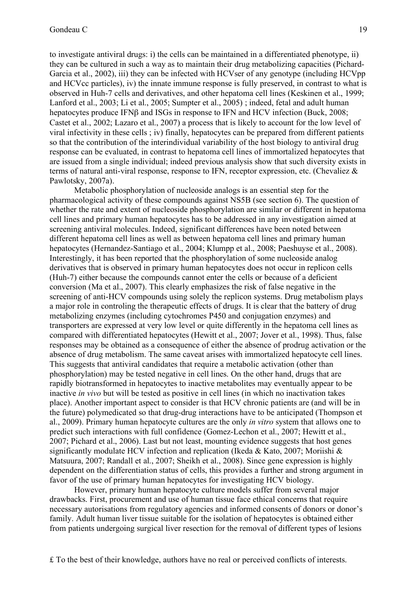to investigate antiviral drugs: i) the cells can be maintained in a differentiated phenotype, ii) they can be cultured in such a way as to maintain their drug metabolizing capacities (Pichard-Garcia et al., 2002), iii) they can be infected with HCVser of any genotype (including HCVpp and HCVcc particles), iv) the innate immune response is fully preserved, in contrast to what is observed in Huh-7 cells and derivatives, and other hepatoma cell lines (Keskinen et al., 1999; Lanford et al., 2003; Li et al., 2005; Sumpter et al., 2005) ; indeed, fetal and adult human hepatocytes produce IFNβ and ISGs in response to IFN and HCV infection (Buck, 2008; Castet et al., 2002; Lazaro et al., 2007) a process that is likely to account for the low level of viral infectivity in these cells ; iv) finally, hepatocytes can be prepared from different patients so that the contribution of the interindividual variability of the host biology to antiviral drug response can be evaluated, in contrast to hepatoma cell lines of immortalized hepatocytes that are issued from a single individual; indeed previous analysis show that such diversity exists in terms of natural anti-viral response, response to IFN, receptor expression, etc. (Chevaliez & Pawlotsky, 2007a).

Metabolic phosphorylation of nucleoside analogs is an essential step for the pharmacological activity of these compounds against NS5B (see section 6). The question of whether the rate and extent of nucleoside phosphorylation are similar or different in hepatoma cell lines and primary human hepatocytes has to be addressed in any investigation aimed at screening antiviral molecules. Indeed, significant differences have been noted between different hepatoma cell lines as well as between hepatoma cell lines and primary human hepatocytes (Hernandez-Santiago et al., 2004; Klumpp et al., 2008; Paeshuyse et al., 2008). Interestingly, it has been reported that the phosphorylation of some nucleoside analog derivatives that is observed in primary human hepatocytes does not occur in replicon cells (Huh-7) either because the compounds cannot enter the cells or because of a deficient conversion (Ma et al., 2007). This clearly emphasizes the risk of false negative in the screening of anti-HCV compounds using solely the replicon systems. Drug metabolism plays a major role in controling the therapeutic effects of drugs. It is clear that the battery of drug metabolizing enzymes (including cytochromes P450 and conjugation enzymes) and transporters are expressed at very low level or quite differently in the hepatoma cell lines as compared with differentiated hepatocytes (Hewitt et al., 2007; Jover et al., 1998). Thus, false responses may be obtained as a consequence of either the absence of prodrug activation or the absence of drug metabolism. The same caveat arises with immortalized hepatocyte cell lines. This suggests that antiviral candidates that require a metabolic activation (other than phosphorylation) may be tested negative in cell lines. On the other hand, drugs that are rapidly biotransformed in hepatocytes to inactive metabolites may eventually appear to be inactive *in vivo* but will be tested as positive in cell lines (in which no inactivation takes place). Another important aspect to consider is that HCV chronic patients are (and will be in the future) polymedicated so that drug-drug interactions have to be anticipated (Thompson et al., 2009). Primary human hepatocyte cultures are the only *in vitro* system that allows one to predict such interactions with full confidence (Gomez-Lechon et al., 2007; Hewitt et al., 2007; Pichard et al., 2006). Last but not least, mounting evidence suggests that host genes significantly modulate HCV infection and replication (Ikeda & Kato, 2007; Moriishi & Matsuura, 2007; Randall et al., 2007; Sheikh et al., 2008). Since gene expression is highly dependent on the differentiation status of cells, this provides a further and strong argument in favor of the use of primary human hepatocytes for investigating HCV biology.

However, primary human hepatocyte culture models suffer from several major drawbacks. First, procurement and use of human tissue face ethical concerns that require necessary autorisations from regulatory agencies and informed consents of donors or donor's family. Adult human liver tissue suitable for the isolation of hepatocytes is obtained either from patients undergoing surgical liver resection for the removal of different types of lesions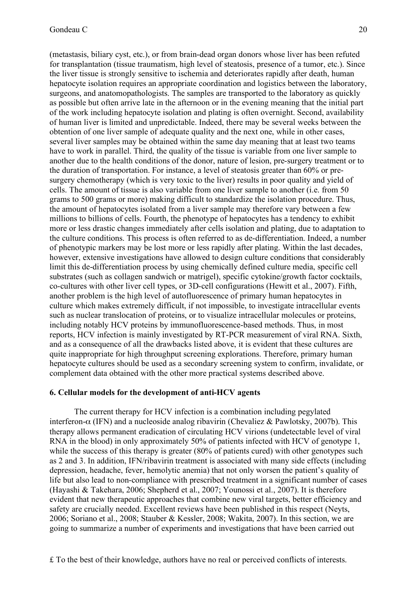(metastasis, biliary cyst, etc.), or from brain-dead organ donors whose liver has been refuted for transplantation (tissue traumatism, high level of steatosis, presence of a tumor, etc.). Since the liver tissue is strongly sensitive to ischemia and deteriorates rapidly after death, human hepatocyte isolation requires an appropriate coordination and logistics between the laboratory, surgeons, and anatomopathologists. The samples are transported to the laboratory as quickly as possible but often arrive late in the afternoon or in the evening meaning that the initial part of the work including hepatocyte isolation and plating is often overnight. Second, availability of human liver is limited and unpredictable. Indeed, there may be several weeks between the obtention of one liver sample of adequate quality and the next one, while in other cases, several liver samples may be obtained within the same day meaning that at least two teams have to work in parallel. Third, the quality of the tissue is variable from one liver sample to another due to the health conditions of the donor, nature of lesion, pre-surgery treatment or to the duration of transportation. For instance, a level of steatosis greater than 60% or presurgery chemotherapy (which is very toxic to the liver) results in poor quality and yield of cells. The amount of tissue is also variable from one liver sample to another (i.e. from 50 grams to 500 grams or more) making difficult to standardize the isolation procedure. Thus, the amount of hepatocytes isolated from a liver sample may therefore vary between a few millions to billions of cells. Fourth, the phenotype of hepatocytes has a tendency to exhibit more or less drastic changes immediately after cells isolation and plating, due to adaptation to the culture conditions. This process is often referred to as de-differentiation. Indeed, a number of phenotypic markers may be lost more or less rapidly after plating. Within the last decades, however, extensive investigations have allowed to design culture conditions that considerably limit this de-differentiation process by using chemically defined culture media, specific cell substrates (such as collagen sandwich or matrigel), specific cytokine/growth factor cocktails, co-cultures with other liver cell types, or 3D-cell configurations (Hewitt et al., 2007). Fifth, another problem is the high level of autofluorescence of primary human hepatocytes in culture which makes extremely difficult, if not impossible, to investigate intracellular events such as nuclear translocation of proteins, or to visualize intracellular molecules or proteins, including notably HCV proteins by immunofluorescence-based methods. Thus, in most reports, HCV infection is mainly investigated by RT-PCR measurement of viral RNA. Sixth, and as a consequence of all the drawbacks listed above, it is evident that these cultures are quite inappropriate for high throughput screening explorations. Therefore, primary human hepatocyte cultures should be used as a secondary screening system to confirm, invalidate, or complement data obtained with the other more practical systems described above.

#### **6. Cellular models for the development of anti-HCV agents**

The current therapy for HCV infection is a combination including pegylated interferon- $\alpha$  (IFN) and a nucleoside analog ribavirin (Chevaliez & Pawlotsky, 2007b). This therapy allows permanent eradication of circulating HCV virions (undetectable level of viral RNA in the blood) in only approximately 50% of patients infected with HCV of genotype 1, while the success of this therapy is greater (80% of patients cured) with other genotypes such as 2 and 3. In addition, IFN/ribavirin treatment is associated with many side effects (including depression, headache, fever, hemolytic anemia) that not only worsen the patient's quality of life but also lead to non-compliance with prescribed treatment in a significant number of cases (Hayashi & Takehara, 2006; Shepherd et al., 2007; Younossi et al., 2007). It is therefore evident that new therapeutic approaches that combine new viral targets, better efficiency and safety are crucially needed. Excellent reviews have been published in this respect (Neyts, 2006; Soriano et al., 2008; Stauber & Kessler, 2008; Wakita, 2007). In this section, we are going to summarize a number of experiments and investigations that have been carried out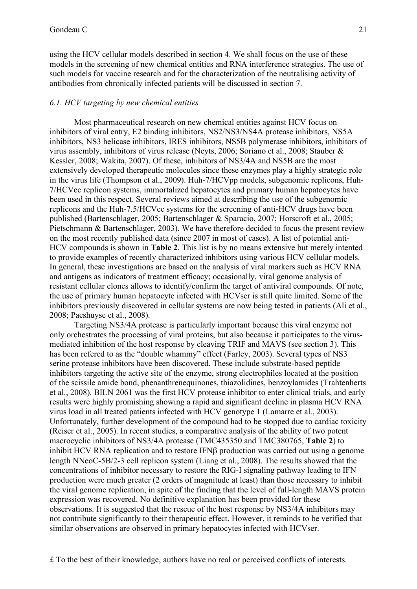using the HCV cellular models described in section 4. We shall focus on the use of these models in the screening of new chemical entities and RNA interference strategies. The use of such models for vaccine research and for the characterization of the neutralising activity of antibodies from chronically infected patients will be discussed in section 7.

#### *6.1. HCV targeting by new chemical entities*

Most pharmaceutical research on new chemical entities against HCV focus on inhibitors of viral entry, E2 binding inhibitors, NS2/NS3/NS4A protease inhibitors, NS5A inhibitors, NS3 helicase inhibitors, IRES inhibitors, NS5B polymerase inhibitors, inhibitors of virus assembly, inhibitors of virus release (Neyts, 2006; Soriano et al., 2008; Stauber & Kessler, 2008; Wakita, 2007). Of these, inhibitors of NS3/4A and NS5B are the most extensively developed therapeutic molecules since these enzymes play a highly strategic role in the virus life (Thompson et al., 2009). Huh-7/HCVpp models, subgenomic replicons, Huh-7/HCVcc replicon systems, immortalized hepatocytes and primary human hepatocytes have been used in this respect. Several reviews aimed at describing the use of the subgenomic replicons and the Huh-7.5/HCVcc systems for the screening of anti-HCV drugs have been published (Bartenschlager, 2005; Bartenschlager & Sparacio, 2007; Horscroft et al., 2005; Pietschmann & Bartenschlager, 2003). We have therefore decided to focus the present review on the most recently published data (since 2007 in most of cases). A list of potential anti-HCV compounds is shown in **Table 2**. This list is by no means extensive but merely intented to provide examples of recently characterized inhibitors using various HCV cellular models. In general, these investigations are based on the analysis of viral markers such as HCV RNA and antigens as indicators of treatment efficacy; occasionally, viral genome analysis of resistant cellular clones allows to identify/confirm the target of antiviral compounds. Of note, the use of primary human hepatocyte infected with HCVser is still quite limited. Some of the inhibitors previously discovered in cellular systems are now being tested in patients (Ali et al., 2008; Paeshuyse et al., 2008).

Targeting NS3/4A protease is particularly important because this viral enzyme not only orchestrates the processing of viral proteins, but also because it participates to the virusmediated inhibition of the host response by cleaving TRIF and MAVS (see section 3). This has been refered to as the "double whammy" effect (Farley, 2003). Several types of NS3 serine protease inhibitors have been discovered. These include substrate-based peptide inhibitors targeting the active site of the enzyme, strong electrophiles located at the position of the scissile amide bond, phenanthrenequinones, thiazolidines, benzoylamides (Trahtenherts et al., 2008). BILN 2061 was the first HCV protease inhibitor to enter clinical trials, and early results were highly promishing showing a rapid and significant decline in plasma HCV RNA virus load in all treated patients infected with HCV genotype 1 (Lamarre et al., 2003). Unfortunately, further development of the compound had to be stopped due to cardiac toxicity (Reiser et al., 2005). In recent studies, a comparative analysis of the ability of two potent macrocyclic inhibitors of NS3/4A protease (TMC435350 and TMC380765, **Table 2**) to inhibit HCV RNA replication and to restore IFNβ production was carried out using a genome length NNeoC-5B/2-3 cell replicon system (Liang et al., 2008). The results showed that the concentrations of inhibitor necessary to restore the RIG-I signaling pathway leading to IFN production were much greater (2 orders of magnitude at least) than those necessary to inhibit the viral genome replication, in spite of the finding that the level of full-length MAVS protein expression was recovered. No definitive explanation has been provided for these observations. It is suggested that the rescue of the host response by NS3/4A inhibitors may not contribute significantly to their therapeutic effect. However, it reminds to be verified that similar observations are observed in primary hepatocytes infected with HCVser.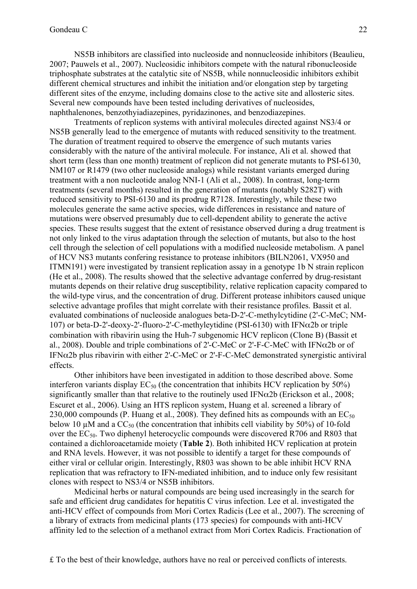NS5B inhibitors are classified into nucleoside and nonnucleoside inhibitors (Beaulieu, 2007; Pauwels et al., 2007). Nucleosidic inhibitors compete with the natural ribonucleoside triphosphate substrates at the catalytic site of NS5B, while nonnucleosidic inhibitors exhibit different chemical structures and inhibit the initiation and/or elongation step by targeting different sites of the enzyme, including domains close to the active site and allosteric sites. Several new compounds have been tested including derivatives of nucleosides, naphthalenones, benzothyiadiazepines, pyridazinones, and benzodiazepines.

Treatments of replicon systems with antiviral molecules directed against NS3/4 or NS5B generally lead to the emergence of mutants with reduced sensitivity to the treatment. The duration of treatment required to observe the emergence of such mutants varies considerably with the nature of the antiviral molecule. For instance, Ali et al. showed that short term (less than one month) treatment of replicon did not generate mutants to PSI-6130, NM107 or R1479 (two other nucleoside analogs) while resistant variants emerged during treatment with a non nucleotide analog NNI-1 (Ali et al., 2008). In contrast, long-term treatments (several months) resulted in the generation of mutants (notably S282T) with reduced sensitivity to PSI-6130 and its prodrug R7128. Interestingly, while these two molecules generate the same active species, wide differences in resistance and nature of mutations were observed presumably due to cell-dependent ability to generate the active species. These results suggest that the extent of resistance observed during a drug treatment is not only linked to the virus adaptation through the selection of mutants, but also to the host cell through the selection of cell populations with a modified nucleoside metabolism. A panel of HCV NS3 mutants confering resistance to protease inhibitors (BILN2061, VX950 and ITMN191) were investigated by transient replication assay in a genotype 1b N strain replicon (He et al., 2008). The results showed that the selective advantage conferred by drug-resistant mutants depends on their relative drug susceptibility, relative replication capacity compared to the wild-type virus, and the concentration of drug. Different protease inhibitors caused unique selective advantage profiles that might correlate with their resistance profiles. Bassit et al. evaluated combinations of nucleoside analogues beta-D-2'-C-methylcytidine (2'-C-MeC; NM-107) or beta-D-2'-deoxy-2'-fluoro-2'-C-methyleytidine (PSI-6130) with IFN $\alpha$ 2b or triple combination with ribavirin using the Huh-7 subgenomic HCV replicon (Clone B) (Bassit et al., 2008). Double and triple combinations of 2'-C-MeC or 2'-F-C-MeC with IFN $\alpha$ 2b or of IFN $\alpha$ 2b plus ribavirin with either 2'-C-MeC or 2'-F-C-MeC demonstrated synergistic antiviral effects.

Other inhibitors have been investigated in addition to those described above. Some interferon variants display  $EC_{50}$  (the concentration that inhibits HCV replication by 50%) significantly smaller than that relative to the routinely used IFN $\alpha$ 2b (Erickson et al., 2008; Escuret et al., 2006). Using an HTS replicon system, Huang et al. screened a library of 230,000 compounds (P. Huang et al., 2008). They defined hits as compounds with an  $EC_{50}$ below 10  $\mu$ M and a CC<sub>50</sub> (the concentration that inhibits cell viability by 50%) of 10-fold over the  $EC_{50}$ . Two diphenyl heterocyclic compounds were discovered R706 and R803 that contained a dichloroacetamide moiety (**Table 2**). Both inhibited HCV replication at protein and RNA levels. However, it was not possible to identify a target for these compounds of either viral or cellular origin. Interestingly, R803 was shown to be able inhibit HCV RNA replication that was refractory to IFN-mediated inhibition, and to induce only few resisitant clones with respect to NS3/4 or NS5B inhibitors.

Medicinal herbs or natural compounds are being used increasingly in the search for safe and efficient drug candidates for hepatitis C virus infection. Lee et al. investigated the anti-HCV effect of compounds from Mori Cortex Radicis (Lee et al., 2007). The screening of a library of extracts from medicinal plants (173 species) for compounds with anti-HCV affinity led to the selection of a methanol extract from Mori Cortex Radicis. Fractionation of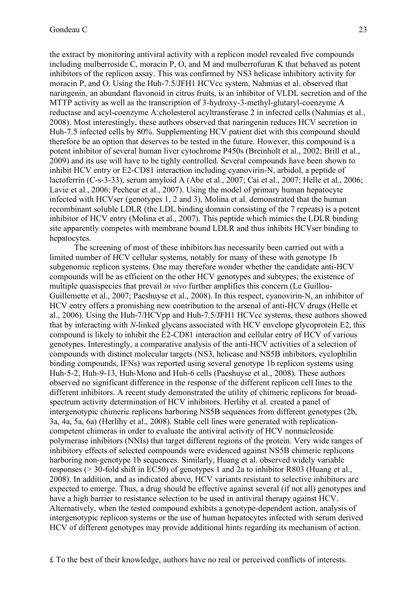the extract by monitoring antiviral activity with a replicon model revealed five compounds including mulberroside C, moracin P, O, and M and mulberrofuran K that behaved as potent inhibitors of the replicon assay. This was confirmed by NS3 helicase inhibitory activity for moracin P, and O. Using the Huh-7.5/JFH1 HCVcc system, Nahmias et al. observed that naringenin, an abundant flavonoid in citrus fruits, is an inhibitor of VLDL secretion and of the MTTP activity as well as the transcription of 3-hydroxy-3-methyl-glutaryl-coenzyme A reductase and acyl-coenzyme A:cholesterol acyltransferase 2 in infected cells (Nahmias et al., 2008). Most interestingly, these authors observed that naringenin reduces HCV secretion in Huh-7.5 infected cells by 80%. Supplementing HCV patient diet with this compound should therefore be an option that deserves to be tested in the future. However, this compound is a potent inhibitor of several human liver cytochrome P450s (Breinholt et al., 2002; Brill et al., 2009) and its use will have to be tighly controlled. Several compounds have been shown to inhibit HCV entry or E2-CD81 interaction including cyanovirin-N, arbidol, a peptide of lactoferrin (C-s-3-33), serum amyloid A (Abe et al., 2007; Cai et al., 2007; Helle et al., 2006; Lavie et al., 2006; Pecheur et al., 2007). Using the model of primary human hepatocyte infected with HCVser (genotypes 1, 2 and 3), Molina et al. demonstrated that the human recombinant soluble LDLR (the LDL binding domain consisting of the 7 repeats) is a potent inhibitor of HCV entry (Molina et al., 2007). This peptide which mimics the LDLR binding site apparently competes with membrane bound LDLR and thus inhibits HCVser binding to hepatocytes.

The screening of most of these inhibitors has necessarily been carried out with a limited number of HCV cellular systems, notably for many of these with genotype 1b subgenomic replicon systems. One may therefore wonder whether the candidate anti-HCV compounds will be as efficient on the other HCV genotypes and subtypes; the existence of multiple quasispecies that prevail *in vivo* further amplifies this concern (Le Guillou-Guillemette et al., 2007; Paeshuyse et al., 2008). In this respect, cyanovirin-N, an inhibitor of HCV entry offers a promishing new contribution to the arsenal of anti-HCV drugs (Helle et al., 2006). Using the Huh-7/HCVpp and Huh-7.5/JFH1 HCVcc systems, these authors showed that by interacting with *N*-linked glycans associated with HCV envelope glycoprotein E2, this compound is likely to inhibit the E2-CD81 interaction and cellular entry of HCV of various genotypes. Interestingly, a comparative analysis of the anti-HCV activities of a selection of compounds with distinct molecular targets (NS3, helicase and NS5B inhibitors, cyclophilin binding compounds, IFNs) was reported using several genotype 1b replicon systems using Huh-5-2, Huh-9-13, Huh-Mono and Huh-6 cells (Paeshuyse et al., 2008). These authors observed no significant difference in the response of the different replicon cell lines to the different inhibitors. A recent study demonstrated the utility of chimeric replicons for broadspectrum activity determination of HCV inhibitors. Herlihy et al. created a panel of intergenotypic chimeric replicons harboring NS5B sequences from different genotypes (2b, 3a, 4a, 5a, 6a) (Herlihy et al., 2008). Stable cell lines were generated with replicationcompetent chimeras in order to evaluate the antiviral activity of HCV nonnucleoside polymerase inhibitors (NNIs) that target different regions of the protein. Very wide ranges of inhibitory effects of selected compounds were evidenced against NS5B chimeric replicons harboring non-genotype 1b sequences. Similarly, Huang et al. observed widely variable responses (> 30-fold shift in EC50) of genotypes 1 and 2a to inhibitor R803 (Huang et al., 2008). In addition, and as indicated above, HCV variants resistant to selective inhibitors are expected to emerge. Thus, a drug should be effective against several (if not all) genotypes and have a high barrier to resistance selection to be used in antiviral therapy against HCV. Alternatively, when the tested compound exhibits a genotype-dependent action, analysis of intergenotypic replicon systems or the use of human hepatocytes infected with serum derived HCV of different genotypes may provide additional hints regarding its mechanism of action.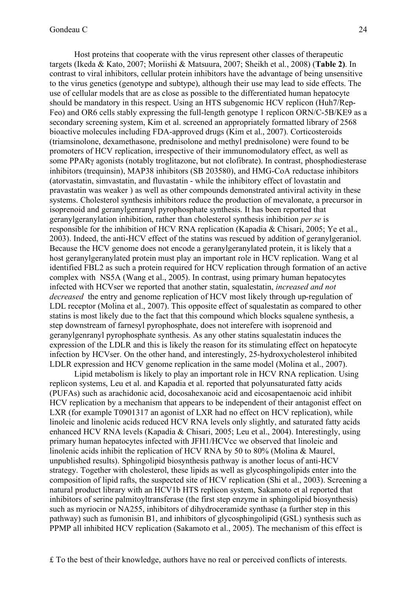Host proteins that cooperate with the virus represent other classes of therapeutic targets (Ikeda & Kato, 2007; Moriishi & Matsuura, 2007; Sheikh et al., 2008) (**Table 2)**. In contrast to viral inhibitors, cellular protein inhibitors have the advantage of being unsensitive to the virus genetics (genotype and subtype), although their use may lead to side effects. The use of cellular models that are as close as possible to the differentiated human hepatocyte should be mandatory in this respect. Using an HTS subgenomic HCV replicon (Huh7/Rep-Feo) and OR6 cells stably expressing the full-length genotype 1 replicon ORN/C-5B/KE9 as a secondary screening system, Kim et al. screened an appropriately formatted library of 2568 bioactive molecules including FDA-approved drugs (Kim et al., 2007). Corticosteroids (triamsinolone, dexamethasone, prednisolone and methyl prednisolone) were found to be promoters of HCV replication, irrespective of their immunomodulatory effect, as well as some PPARγ agonists (notably troglitazone, but not clofibrate). In contrast, phosphodiesterase inhibitors (trequinsin), MAP38 inhibitors (SB 203580), and HMG-CoA reductase inhibitors (atorvastatin, simvastatin, and fluvastatin - while the inhibitory effect of lovastatin and pravastatin was weaker ) as well as other compounds demonstrated antiviral activity in these systems. Cholesterol synthesis inhibitors reduce the production of mevalonate, a precursor in isoprenoid and geranylgenranyl pyrophosphate synthesis. It has been reported that geranylgeranylation inhibition, rather than cholesterol synthesis inhibition *per se* is responsible for the inhibition of HCV RNA replication (Kapadia & Chisari, 2005; Ye et al., 2003). Indeed, the anti-HCV effect of the statins was rescued by addition of geranylgeraniol. Because the HCV genome does not encode a geranylgeranylated protein, it is likely that a host geranylgeranylated protein must play an important role in HCV replication. Wang et al identified FBL2 as such a protein required for HCV replication through formation of an active complex with NS5A (Wang et al., 2005). In contrast, using primary human hepatocytes infected with HCVser we reported that another statin, squalestatin, *increased and not decreased* the entry and genome replication of HCV most likely through up-regulation of LDL receptor (Molina et al., 2007). This opposite effect of squalestatin as compared to other statins is most likely due to the fact that this compound which blocks squalene synthesis, a step downstream of farnesyl pyrophosphate, does not interefere with isoprenoid and geranylgenranyl pyrophosphate synthesis. As any other statins squalestatin induces the expression of the LDLR and this is likely the reason for its stimulating effect on hepatocyte infection by HCVser. On the other hand, and interestingly, 25-hydroxycholesterol inhibited LDLR expression and HCV genome replication in the same model (Molina et al., 2007).

Lipid metabolism is likely to play an important role in HCV RNA replication. Using replicon systems, Leu et al. and Kapadia et al. reported that polyunsaturated fatty acids (PUFAs) such as arachidonic acid, docosahexanoic acid and eicosapentaenoic acid inhibit HCV replication by a mechanism that appears to be independent of their antagonist effect on LXR (for example T0901317 an agonist of LXR had no effect on HCV replication), while linoleic and linolenic acids reduced HCV RNA levels only slightly, and saturated fatty acids enhanced HCV RNA levels (Kapadia & Chisari, 2005; Leu et al., 2004). Interestingly, using primary human hepatocytes infected with JFH1/HCVcc we observed that linoleic and linolenic acids inhibit the replication of HCV RNA by 50 to 80% (Molina & Maurel, unpublished results). Sphingolipid biosynthesis pathway is another locus of anti-HCV strategy. Together with cholesterol, these lipids as well as glycosphingolipids enter into the composition of lipid rafts, the suspected site of HCV replication (Shi et al., 2003). Screening a natural product library with an HCV1b HTS replicon system, Sakamoto et al reported that inhibitors of serine palmitoyltransferase (the first step enzyme in sphingolipid biosynthesis) such as myriocin or NA255, inhibitors of dihydroceramide synthase (a further step in this pathway) such as fumonisin B1, and inhibitors of glycosphingolipid (GSL) synthesis such as PPMP all inhibited HCV replication (Sakamoto et al., 2005). The mechanism of this effect is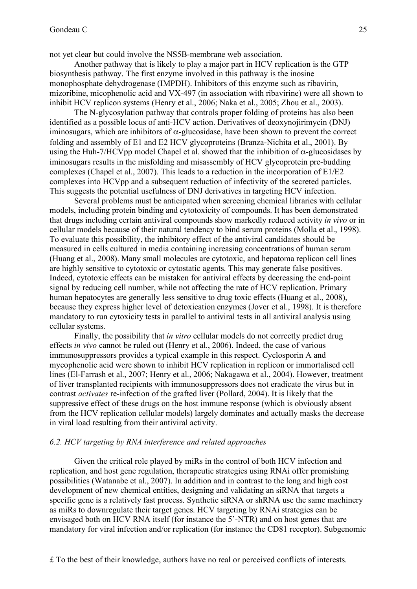not yet clear but could involve the NS5B-membrane web association.

Another pathway that is likely to play a major part in HCV replication is the GTP biosynthesis pathway. The first enzyme involved in this pathway is the inosine monophosphate dehydrogenase (IMPDH). Inhibitors of this enzyme such as ribavirin, mizoribine, micophenolic acid and VX-497 (in association with ribavirine) were all shown to inhibit HCV replicon systems (Henry et al., 2006; Naka et al., 2005; Zhou et al., 2003).

The N-glycosylation pathway that controls proper folding of proteins has also been identified as a possible locus of anti-HCV action. Derivatives of deoxynojirimycin (DNJ) iminosugars, which are inhibitors of  $\alpha$ -glucosidase, have been shown to prevent the correct folding and assembly of E1 and E2 HCV glycoproteins (Branza-Nichita et al., 2001). By using the Huh-7/HCVpp model Chapel et al. showed that the inhibition of  $\alpha$ -glucosidases by iminosugars results in the misfolding and misassembly of HCV glycoprotein pre-budding complexes (Chapel et al., 2007). This leads to a reduction in the incorporation of E1/E2 complexes into HCVpp and a subsequent reduction of infectivity of the secreted particles. This suggests the potential usefulness of DNJ derivatives in targeting HCV infection.

Several problems must be anticipated when screening chemical libraries with cellular models, including protein binding and cytotoxicity of compounds. It has been demonstrated that drugs including certain antiviral compounds show markedly reduced activity *in vivo* or in cellular models because of their natural tendency to bind serum proteins (Molla et al., 1998). To evaluate this possibility, the inhibitory effect of the antiviral candidates should be measured in cells cultured in media containing increasing concentrations of human serum (Huang et al., 2008). Many small molecules are cytotoxic, and hepatoma replicon cell lines are highly sensitive to cytotoxic or cytostatic agents. This may generate false positives. Indeed, cytotoxic effects can be mistaken for antiviral effects by decreasing the end-point signal by reducing cell number, while not affecting the rate of HCV replication. Primary human hepatocytes are generally less sensitive to drug toxic effects (Huang et al., 2008), because they express higher level of detoxication enzymes (Jover et al., 1998). It is therefore mandatory to run cytoxicity tests in parallel to antiviral tests in all antiviral analysis using cellular systems.

Finally, the possibility that *in vitro* cellular models do not correctly predict drug effects *in vivo* cannot be ruled out (Henry et al., 2006). Indeed, the case of various immunosuppressors provides a typical example in this respect. Cyclosporin A and mycophenolic acid were shown to inhibit HCV replication in replicon or immortalised cell lines (El-Farrash et al., 2007; Henry et al., 2006; Nakagawa et al., 2004). However, treatment of liver transplanted recipients with immunosuppressors does not eradicate the virus but in contrast *activates* re-infection of the grafted liver (Pollard, 2004). It is likely that the suppressive effect of these drugs on the host immune response (which is obviously absent from the HCV replication cellular models) largely dominates and actually masks the decrease in viral load resulting from their antiviral activity.

#### *6.2. HCV targeting by RNA interference and related approaches*

Given the critical role played by miRs in the control of both HCV infection and replication, and host gene regulation, therapeutic strategies using RNAi offer promishing possibilities (Watanabe et al., 2007). In addition and in contrast to the long and high cost development of new chemical entities, designing and validating an siRNA that targets a specific gene is a relatively fast process. Synthetic siRNA or shRNA use the same machinery as miRs to downregulate their target genes. HCV targeting by RNAi strategies can be envisaged both on HCV RNA itself (for instance the 5'-NTR) and on host genes that are mandatory for viral infection and/or replication (for instance the CD81 receptor). Subgenomic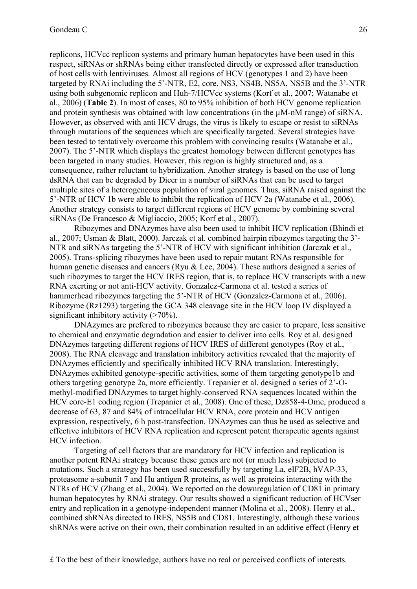replicons, HCVcc replicon systems and primary human hepatocytes have been used in this respect, siRNAs or shRNAs being either transfected directly or expressed after transduction of host cells with lentiviruses. Almost all regions of HCV (genotypes 1 and 2) have been targeted by RNAi including the 5'-NTR, E2, core, NS3, NS4B, NS5A, NS5B and the 3'-NTR using both subgenomic replicon and Huh-7/HCVcc systems (Korf et al., 2007; Watanabe et al., 2006) (**Table 2**). In most of cases, 80 to 95% inhibition of both HCV genome replication and protein synthesis was obtained with low concentrations (in the  $\mu$ M-nM range) of siRNA. However, as observed with anti HCV drugs, the virus is likely to escape or resist to siRNAs through mutations of the sequences which are specifically targeted. Several strategies have been tested to tentatively overcome this problem with convincing results (Watanabe et al., 2007). The 5'-NTR which displays the greatest homology between different genotypes has been targeted in many studies. However, this region is highly structured and, as a consequence, rather reluctant to hybridization. Another strategy is based on the use of long dsRNA that can be degraded by Dicer in a number of siRNAs that can be used to target multiple sites of a heterogeneous population of viral genomes. Thus, siRNA raised against the 5'-NTR of HCV 1b were able to inhibit the replication of HCV 2a (Watanabe et al., 2006). Another strategy consists to target different regions of HCV genome by combining several siRNAs (De Francesco & Migliaccio, 2005; Korf et al., 2007).

Ribozymes and DNAzymes have also been used to inhibit HCV replication (Bhindi et al., 2007; Usman & Blatt, 2000). Jarczak et al. combined hairpin ribozymes targeting the 3'- NTR and siRNAs targeting the 5'-NTR of HCV with significant inhibition (Jarczak et al., 2005). Trans-splicing ribozymes have been used to repair mutant RNAs responsible for human genetic diseases and cancers (Ryu & Lee, 2004). These authors designed a series of such ribozymes to target the HCV IRES region, that is, to replace HCV transcripts with a new RNA exerting or not anti-HCV activity. Gonzalez-Carmona et al. tested a series of hammerhead ribozymes targeting the 5'-NTR of HCV (Gonzalez-Carmona et al., 2006). Ribozyme (Rz1293) targeting the GCA 348 cleavage site in the HCV loop IV displayed a significant inhibitory activity  $($ >70%).

DNAzymes are prefered to ribozymes because they are easier to prepare, less sensitive to chemical and enzymatic degradation and easier to deliver into cells. Roy et al. designed DNAzymes targeting different regions of HCV IRES of different genotypes (Roy et al., 2008). The RNA cleavage and translation inhibitory activities revealed that the majority of DNAzymes efficiently and specifically inhibited HCV RNA translation. Interestingly, DNAzymes exhibited genotype-specific activities, some of them targeting genotype1b and others targeting genotype 2a, more efficiently. Trepanier et al. designed a series of 2'-Omethyl-modified DNAzymes to target highly-conserved RNA sequences located within the HCV core-E1 coding region (Trepanier et al., 2008). One of these, Dz858-4-Ome, produced a decrease of 63, 87 and 84% of intracellular HCV RNA, core protein and HCV antigen expression, respectively, 6 h post-transfection. DNAzymes can thus be used as selective and effective inhibitors of HCV RNA replication and represent potent therapeutic agents against HCV infection.

Targeting of cell factors that are mandatory for HCV infection and replication is another potent RNAi strategy because these genes are not (or much less) subjected to mutations. Such a strategy has been used successfully by targeting La, eIF2B, hVAP-33, proteasome a-subunit 7 and Hu antigen R proteins, as well as proteins interacting with the NTRs of HCV (Zhang et al., 2004). We reported on the downregulation of CD81 in primary human hepatocytes by RNAi strategy. Our results showed a significant reduction of HCVser entry and replication in a genotype-independent manner (Molina et al., 2008). Henry et al., combined shRNAs directed to IRES, NS5B and CD81. Interestingly, although these various shRNAs were active on their own, their combination resulted in an additive effect (Henry et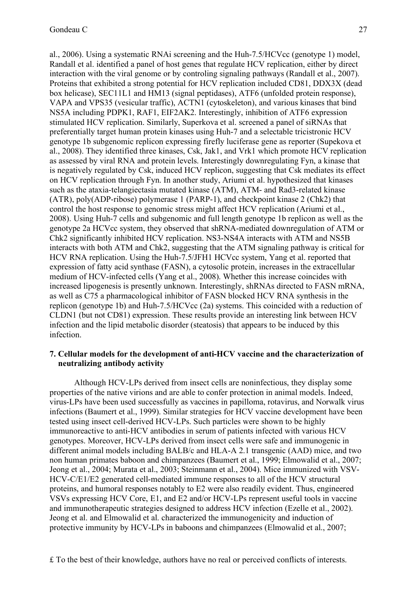al., 2006). Using a systematic RNAi screening and the Huh-7.5/HCVcc (genotype 1) model, Randall et al. identified a panel of host genes that regulate HCV replication, either by direct interaction with the viral genome or by controling signaling pathways (Randall et al., 2007). Proteins that exhibited a strong potential for HCV replication included CD81, DDX3X (dead box helicase), SEC11L1 and HM13 (signal peptidases), ATF6 (unfolded protein response), VAPA and VPS35 (vesicular traffic), ACTN1 (cytoskeleton), and various kinases that bind NS5A including PDPK1, RAF1, EIF2AK2. Interestingly, inhibition of ATF6 expression stimulated HCV replication. Similarly, Superkova et al. screened a panel of siRNAs that preferentially target human protein kinases using Huh-7 and a selectable tricistronic HCV genotype 1b subgenomic replicon expressing firefly luciferase gene as reporter (Supekova et al., 2008). They identified three kinases, Csk, Jak1, and Vrk1 which promote HCV replication as assessed by viral RNA and protein levels. Interestingly downregulating Fyn, a kinase that is negatively regulated by Csk, induced HCV replicon, suggesting that Csk mediates its effect on HCV replication through Fyn. In another study, Ariumi et al. hypothesized that kinases such as the ataxia-telangiectasia mutated kinase (ATM), ATM- and Rad3-related kinase (ATR), poly(ADP-ribose) polymerase 1 (PARP-1), and checkpoint kinase 2 (Chk2) that control the host response to genomic stress might affect HCV replication (Ariumi et al., 2008). Using Huh-7 cells and subgenomic and full length genotype 1b replicon as well as the genotype 2a HCVcc system, they observed that shRNA-mediated downregulation of ATM or Chk2 significantly inhibited HCV replication. NS3-NS4A interacts with ATM and NS5B interacts with both ATM and Chk2, suggesting that the ATM signaling pathway is critical for HCV RNA replication. Using the Huh-7.5/JFH1 HCVcc system, Yang et al. reported that expression of fatty acid synthase (FASN), a cytosolic protein, increases in the extracellular medium of HCV-infected cells (Yang et al., 2008). Whether this increase coincides with increased lipogenesis is presently unknown. Interestingly, shRNAs directed to FASN mRNA, as well as C75 a pharmacological inhibitor of FASN blocked HCV RNA synthesis in the replicon (genotype 1b) and Huh-7.5/HCVcc (2a) systems. This coincided with a reduction of CLDN1 (but not CD81) expression. These results provide an interesting link between HCV infection and the lipid metabolic disorder (steatosis) that appears to be induced by this infection.

#### **7. Cellular models for the development of anti-HCV vaccine and the characterization of neutralizing antibody activity**

Although HCV-LPs derived from insect cells are noninfectious, they display some properties of the native virions and are able to confer protection in animal models. Indeed, virus-LPs have been used successfully as vaccines in papilloma, rotavirus, and Norwalk virus infections (Baumert et al., 1999). Similar strategies for HCV vaccine development have been tested using insect cell-derived HCV-LPs. Such particles were shown to be highly immunoreactive to anti-HCV antibodies in serum of patients infected with various HCV genotypes. Moreover, HCV-LPs derived from insect cells were safe and immunogenic in different animal models including BALB/c and HLA-A 2.1 transgenic (AAD) mice, and two non human primates baboon and chimpanzees (Baumert et al., 1999; Elmowalid et al., 2007; Jeong et al., 2004; Murata et al., 2003; Steinmann et al., 2004). Mice immunized with VSV-HCV-C/E1/E2 generated cell-mediated immune responses to all of the HCV structural proteins, and humoral responses notably to E2 were also readily evident. Thus, engineered VSVs expressing HCV Core, E1, and E2 and/or HCV-LPs represent useful tools in vaccine and immunotherapeutic strategies designed to address HCV infection (Ezelle et al., 2002). Jeong et al. and Elmowalid et al. characterized the immunogenicity and induction of protective immunity by HCV-LPs in baboons and chimpanzees (Elmowalid et al., 2007;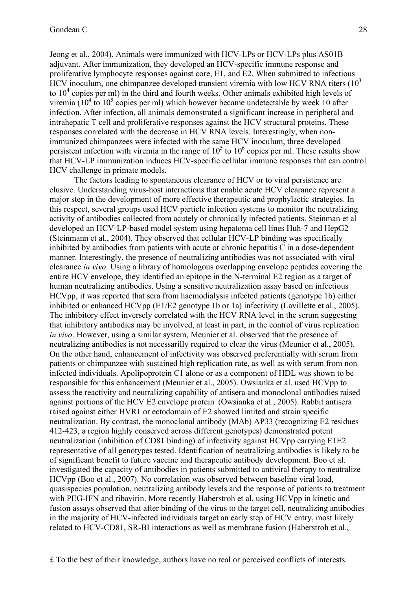Jeong et al., 2004). Animals were immunized with HCV-LPs or HCV-LPs plus AS01B adjuvant. After immunization, they developed an HCV-specific immune response and proliferative lymphocyte responses against core, E1, and E2. When submitted to infectious HCV inoculum, one chimpanzee developed transient viremia with low HCV RNA titers  $(10^3)$ to  $10<sup>4</sup>$  copies per ml) in the third and fourth weeks. Other animals exhibited high levels of viremia ( $10^4$  to  $10^5$  copies per ml) which however became undetectable by week 10 after infection. After infection, all animals demonstrated a significant increase in peripheral and intrahepatic T cell and proliferative responses against the HCV structural proteins. These responses correlated with the decrease in HCV RNA levels. Interestingly, when nonimmunized chimpanzees were infected with the same HCV inoculum, three developed persistent infection with viremia in the range of  $10^5$  to  $10^6$  copies per ml. These results show that HCV-LP immunization induces HCV-specific cellular immune responses that can control HCV challenge in primate models.

The factors leading to spontaneous clearance of HCV or to viral persistence are elusive. Understanding virus-host interactions that enable acute HCV clearance represent a major step in the development of more effective therapeutic and prophylactic strategies. In this respect, several groups used HCV particle infection systems to monitor the neutralizing activity of antibodies collected from acutely or chronically infected patients. Steinman et al developed an HCV-LP-based model system using hepatoma cell lines Huh-7 and HepG2 (Steinmann et al., 2004). They observed that cellular HCV-LP binding was specifically inhibited by antibodies from patients with acute or chronic hepatitis C in a dose-dependent manner. Interestingly, the presence of neutralizing antibodies was not associated with viral clearance *in vivo*. Using a library of homologous overlapping envelope peptides covering the entire HCV envelope, they identified an epitope in the N-terminal E2 region as a target of human neutralizing antibodies. Using a sensitive neutralization assay based on infectious HCVpp, it was reported that sera from haemodialysis infected patients (genotype 1b) either inhibited or enhanced HCVpp (E1/E2 genotype 1b or 1a) infectivity (Lavillette et al., 2005). The inhibitory effect inversely correlated with the HCV RNA level in the serum suggesting that inhibitory antibodies may be involved, at least in part, in the control of virus replication *in vivo*. However, using a similar system, Meunier et al. observed that the presence of neutralizing antibodies is not necessarilly required to clear the virus (Meunier et al., 2005). On the other hand, enhancement of infectivity was observed preferentially with serum from patients or chimpanzee with sustained high replication rate, as well as with serum from non infected individuals. Apolipoprotein C1 alone or as a component of HDL was shown to be responsible for this enhancement (Meunier et al., 2005). Owsianka et al. used HCVpp to assess the reactivity and neutralizing capability of antisera and monoclonal antibodies raised against portions of the HCV E2 envelope protein (Owsianka et al., 2005). Rabbit antisera raised against either HVR1 or ectodomain of E2 showed limited and strain specific neutralization. By contrast, the monoclonal antibody (MAb) AP33 (recognizing E2 residues 412-423, a region highly conserved across different genotypes) demonstrated potent neutralization (inhibition of CD81 binding) of infectivity against HCVpp carrying E1E2 representative of all genotypes tested. Identification of neutralizing antibodies is likely to be of significant benefit to future vaccine and therapeutic antibody development. Boo et al. investigated the capacity of antibodies in patients submitted to antiviral therapy to neutralize HCVpp (Boo et al., 2007). No correlation was observed between baseline viral load, quasispecies population, neutralizing antibody levels and the response of patients to treatment with PEG-IFN and ribavirin. More recently Haberstroh et al. using HCVpp in kinetic and fusion assays observed that after binding of the virus to the target cell, neutralizing antibodies in the majority of HCV-infected individuals target an early step of HCV entry, most likely related to HCV-CD81, SR-BI interactions as well as membrane fusion (Haberstroh et al.,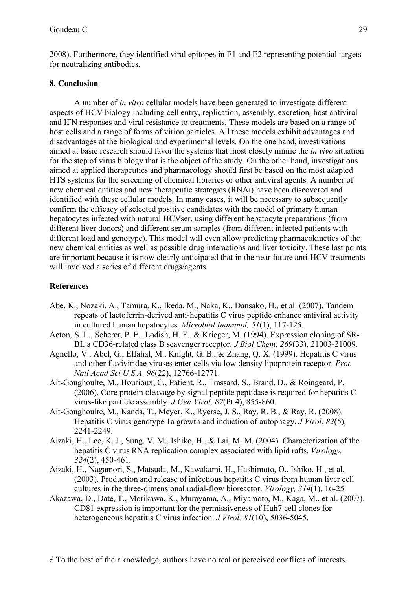2008). Furthermore, they identified viral epitopes in E1 and E2 representing potential targets for neutralizing antibodies.

## **8. Conclusion**

A number of *in vitro* cellular models have been generated to investigate different aspects of HCV biology including cell entry, replication, assembly, excretion, host antiviral and IFN responses and viral resistance to treatments. These models are based on a range of host cells and a range of forms of virion particles. All these models exhibit advantages and disadvantages at the biological and experimental levels. On the one hand, investivations aimed at basic research should favor the systems that most closely mimic the *in vivo* situation for the step of virus biology that is the object of the study. On the other hand, investigations aimed at applied therapeutics and pharmacology should first be based on the most adapted HTS systems for the screening of chemical libraries or other antiviral agents. A number of new chemical entities and new therapeutic strategies (RNAi) have been discovered and identified with these cellular models. In many cases, it will be necessary to subsequently confirm the efficacy of selected positive candidates with the model of primary human hepatocytes infected with natural HCVser, using different hepatocyte preparations (from different liver donors) and different serum samples (from different infected patients with different load and genotype). This model will even allow predicting pharmacokinetics of the new chemical entities as well as possible drug interactions and liver toxicity. These last points are important because it is now clearly anticipated that in the near future anti-HCV treatments will involved a series of different drugs/agents.

## **References**

- Abe, K., Nozaki, A., Tamura, K., Ikeda, M., Naka, K., Dansako, H., et al. (2007). Tandem repeats of lactoferrin-derived anti-hepatitis C virus peptide enhance antiviral activity in cultured human hepatocytes. *Microbiol Immunol, 51*(1), 117-125.
- Acton, S. L., Scherer, P. E., Lodish, H. F., & Krieger, M. (1994). Expression cloning of SR-BI, a CD36-related class B scavenger receptor. *J Biol Chem, 269*(33), 21003-21009.
- Agnello, V., Abel, G., Elfahal, M., Knight, G. B., & Zhang, Q. X. (1999). Hepatitis C virus and other flaviviridae viruses enter cells via low density lipoprotein receptor. *Proc Natl Acad Sci U S A, 96*(22), 12766-12771.
- Ait-Goughoulte, M., Hourioux, C., Patient, R., Trassard, S., Brand, D., & Roingeard, P. (2006). Core protein cleavage by signal peptide peptidase is required for hepatitis C virus-like particle assembly. *J Gen Virol, 87*(Pt 4), 855-860.
- Ait-Goughoulte, M., Kanda, T., Meyer, K., Ryerse, J. S., Ray, R. B., & Ray, R. (2008). Hepatitis C virus genotype 1a growth and induction of autophagy. *J Virol, 82*(5), 2241-2249.
- Aizaki, H., Lee, K. J., Sung, V. M., Ishiko, H., & Lai, M. M. (2004). Characterization of the hepatitis C virus RNA replication complex associated with lipid rafts. *Virology, 324*(2), 450-461.
- Aizaki, H., Nagamori, S., Matsuda, M., Kawakami, H., Hashimoto, O., Ishiko, H., et al. (2003). Production and release of infectious hepatitis C virus from human liver cell cultures in the three-dimensional radial-flow bioreactor. *Virology, 314*(1), 16-25.
- Akazawa, D., Date, T., Morikawa, K., Murayama, A., Miyamoto, M., Kaga, M., et al. (2007). CD81 expression is important for the permissiveness of Huh7 cell clones for heterogeneous hepatitis C virus infection. *J Virol, 81*(10), 5036-5045.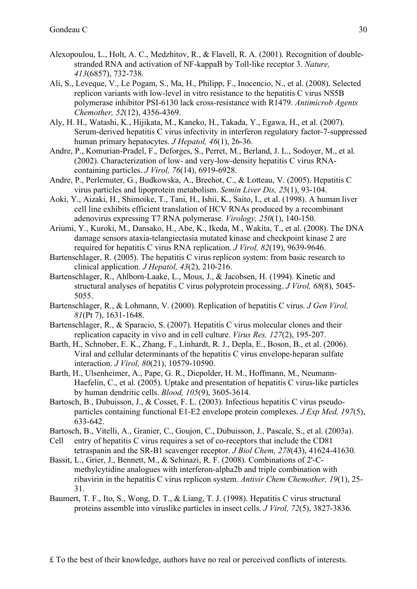- Alexopoulou, L., Holt, A. C., Medzhitov, R., & Flavell, R. A. (2001). Recognition of doublestranded RNA and activation of NF-kappaB by Toll-like receptor 3. *Nature, 413*(6857), 732-738.
- Ali, S., Leveque, V., Le Pogam, S., Ma, H., Philipp, F., Inocencio, N., et al. (2008). Selected replicon variants with low-level in vitro resistance to the hepatitis C virus NS5B polymerase inhibitor PSI-6130 lack cross-resistance with R1479. *Antimicrob Agents Chemother, 52*(12), 4356-4369.
- Aly, H. H., Watashi, K., Hijikata, M., Kaneko, H., Takada, Y., Egawa, H., et al. (2007). Serum-derived hepatitis C virus infectivity in interferon regulatory factor-7-suppressed human primary hepatocytes. *J Hepatol, 46*(1), 26-36.
- Andre, P., Komurian-Pradel, F., Deforges, S., Perret, M., Berland, J. L., Sodoyer, M., et al. (2002). Characterization of low- and very-low-density hepatitis C virus RNAcontaining particles. *J Virol, 76*(14), 6919-6928.
- Andre, P., Perlemuter, G., Budkowska, A., Brechot, C., & Lotteau, V. (2005). Hepatitis C virus particles and lipoprotein metabolism. *Semin Liver Dis, 25*(1), 93-104.
- Aoki, Y., Aizaki, H., Shimoike, T., Tani, H., Ishii, K., Saito, I., et al. (1998). A human liver cell line exhibits efficient translation of HCV RNAs produced by a recombinant adenovirus expressing T7 RNA polymerase. *Virology, 250*(1), 140-150.
- Ariumi, Y., Kuroki, M., Dansako, H., Abe, K., Ikeda, M., Wakita, T., et al. (2008). The DNA damage sensors ataxia-telangiectasia mutated kinase and checkpoint kinase 2 are required for hepatitis C virus RNA replication. *J Virol, 82*(19), 9639-9646.
- Bartenschlager, R. (2005). The hepatitis C virus replicon system: from basic research to clinical application. *J Hepatol, 43*(2), 210-216.
- Bartenschlager, R., Ahlborn-Laake, L., Mous, J., & Jacobsen, H. (1994). Kinetic and structural analyses of hepatitis C virus polyprotein processing. *J Virol, 68*(8), 5045- 5055.
- Bartenschlager, R., & Lohmann, V. (2000). Replication of hepatitis C virus. *J Gen Virol, 81*(Pt 7), 1631-1648.
- Bartenschlager, R., & Sparacio, S. (2007). Hepatitis C virus molecular clones and their replication capacity in vivo and in cell culture. *Virus Res, 127*(2), 195-207.
- Barth, H., Schnober, E. K., Zhang, F., Linhardt, R. J., Depla, E., Boson, B., et al. (2006). Viral and cellular determinants of the hepatitis C virus envelope-heparan sulfate interaction. *J Virol, 80*(21), 10579-10590.
- Barth, H., Ulsenheimer, A., Pape, G. R., Diepolder, H. M., Hoffmann, M., Neumann-Haefelin, C., et al. (2005). Uptake and presentation of hepatitis C virus-like particles by human dendritic cells. *Blood, 105*(9), 3605-3614.
- Bartosch, B., Dubuisson, J., & Cosset, F. L. (2003). Infectious hepatitis C virus pseudoparticles containing functional E1-E2 envelope protein complexes. *J Exp Med, 197*(5), 633-642.
- Bartosch, B., Vitelli, A., Granier, C., Goujon, C., Dubuisson, J., Pascale, S., et al. (2003a).
- Cell entry of hepatitis C virus requires a set of co-receptors that include the CD81 tetraspanin and the SR-B1 scavenger receptor. *J Biol Chem, 278*(43), 41624-41630.
- Bassit, L., Grier, J., Bennett, M., & Schinazi, R. F. (2008). Combinations of 2'-Cmethylcytidine analogues with interferon-alpha2b and triple combination with ribavirin in the hepatitis C virus replicon system. *Antivir Chem Chemother, 19*(1), 25- 31.
- Baumert, T. F., Ito, S., Wong, D. T., & Liang, T. J. (1998). Hepatitis C virus structural proteins assemble into viruslike particles in insect cells. *J Virol, 72*(5), 3827-3836.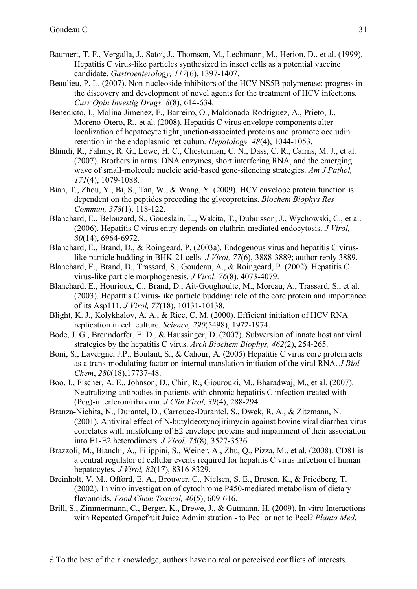- Baumert, T. F., Vergalla, J., Satoi, J., Thomson, M., Lechmann, M., Herion, D., et al. (1999). Hepatitis C virus-like particles synthesized in insect cells as a potential vaccine candidate. *Gastroenterology, 117*(6), 1397-1407.
- Beaulieu, P. L. (2007). Non-nucleoside inhibitors of the HCV NS5B polymerase: progress in the discovery and development of novel agents for the treatment of HCV infections. *Curr Opin Investig Drugs, 8*(8), 614-634.
- Benedicto, I., Molina-Jimenez, F., Barreiro, O., Maldonado-Rodriguez, A., Prieto, J., Moreno-Otero, R., et al. (2008). Hepatitis C virus envelope components alter localization of hepatocyte tight junction-associated proteins and promote occludin retention in the endoplasmic reticulum. *Hepatology, 48*(4), 1044-1053.
- Bhindi, R., Fahmy, R. G., Lowe, H. C., Chesterman, C. N., Dass, C. R., Cairns, M. J., et al. (2007). Brothers in arms: DNA enzymes, short interfering RNA, and the emerging wave of small-molecule nucleic acid-based gene-silencing strategies. *Am J Pathol, 171*(4), 1079-1088.
- Bian, T., Zhou, Y., Bi, S., Tan, W., & Wang, Y. (2009). HCV envelope protein function is dependent on the peptides preceding the glycoproteins. *Biochem Biophys Res Commun, 378*(1), 118-122.
- Blanchard, E., Belouzard, S., Goueslain, L., Wakita, T., Dubuisson, J., Wychowski, C., et al. (2006). Hepatitis C virus entry depends on clathrin-mediated endocytosis. *J Virol, 80*(14), 6964-6972.
- Blanchard, E., Brand, D., & Roingeard, P. (2003a). Endogenous virus and hepatitis C viruslike particle budding in BHK-21 cells. *J Virol, 77*(6), 3888-3889; author reply 3889.
- Blanchard, E., Brand, D., Trassard, S., Goudeau, A., & Roingeard, P. (2002). Hepatitis C virus-like particle morphogenesis. *J Virol, 76*(8), 4073-4079.
- Blanchard, E., Hourioux, C., Brand, D., Ait-Goughoulte, M., Moreau, A., Trassard, S., et al. (2003). Hepatitis C virus-like particle budding: role of the core protein and importance of its Asp111. *J Virol, 77*(18), 10131-10138.
- Blight, K. J., Kolykhalov, A. A., & Rice, C. M. (2000). Efficient initiation of HCV RNA replication in cell culture. *Science, 290*(5498), 1972-1974.
- Bode, J. G., Brenndorfer, E. D., & Haussinger, D. (2007). Subversion of innate host antiviral strategies by the hepatitis C virus. *Arch Biochem Biophys, 462*(2), 254-265.
- Boni, S., Lavergne, J.P., Boulant, S., & Cahour, A. (2005) Hepatitis C virus core protein acts as a trans-modulating factor on internal translation initiation of the viral RNA. *J Biol Chem*, *280*(18),17737-48.
- Boo, I., Fischer, A. E., Johnson, D., Chin, R., Giourouki, M., Bharadwaj, M., et al. (2007). Neutralizing antibodies in patients with chronic hepatitis C infection treated with (Peg)-interferon/ribavirin. *J Clin Virol, 39*(4), 288-294.
- Branza-Nichita, N., Durantel, D., Carrouee-Durantel, S., Dwek, R. A., & Zitzmann, N. (2001). Antiviral effect of N-butyldeoxynojirimycin against bovine viral diarrhea virus correlates with misfolding of E2 envelope proteins and impairment of their association into E1-E2 heterodimers. *J Virol, 75*(8), 3527-3536.
- Brazzoli, M., Bianchi, A., Filippini, S., Weiner, A., Zhu, Q., Pizza, M., et al. (2008). CD81 is a central regulator of cellular events required for hepatitis C virus infection of human hepatocytes. *J Virol, 82*(17), 8316-8329.
- Breinholt, V. M., Offord, E. A., Brouwer, C., Nielsen, S. E., Brosen, K., & Friedberg, T. (2002). In vitro investigation of cytochrome P450-mediated metabolism of dietary flavonoids. *Food Chem Toxicol, 40*(5), 609-616.
- Brill, S., Zimmermann, C., Berger, K., Drewe, J., & Gutmann, H. (2009). In vitro Interactions with Repeated Grapefruit Juice Administration - to Peel or not to Peel? *Planta Med*.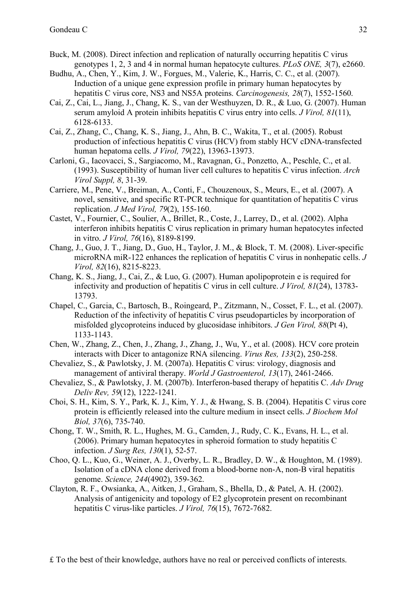- Buck, M. (2008). Direct infection and replication of naturally occurring hepatitis C virus genotypes 1, 2, 3 and 4 in normal human hepatocyte cultures. *PLoS ONE, 3*(7), e2660.
- Budhu, A., Chen, Y., Kim, J. W., Forgues, M., Valerie, K., Harris, C. C., et al. (2007). Induction of a unique gene expression profile in primary human hepatocytes by hepatitis C virus core, NS3 and NS5A proteins. *Carcinogenesis, 28*(7), 1552-1560.
- Cai, Z., Cai, L., Jiang, J., Chang, K. S., van der Westhuyzen, D. R., & Luo, G. (2007). Human serum amyloid A protein inhibits hepatitis C virus entry into cells. *J Virol, 81*(11), 6128-6133.
- Cai, Z., Zhang, C., Chang, K. S., Jiang, J., Ahn, B. C., Wakita, T., et al. (2005). Robust production of infectious hepatitis C virus (HCV) from stably HCV cDNA-transfected human hepatoma cells. *J Virol, 79*(22), 13963-13973.
- Carloni, G., Iacovacci, S., Sargiacomo, M., Ravagnan, G., Ponzetto, A., Peschle, C., et al. (1993). Susceptibility of human liver cell cultures to hepatitis C virus infection. *Arch Virol Suppl, 8*, 31-39.
- Carriere, M., Pene, V., Breiman, A., Conti, F., Chouzenoux, S., Meurs, E., et al. (2007). A novel, sensitive, and specific RT-PCR technique for quantitation of hepatitis C virus replication. *J Med Virol, 79*(2), 155-160.
- Castet, V., Fournier, C., Soulier, A., Brillet, R., Coste, J., Larrey, D., et al. (2002). Alpha interferon inhibits hepatitis C virus replication in primary human hepatocytes infected in vitro. *J Virol, 76*(16), 8189-8199.
- Chang, J., Guo, J. T., Jiang, D., Guo, H., Taylor, J. M., & Block, T. M. (2008). Liver-specific microRNA miR-122 enhances the replication of hepatitis C virus in nonhepatic cells. *J Virol, 82*(16), 8215-8223.
- Chang, K. S., Jiang, J., Cai, Z., & Luo, G. (2007). Human apolipoprotein e is required for infectivity and production of hepatitis C virus in cell culture. *J Virol, 81*(24), 13783- 13793.
- Chapel, C., Garcia, C., Bartosch, B., Roingeard, P., Zitzmann, N., Cosset, F. L., et al. (2007). Reduction of the infectivity of hepatitis C virus pseudoparticles by incorporation of misfolded glycoproteins induced by glucosidase inhibitors. *J Gen Virol, 88*(Pt 4), 1133-1143.
- Chen, W., Zhang, Z., Chen, J., Zhang, J., Zhang, J., Wu, Y., et al. (2008). HCV core protein interacts with Dicer to antagonize RNA silencing. *Virus Res, 133*(2), 250-258.
- Chevaliez, S., & Pawlotsky, J. M. (2007a). Hepatitis C virus: virology, diagnosis and management of antiviral therapy. *World J Gastroenterol, 13*(17), 2461-2466.
- Chevaliez, S., & Pawlotsky, J. M. (2007b). Interferon-based therapy of hepatitis C. *Adv Drug Deliv Rev, 59*(12), 1222-1241.
- Choi, S. H., Kim, S. Y., Park, K. J., Kim, Y. J., & Hwang, S. B. (2004). Hepatitis C virus core protein is efficiently released into the culture medium in insect cells. *J Biochem Mol Biol, 37*(6), 735-740.
- Chong, T. W., Smith, R. L., Hughes, M. G., Camden, J., Rudy, C. K., Evans, H. L., et al. (2006). Primary human hepatocytes in spheroid formation to study hepatitis C infection. *J Surg Res, 130*(1), 52-57.
- Choo, Q. L., Kuo, G., Weiner, A. J., Overby, L. R., Bradley, D. W., & Houghton, M. (1989). Isolation of a cDNA clone derived from a blood-borne non-A, non-B viral hepatitis genome. *Science, 244*(4902), 359-362.
- Clayton, R. F., Owsianka, A., Aitken, J., Graham, S., Bhella, D., & Patel, A. H. (2002). Analysis of antigenicity and topology of E2 glycoprotein present on recombinant hepatitis C virus-like particles. *J Virol, 76*(15), 7672-7682.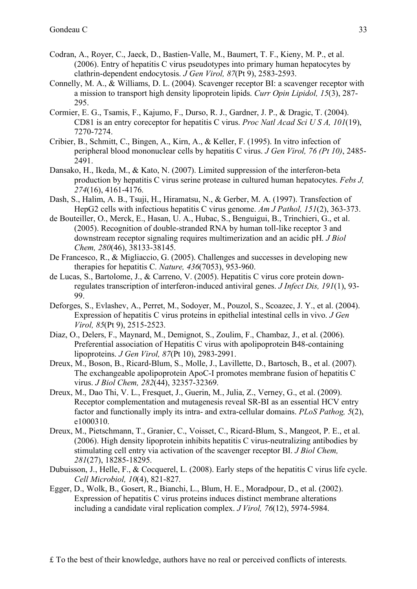- Codran, A., Royer, C., Jaeck, D., Bastien-Valle, M., Baumert, T. F., Kieny, M. P., et al. (2006). Entry of hepatitis C virus pseudotypes into primary human hepatocytes by clathrin-dependent endocytosis. *J Gen Virol, 87*(Pt 9), 2583-2593.
- Connelly, M. A., & Williams, D. L. (2004). Scavenger receptor BI: a scavenger receptor with a mission to transport high density lipoprotein lipids. *Curr Opin Lipidol, 15*(3), 287- 295.
- Cormier, E. G., Tsamis, F., Kajumo, F., Durso, R. J., Gardner, J. P., & Dragic, T. (2004). CD81 is an entry coreceptor for hepatitis C virus. *Proc Natl Acad Sci U S A, 101*(19), 7270-7274.
- Cribier, B., Schmitt, C., Bingen, A., Kirn, A., & Keller, F. (1995). In vitro infection of peripheral blood mononuclear cells by hepatitis C virus. *J Gen Virol, 76 (Pt 10)*, 2485- 2491.
- Dansako, H., Ikeda, M., & Kato, N. (2007). Limited suppression of the interferon-beta production by hepatitis C virus serine protease in cultured human hepatocytes. *Febs J, 274*(16), 4161-4176.
- Dash, S., Halim, A. B., Tsuji, H., Hiramatsu, N., & Gerber, M. A. (1997). Transfection of HepG2 cells with infectious hepatitis C virus genome. *Am J Pathol, 151*(2), 363-373.
- de Bouteiller, O., Merck, E., Hasan, U. A., Hubac, S., Benguigui, B., Trinchieri, G., et al. (2005). Recognition of double-stranded RNA by human toll-like receptor 3 and downstream receptor signaling requires multimerization and an acidic pH. *J Biol Chem, 280*(46), 38133-38145.
- De Francesco, R., & Migliaccio, G. (2005). Challenges and successes in developing new therapies for hepatitis C. *Nature, 436*(7053), 953-960.
- de Lucas, S., Bartolome, J., & Carreno, V. (2005). Hepatitis C virus core protein downregulates transcription of interferon-induced antiviral genes. *J Infect Dis, 191*(1), 93- 99.
- Deforges, S., Evlashev, A., Perret, M., Sodoyer, M., Pouzol, S., Scoazec, J. Y., et al. (2004). Expression of hepatitis C virus proteins in epithelial intestinal cells in vivo. *J Gen Virol, 85*(Pt 9), 2515-2523.
- Diaz, O., Delers, F., Maynard, M., Demignot, S., Zoulim, F., Chambaz, J., et al. (2006). Preferential association of Hepatitis C virus with apolipoprotein B48-containing lipoproteins. *J Gen Virol, 87*(Pt 10), 2983-2991.
- Dreux, M., Boson, B., Ricard-Blum, S., Molle, J., Lavillette, D., Bartosch, B., et al. (2007). The exchangeable apolipoprotein ApoC-I promotes membrane fusion of hepatitis C virus. *J Biol Chem, 282*(44), 32357-32369.
- Dreux, M., Dao Thi, V. L., Fresquet, J., Guerin, M., Julia, Z., Verney, G., et al. (2009). Receptor complementation and mutagenesis reveal SR-BI as an essential HCV entry factor and functionally imply its intra- and extra-cellular domains. *PLoS Pathog, 5*(2), e1000310.
- Dreux, M., Pietschmann, T., Granier, C., Voisset, C., Ricard-Blum, S., Mangeot, P. E., et al. (2006). High density lipoprotein inhibits hepatitis C virus-neutralizing antibodies by stimulating cell entry via activation of the scavenger receptor BI. *J Biol Chem, 281*(27), 18285-18295.
- Dubuisson, J., Helle, F., & Cocquerel, L. (2008). Early steps of the hepatitis C virus life cycle. *Cell Microbiol, 10*(4), 821-827.
- Egger, D., Wolk, B., Gosert, R., Bianchi, L., Blum, H. E., Moradpour, D., et al. (2002). Expression of hepatitis C virus proteins induces distinct membrane alterations including a candidate viral replication complex. *J Virol, 76*(12), 5974-5984.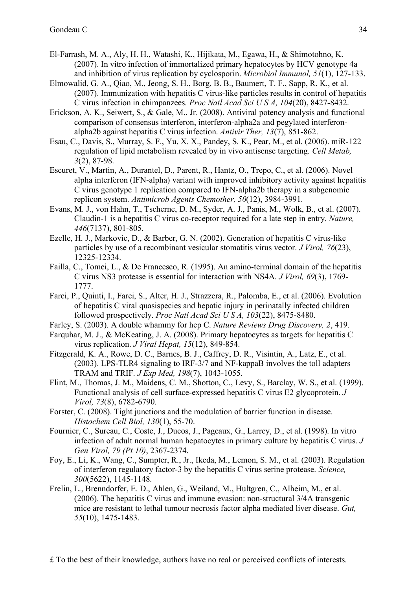- El-Farrash, M. A., Aly, H. H., Watashi, K., Hijikata, M., Egawa, H., & Shimotohno, K. (2007). In vitro infection of immortalized primary hepatocytes by HCV genotype 4a and inhibition of virus replication by cyclosporin. *Microbiol Immunol, 51*(1), 127-133.
- Elmowalid, G. A., Qiao, M., Jeong, S. H., Borg, B. B., Baumert, T. F., Sapp, R. K., et al. (2007). Immunization with hepatitis C virus-like particles results in control of hepatitis C virus infection in chimpanzees. *Proc Natl Acad Sci U S A, 104*(20), 8427-8432.
- Erickson, A. K., Seiwert, S., & Gale, M., Jr. (2008). Antiviral potency analysis and functional comparison of consensus interferon, interferon-alpha2a and pegylated interferonalpha2b against hepatitis C virus infection. *Antivir Ther, 13*(7), 851-862.
- Esau, C., Davis, S., Murray, S. F., Yu, X. X., Pandey, S. K., Pear, M., et al. (2006). miR-122 regulation of lipid metabolism revealed by in vivo antisense targeting. *Cell Metab, 3*(2), 87-98.
- Escuret, V., Martin, A., Durantel, D., Parent, R., Hantz, O., Trepo, C., et al. (2006). Novel alpha interferon (IFN-alpha) variant with improved inhibitory activity against hepatitis C virus genotype 1 replication compared to IFN-alpha2b therapy in a subgenomic replicon system. *Antimicrob Agents Chemother, 50*(12), 3984-3991.
- Evans, M. J., von Hahn, T., Tscherne, D. M., Syder, A. J., Panis, M., Wolk, B., et al. (2007). Claudin-1 is a hepatitis C virus co-receptor required for a late step in entry. *Nature, 446*(7137), 801-805.
- Ezelle, H. J., Markovic, D., & Barber, G. N. (2002). Generation of hepatitis C virus-like particles by use of a recombinant vesicular stomatitis virus vector. *J Virol, 76*(23), 12325-12334.
- Failla, C., Tomei, L., & De Francesco, R. (1995). An amino-terminal domain of the hepatitis C virus NS3 protease is essential for interaction with NS4A. *J Virol, 69*(3), 1769- 1777.
- Farci, P., Quinti, I., Farci, S., Alter, H. J., Strazzera, R., Palomba, E., et al. (2006). Evolution of hepatitis C viral quasispecies and hepatic injury in perinatally infected children followed prospectively. *Proc Natl Acad Sci U S A, 103*(22), 8475-8480.
- Farley, S. (2003). A double whammy for hep C. *Nature Reviews Drug Discovery, 2*, 419.
- Farquhar, M. J., & McKeating, J. A. (2008). Primary hepatocytes as targets for hepatitis C virus replication. *J Viral Hepat, 15*(12), 849-854.
- Fitzgerald, K. A., Rowe, D. C., Barnes, B. J., Caffrey, D. R., Visintin, A., Latz, E., et al. (2003). LPS-TLR4 signaling to IRF-3/7 and NF-kappaB involves the toll adapters TRAM and TRIF. *J Exp Med, 198*(7), 1043-1055.
- Flint, M., Thomas, J. M., Maidens, C. M., Shotton, C., Levy, S., Barclay, W. S., et al. (1999). Functional analysis of cell surface-expressed hepatitis C virus E2 glycoprotein. *J Virol, 73*(8), 6782-6790.
- Forster, C. (2008). Tight junctions and the modulation of barrier function in disease. *Histochem Cell Biol, 130*(1), 55-70.
- Fournier, C., Sureau, C., Coste, J., Ducos, J., Pageaux, G., Larrey, D., et al. (1998). In vitro infection of adult normal human hepatocytes in primary culture by hepatitis C virus. *J Gen Virol, 79 (Pt 10)*, 2367-2374.
- Foy, E., Li, K., Wang, C., Sumpter, R., Jr., Ikeda, M., Lemon, S. M., et al. (2003). Regulation of interferon regulatory factor-3 by the hepatitis C virus serine protease. *Science, 300*(5622), 1145-1148.
- Frelin, L., Brenndorfer, E. D., Ahlen, G., Weiland, M., Hultgren, C., Alheim, M., et al. (2006). The hepatitis C virus and immune evasion: non-structural 3/4A transgenic mice are resistant to lethal tumour necrosis factor alpha mediated liver disease. *Gut, 55*(10), 1475-1483.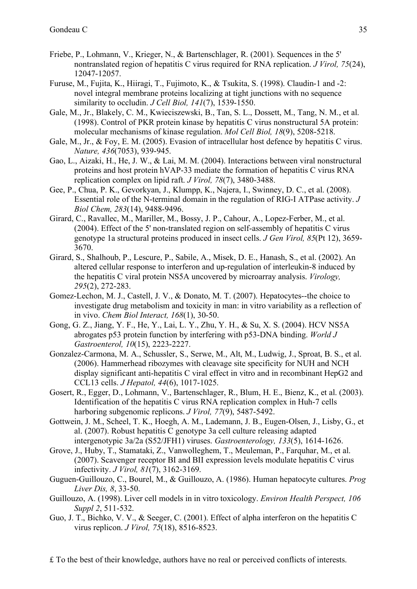- Friebe, P., Lohmann, V., Krieger, N., & Bartenschlager, R. (2001). Sequences in the 5' nontranslated region of hepatitis C virus required for RNA replication. *J Virol, 75*(24), 12047-12057.
- Furuse, M., Fujita, K., Hiiragi, T., Fujimoto, K., & Tsukita, S. (1998). Claudin-1 and -2: novel integral membrane proteins localizing at tight junctions with no sequence similarity to occludin. *J Cell Biol, 141*(7), 1539-1550.
- Gale, M., Jr., Blakely, C. M., Kwieciszewski, B., Tan, S. L., Dossett, M., Tang, N. M., et al. (1998). Control of PKR protein kinase by hepatitis C virus nonstructural 5A protein: molecular mechanisms of kinase regulation. *Mol Cell Biol, 18*(9), 5208-5218.
- Gale, M., Jr., & Foy, E. M. (2005). Evasion of intracellular host defence by hepatitis C virus. *Nature, 436*(7053), 939-945.
- Gao, L., Aizaki, H., He, J. W., & Lai, M. M. (2004). Interactions between viral nonstructural proteins and host protein hVAP-33 mediate the formation of hepatitis C virus RNA replication complex on lipid raft. *J Virol, 78*(7), 3480-3488.
- Gee, P., Chua, P. K., Gevorkyan, J., Klumpp, K., Najera, I., Swinney, D. C., et al. (2008). Essential role of the N-terminal domain in the regulation of RIG-I ATPase activity. *J Biol Chem, 283*(14), 9488-9496.
- Girard, C., Ravallec, M., Mariller, M., Bossy, J. P., Cahour, A., Lopez-Ferber, M., et al. (2004). Effect of the 5' non-translated region on self-assembly of hepatitis C virus genotype 1a structural proteins produced in insect cells. *J Gen Virol, 85*(Pt 12), 3659- 3670.
- Girard, S., Shalhoub, P., Lescure, P., Sabile, A., Misek, D. E., Hanash, S., et al. (2002). An altered cellular response to interferon and up-regulation of interleukin-8 induced by the hepatitis C viral protein NS5A uncovered by microarray analysis. *Virology, 295*(2), 272-283.
- Gomez-Lechon, M. J., Castell, J. V., & Donato, M. T. (2007). Hepatocytes--the choice to investigate drug metabolism and toxicity in man: in vitro variability as a reflection of in vivo. *Chem Biol Interact, 168*(1), 30-50.
- Gong, G. Z., Jiang, Y. F., He, Y., Lai, L. Y., Zhu, Y. H., & Su, X. S. (2004). HCV NS5A abrogates p53 protein function by interfering with p53-DNA binding. *World J Gastroenterol, 10*(15), 2223-2227.
- Gonzalez-Carmona, M. A., Schussler, S., Serwe, M., Alt, M., Ludwig, J., Sproat, B. S., et al. (2006). Hammerhead ribozymes with cleavage site specificity for NUH and NCH display significant anti-hepatitis C viral effect in vitro and in recombinant HepG2 and CCL13 cells. *J Hepatol, 44*(6), 1017-1025.
- Gosert, R., Egger, D., Lohmann, V., Bartenschlager, R., Blum, H. E., Bienz, K., et al. (2003). Identification of the hepatitis C virus RNA replication complex in Huh-7 cells harboring subgenomic replicons. *J Virol, 77*(9), 5487-5492.
- Gottwein, J. M., Scheel, T. K., Hoegh, A. M., Lademann, J. B., Eugen-Olsen, J., Lisby, G., et al. (2007). Robust hepatitis C genotype 3a cell culture releasing adapted intergenotypic 3a/2a (S52/JFH1) viruses. *Gastroenterology, 133*(5), 1614-1626.
- Grove, J., Huby, T., Stamataki, Z., Vanwolleghem, T., Meuleman, P., Farquhar, M., et al. (2007). Scavenger receptor BI and BII expression levels modulate hepatitis C virus infectivity. *J Virol, 81*(7), 3162-3169.
- Guguen-Guillouzo, C., Bourel, M., & Guillouzo, A. (1986). Human hepatocyte cultures. *Prog Liver Dis, 8*, 33-50.
- Guillouzo, A. (1998). Liver cell models in in vitro toxicology. *Environ Health Perspect, 106 Suppl 2*, 511-532.
- Guo, J. T., Bichko, V. V., & Seeger, C. (2001). Effect of alpha interferon on the hepatitis C virus replicon. *J Virol, 75*(18), 8516-8523.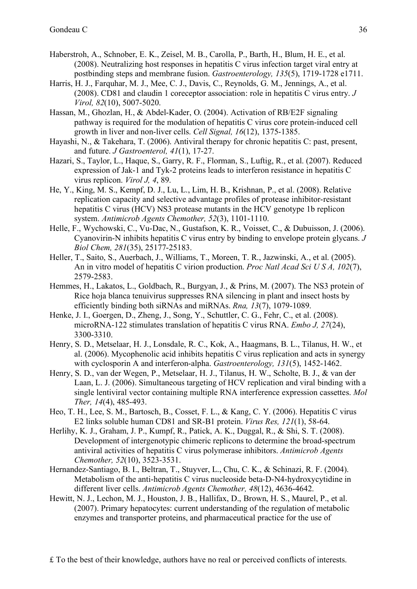- Haberstroh, A., Schnober, E. K., Zeisel, M. B., Carolla, P., Barth, H., Blum, H. E., et al. (2008). Neutralizing host responses in hepatitis C virus infection target viral entry at postbinding steps and membrane fusion. *Gastroenterology, 135*(5), 1719-1728 e1711.
- Harris, H. J., Farquhar, M. J., Mee, C. J., Davis, C., Reynolds, G. M., Jennings, A., et al. (2008). CD81 and claudin 1 coreceptor association: role in hepatitis C virus entry. *J Virol, 82*(10), 5007-5020.
- Hassan, M., Ghozlan, H., & Abdel-Kader, O. (2004). Activation of RB/E2F signaling pathway is required for the modulation of hepatitis C virus core protein-induced cell growth in liver and non-liver cells. *Cell Signal, 16*(12), 1375-1385.
- Hayashi, N., & Takehara, T. (2006). Antiviral therapy for chronic hepatitis C: past, present, and future. *J Gastroenterol, 41*(1), 17-27.
- Hazari, S., Taylor, L., Haque, S., Garry, R. F., Florman, S., Luftig, R., et al. (2007). Reduced expression of Jak-1 and Tyk-2 proteins leads to interferon resistance in hepatitis C virus replicon. *Virol J, 4*, 89.
- He, Y., King, M. S., Kempf, D. J., Lu, L., Lim, H. B., Krishnan, P., et al. (2008). Relative replication capacity and selective advantage profiles of protease inhibitor-resistant hepatitis C virus (HCV) NS3 protease mutants in the HCV genotype 1b replicon system. *Antimicrob Agents Chemother, 52*(3), 1101-1110.
- Helle, F., Wychowski, C., Vu-Dac, N., Gustafson, K. R., Voisset, C., & Dubuisson, J. (2006). Cyanovirin-N inhibits hepatitis C virus entry by binding to envelope protein glycans. *J Biol Chem, 281*(35), 25177-25183.
- Heller, T., Saito, S., Auerbach, J., Williams, T., Moreen, T. R., Jazwinski, A., et al. (2005). An in vitro model of hepatitis C virion production. *Proc Natl Acad Sci U S A, 102*(7), 2579-2583.
- Hemmes, H., Lakatos, L., Goldbach, R., Burgyan, J., & Prins, M. (2007). The NS3 protein of Rice hoja blanca tenuivirus suppresses RNA silencing in plant and insect hosts by efficiently binding both siRNAs and miRNAs. *Rna, 13*(7), 1079-1089.
- Henke, J. I., Goergen, D., Zheng, J., Song, Y., Schuttler, C. G., Fehr, C., et al. (2008). microRNA-122 stimulates translation of hepatitis C virus RNA. *Embo J, 27*(24), 3300-3310.
- Henry, S. D., Metselaar, H. J., Lonsdale, R. C., Kok, A., Haagmans, B. L., Tilanus, H. W., et al. (2006). Mycophenolic acid inhibits hepatitis C virus replication and acts in synergy with cyclosporin A and interferon-alpha. *Gastroenterology, 131*(5), 1452-1462.
- Henry, S. D., van der Wegen, P., Metselaar, H. J., Tilanus, H. W., Scholte, B. J., & van der Laan, L. J. (2006). Simultaneous targeting of HCV replication and viral binding with a single lentiviral vector containing multiple RNA interference expression cassettes. *Mol Ther, 14*(4), 485-493.
- Heo, T. H., Lee, S. M., Bartosch, B., Cosset, F. L., & Kang, C. Y. (2006). Hepatitis C virus E2 links soluble human CD81 and SR-B1 protein. *Virus Res, 121*(1), 58-64.
- Herlihy, K. J., Graham, J. P., Kumpf, R., Patick, A. K., Duggal, R., & Shi, S. T. (2008). Development of intergenotypic chimeric replicons to determine the broad-spectrum antiviral activities of hepatitis C virus polymerase inhibitors. *Antimicrob Agents Chemother, 52*(10), 3523-3531.
- Hernandez-Santiago, B. I., Beltran, T., Stuyver, L., Chu, C. K., & Schinazi, R. F. (2004). Metabolism of the anti-hepatitis C virus nucleoside beta-D-N4-hydroxycytidine in different liver cells. *Antimicrob Agents Chemother, 48*(12), 4636-4642.
- Hewitt, N. J., Lechon, M. J., Houston, J. B., Hallifax, D., Brown, H. S., Maurel, P., et al. (2007). Primary hepatocytes: current understanding of the regulation of metabolic enzymes and transporter proteins, and pharmaceutical practice for the use of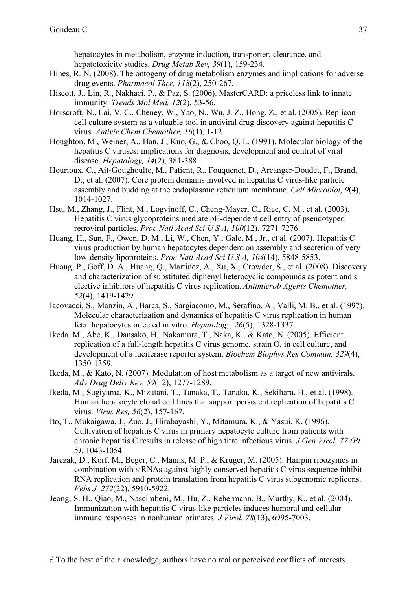hepatocytes in metabolism, enzyme induction, transporter, clearance, and hepatotoxicity studies. *Drug Metab Rev, 39*(1), 159-234.

- Hines, R. N. (2008). The ontogeny of drug metabolism enzymes and implications for adverse drug events. *Pharmacol Ther, 118*(2), 250-267.
- Hiscott, J., Lin, R., Nakhaei, P., & Paz, S. (2006). MasterCARD: a priceless link to innate immunity. *Trends Mol Med, 12*(2), 53-56.
- Horscroft, N., Lai, V. C., Cheney, W., Yao, N., Wu, J. Z., Hong, Z., et al. (2005). Replicon cell culture system as a valuable tool in antiviral drug discovery against hepatitis C virus. *Antivir Chem Chemother, 16*(1), 1-12.
- Houghton, M., Weiner, A., Han, J., Kuo, G., & Choo, Q. L. (1991). Molecular biology of the hepatitis C viruses: implications for diagnosis, development and control of viral disease. *Hepatology, 14*(2), 381-388.
- Hourioux, C., Ait-Goughoulte, M., Patient, R., Fouquenet, D., Arcanger-Doudet, F., Brand, D., et al. (2007). Core protein domains involved in hepatitis C virus-like particle assembly and budding at the endoplasmic reticulum membrane. *Cell Microbiol, 9*(4), 1014-1027.
- Hsu, M., Zhang, J., Flint, M., Logvinoff, C., Cheng-Mayer, C., Rice, C. M., et al. (2003). Hepatitis C virus glycoproteins mediate pH-dependent cell entry of pseudotyped retroviral particles. *Proc Natl Acad Sci U S A, 100*(12), 7271-7276.
- Huang, H., Sun, F., Owen, D. M., Li, W., Chen, Y., Gale, M., Jr., et al. (2007). Hepatitis C virus production by human hepatocytes dependent on assembly and secretion of very low-density lipoproteins. *Proc Natl Acad Sci U S A, 104*(14), 5848-5853.
- Huang, P., Goff, D. A., Huang, Q., Martinez, A., Xu, X., Crowder, S., et al. (2008). Discovery and characterization of substituted diphenyl heterocyclic compounds as potent and s elective inhibitors of hepatitis C virus replication. *Antimicrob Agents Chemother, 52*(4), 1419-1429.
- Iacovacci, S., Manzin, A., Barca, S., Sargiacomo, M., Serafino, A., Valli, M. B., et al. (1997). Molecular characterization and dynamics of hepatitis C virus replication in human fetal hepatocytes infected in vitro. *Hepatology, 26*(5), 1328-1337.
- Ikeda, M., Abe, K., Dansako, H., Nakamura, T., Naka, K., & Kato, N. (2005). Efficient replication of a full-length hepatitis C virus genome, strain O, in cell culture, and development of a luciferase reporter system. *Biochem Biophys Res Commun, 329*(4), 1350-1359.
- Ikeda, M., & Kato, N. (2007). Modulation of host metabolism as a target of new antivirals. *Adv Drug Deliv Rev, 59*(12), 1277-1289.
- Ikeda, M., Sugiyama, K., Mizutani, T., Tanaka, T., Tanaka, K., Sekihara, H., et al. (1998). Human hepatocyte clonal cell lines that support persistent replication of hepatitis C virus. *Virus Res, 56*(2), 157-167.
- Ito, T., Mukaigawa, J., Zuo, J., Hirabayashi, Y., Mitamura, K., & Yasui, K. (1996). Cultivation of hepatitis C virus in primary hepatocyte culture from patients with chronic hepatitis C results in release of high titre infectious virus. *J Gen Virol, 77 (Pt 5)*, 1043-1054.
- Jarczak, D., Korf, M., Beger, C., Manns, M. P., & Kruger, M. (2005). Hairpin ribozymes in combination with siRNAs against highly conserved hepatitis C virus sequence inhibit RNA replication and protein translation from hepatitis C virus subgenomic replicons. *Febs J, 272*(22), 5910-5922.
- Jeong, S. H., Qiao, M., Nascimbeni, M., Hu, Z., Rehermann, B., Murthy, K., et al. (2004). Immunization with hepatitis C virus-like particles induces humoral and cellular immune responses in nonhuman primates. *J Virol, 78*(13), 6995-7003.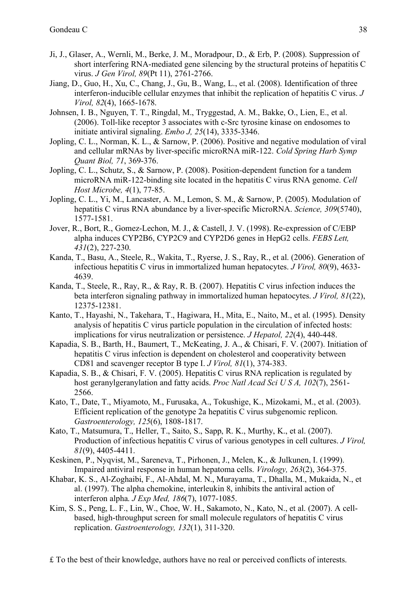- Ji, J., Glaser, A., Wernli, M., Berke, J. M., Moradpour, D., & Erb, P. (2008). Suppression of short interfering RNA-mediated gene silencing by the structural proteins of hepatitis C virus. *J Gen Virol, 89*(Pt 11), 2761-2766.
- Jiang, D., Guo, H., Xu, C., Chang, J., Gu, B., Wang, L., et al. (2008). Identification of three interferon-inducible cellular enzymes that inhibit the replication of hepatitis C virus. *J Virol, 82*(4), 1665-1678.
- Johnsen, I. B., Nguyen, T. T., Ringdal, M., Tryggestad, A. M., Bakke, O., Lien, E., et al. (2006). Toll-like receptor 3 associates with c-Src tyrosine kinase on endosomes to initiate antiviral signaling. *Embo J, 25*(14), 3335-3346.
- Jopling, C. L., Norman, K. L., & Sarnow, P. (2006). Positive and negative modulation of viral and cellular mRNAs by liver-specific microRNA miR-122. *Cold Spring Harb Symp Quant Biol, 71*, 369-376.
- Jopling, C. L., Schutz, S., & Sarnow, P. (2008). Position-dependent function for a tandem microRNA miR-122-binding site located in the hepatitis C virus RNA genome. *Cell Host Microbe, 4*(1), 77-85.
- Jopling, C. L., Yi, M., Lancaster, A. M., Lemon, S. M., & Sarnow, P. (2005). Modulation of hepatitis C virus RNA abundance by a liver-specific MicroRNA. *Science, 309*(5740), 1577-1581.
- Jover, R., Bort, R., Gomez-Lechon, M. J., & Castell, J. V. (1998). Re-expression of C/EBP alpha induces CYP2B6, CYP2C9 and CYP2D6 genes in HepG2 cells. *FEBS Lett, 431*(2), 227-230.
- Kanda, T., Basu, A., Steele, R., Wakita, T., Ryerse, J. S., Ray, R., et al. (2006). Generation of infectious hepatitis C virus in immortalized human hepatocytes. *J Virol, 80*(9), 4633- 4639.
- Kanda, T., Steele, R., Ray, R., & Ray, R. B. (2007). Hepatitis C virus infection induces the beta interferon signaling pathway in immortalized human hepatocytes. *J Virol, 81*(22), 12375-12381.
- Kanto, T., Hayashi, N., Takehara, T., Hagiwara, H., Mita, E., Naito, M., et al. (1995). Density analysis of hepatitis C virus particle population in the circulation of infected hosts: implications for virus neutralization or persistence. *J Hepatol, 22*(4), 440-448.
- Kapadia, S. B., Barth, H., Baumert, T., McKeating, J. A., & Chisari, F. V. (2007). Initiation of hepatitis C virus infection is dependent on cholesterol and cooperativity between CD81 and scavenger receptor B type I. *J Virol, 81*(1), 374-383.
- Kapadia, S. B., & Chisari, F. V. (2005). Hepatitis C virus RNA replication is regulated by host geranylgeranylation and fatty acids. *Proc Natl Acad Sci U S A, 102*(7), 2561- 2566.
- Kato, T., Date, T., Miyamoto, M., Furusaka, A., Tokushige, K., Mizokami, M., et al. (2003). Efficient replication of the genotype 2a hepatitis C virus subgenomic replicon. *Gastroenterology, 125*(6), 1808-1817.
- Kato, T., Matsumura, T., Heller, T., Saito, S., Sapp, R. K., Murthy, K., et al. (2007). Production of infectious hepatitis C virus of various genotypes in cell cultures. *J Virol, 81*(9), 4405-4411.
- Keskinen, P., Nyqvist, M., Sareneva, T., Pirhonen, J., Melen, K., & Julkunen, I. (1999). Impaired antiviral response in human hepatoma cells. *Virology, 263*(2), 364-375.
- Khabar, K. S., Al-Zoghaibi, F., Al-Ahdal, M. N., Murayama, T., Dhalla, M., Mukaida, N., et al. (1997). The alpha chemokine, interleukin 8, inhibits the antiviral action of interferon alpha. *J Exp Med, 186*(7), 1077-1085.
- Kim, S. S., Peng, L. F., Lin, W., Choe, W. H., Sakamoto, N., Kato, N., et al. (2007). A cellbased, high-throughput screen for small molecule regulators of hepatitis C virus replication. *Gastroenterology, 132*(1), 311-320.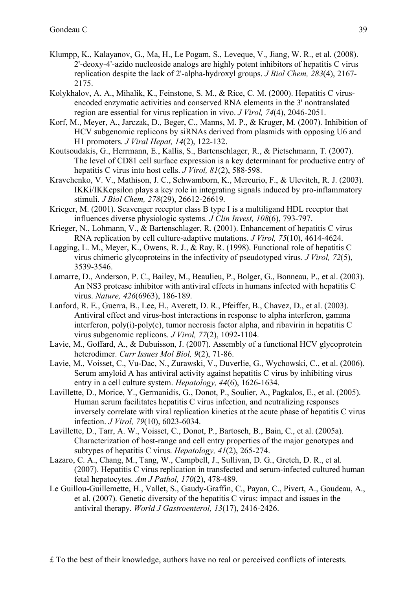- Klumpp, K., Kalayanov, G., Ma, H., Le Pogam, S., Leveque, V., Jiang, W. R., et al. (2008). 2'-deoxy-4'-azido nucleoside analogs are highly potent inhibitors of hepatitis C virus replication despite the lack of 2'-alpha-hydroxyl groups. *J Biol Chem, 283*(4), 2167- 2175.
- Kolykhalov, A. A., Mihalik, K., Feinstone, S. M., & Rice, C. M. (2000). Hepatitis C virusencoded enzymatic activities and conserved RNA elements in the 3' nontranslated region are essential for virus replication in vivo. *J Virol, 74*(4), 2046-2051.
- Korf, M., Meyer, A., Jarczak, D., Beger, C., Manns, M. P., & Kruger, M. (2007). Inhibition of HCV subgenomic replicons by siRNAs derived from plasmids with opposing U6 and H1 promoters. *J Viral Hepat, 14*(2), 122-132.
- Koutsoudakis, G., Herrmann, E., Kallis, S., Bartenschlager, R., & Pietschmann, T. (2007). The level of CD81 cell surface expression is a key determinant for productive entry of hepatitis C virus into host cells. *J Virol, 81*(2), 588-598.
- Kravchenko, V. V., Mathison, J. C., Schwamborn, K., Mercurio, F., & Ulevitch, R. J. (2003). IKKi/IKKepsilon plays a key role in integrating signals induced by pro-inflammatory stimuli. *J Biol Chem, 278*(29), 26612-26619.
- Krieger, M. (2001). Scavenger receptor class B type I is a multiligand HDL receptor that influences diverse physiologic systems. *J Clin Invest, 108*(6), 793-797.
- Krieger, N., Lohmann, V., & Bartenschlager, R. (2001). Enhancement of hepatitis C virus RNA replication by cell culture-adaptive mutations. *J Virol, 75*(10), 4614-4624.
- Lagging, L. M., Meyer, K., Owens, R. J., & Ray, R. (1998). Functional role of hepatitis C virus chimeric glycoproteins in the infectivity of pseudotyped virus. *J Virol, 72*(5), 3539-3546.
- Lamarre, D., Anderson, P. C., Bailey, M., Beaulieu, P., Bolger, G., Bonneau, P., et al. (2003). An NS3 protease inhibitor with antiviral effects in humans infected with hepatitis C virus. *Nature, 426*(6963), 186-189.
- Lanford, R. E., Guerra, B., Lee, H., Averett, D. R., Pfeiffer, B., Chavez, D., et al. (2003). Antiviral effect and virus-host interactions in response to alpha interferon, gamma interferon, poly(i)-poly(c), tumor necrosis factor alpha, and ribavirin in hepatitis C virus subgenomic replicons. *J Virol, 77*(2), 1092-1104.
- Lavie, M., Goffard, A., & Dubuisson, J. (2007). Assembly of a functional HCV glycoprotein heterodimer. *Curr Issues Mol Biol, 9*(2), 71-86.
- Lavie, M., Voisset, C., Vu-Dac, N., Zurawski, V., Duverlie, G., Wychowski, C., et al. (2006). Serum amyloid A has antiviral activity against hepatitis C virus by inhibiting virus entry in a cell culture system. *Hepatology, 44*(6), 1626-1634.
- Lavillette, D., Morice, Y., Germanidis, G., Donot, P., Soulier, A., Pagkalos, E., et al. (2005). Human serum facilitates hepatitis C virus infection, and neutralizing responses inversely correlate with viral replication kinetics at the acute phase of hepatitis C virus infection. *J Virol, 79*(10), 6023-6034.
- Lavillette, D., Tarr, A. W., Voisset, C., Donot, P., Bartosch, B., Bain, C., et al. (2005a). Characterization of host-range and cell entry properties of the major genotypes and subtypes of hepatitis C virus. *Hepatology, 41*(2), 265-274.
- Lazaro, C. A., Chang, M., Tang, W., Campbell, J., Sullivan, D. G., Gretch, D. R., et al. (2007). Hepatitis C virus replication in transfected and serum-infected cultured human fetal hepatocytes. *Am J Pathol, 170*(2), 478-489.
- Le Guillou-Guillemette, H., Vallet, S., Gaudy-Graffin, C., Payan, C., Pivert, A., Goudeau, A., et al. (2007). Genetic diversity of the hepatitis C virus: impact and issues in the antiviral therapy. *World J Gastroenterol, 13*(17), 2416-2426.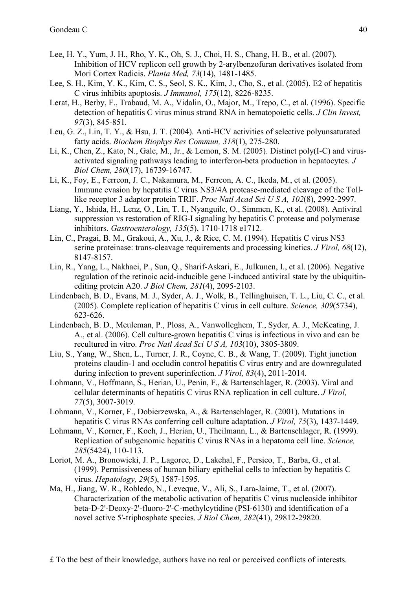- Lee, H. Y., Yum, J. H., Rho, Y. K., Oh, S. J., Choi, H. S., Chang, H. B., et al. (2007). Inhibition of HCV replicon cell growth by 2-arylbenzofuran derivatives isolated from Mori Cortex Radicis. *Planta Med, 73*(14), 1481-1485.
- Lee, S. H., Kim, Y. K., Kim, C. S., Seol, S. K., Kim, J., Cho, S., et al. (2005). E2 of hepatitis C virus inhibits apoptosis. *J Immunol, 175*(12), 8226-8235.
- Lerat, H., Berby, F., Trabaud, M. A., Vidalin, O., Major, M., Trepo, C., et al. (1996). Specific detection of hepatitis C virus minus strand RNA in hematopoietic cells. *J Clin Invest, 97*(3), 845-851.
- Leu, G. Z., Lin, T. Y., & Hsu, J. T. (2004). Anti-HCV activities of selective polyunsaturated fatty acids. *Biochem Biophys Res Commun, 318*(1), 275-280.
- Li, K., Chen, Z., Kato, N., Gale, M., Jr., & Lemon, S. M. (2005). Distinct poly(I-C) and virusactivated signaling pathways leading to interferon-beta production in hepatocytes. *J Biol Chem, 280*(17), 16739-16747.
- Li, K., Foy, E., Ferreon, J. C., Nakamura, M., Ferreon, A. C., Ikeda, M., et al. (2005). Immune evasion by hepatitis C virus NS3/4A protease-mediated cleavage of the Tolllike receptor 3 adaptor protein TRIF. *Proc Natl Acad Sci U S A, 102*(8), 2992-2997.
- Liang, Y., Ishida, H., Lenz, O., Lin, T. I., Nyanguile, O., Simmen, K., et al. (2008). Antiviral suppression vs restoration of RIG-I signaling by hepatitis C protease and polymerase inhibitors. *Gastroenterology, 135*(5), 1710-1718 e1712.
- Lin, C., Pragai, B. M., Grakoui, A., Xu, J., & Rice, C. M. (1994). Hepatitis C virus NS3 serine proteinase: trans-cleavage requirements and processing kinetics. *J Virol, 68*(12), 8147-8157.
- Lin, R., Yang, L., Nakhaei, P., Sun, Q., Sharif-Askari, E., Julkunen, I., et al. (2006). Negative regulation of the retinoic acid-inducible gene I-induced antiviral state by the ubiquitinediting protein A20. *J Biol Chem, 281*(4), 2095-2103.
- Lindenbach, B. D., Evans, M. J., Syder, A. J., Wolk, B., Tellinghuisen, T. L., Liu, C. C., et al. (2005). Complete replication of hepatitis C virus in cell culture. *Science, 309*(5734), 623-626.
- Lindenbach, B. D., Meuleman, P., Ploss, A., Vanwolleghem, T., Syder, A. J., McKeating, J. A., et al. (2006). Cell culture-grown hepatitis C virus is infectious in vivo and can be recultured in vitro. *Proc Natl Acad Sci U S A, 103*(10), 3805-3809.
- Liu, S., Yang, W., Shen, L., Turner, J. R., Coyne, C. B., & Wang, T. (2009). Tight junction proteins claudin-1 and occludin control hepatitis C virus entry and are downregulated during infection to prevent superinfection. *J Virol, 83*(4), 2011-2014.
- Lohmann, V., Hoffmann, S., Herian, U., Penin, F., & Bartenschlager, R. (2003). Viral and cellular determinants of hepatitis C virus RNA replication in cell culture. *J Virol, 77*(5), 3007-3019.
- Lohmann, V., Korner, F., Dobierzewska, A., & Bartenschlager, R. (2001). Mutations in hepatitis C virus RNAs conferring cell culture adaptation. *J Virol, 75*(3), 1437-1449.
- Lohmann, V., Korner, F., Koch, J., Herian, U., Theilmann, L., & Bartenschlager, R. (1999). Replication of subgenomic hepatitis C virus RNAs in a hepatoma cell line. *Science, 285*(5424), 110-113.
- Loriot, M. A., Bronowicki, J. P., Lagorce, D., Lakehal, F., Persico, T., Barba, G., et al. (1999). Permissiveness of human biliary epithelial cells to infection by hepatitis C virus. *Hepatology, 29*(5), 1587-1595.
- Ma, H., Jiang, W. R., Robledo, N., Leveque, V., Ali, S., Lara-Jaime, T., et al. (2007). Characterization of the metabolic activation of hepatitis C virus nucleoside inhibitor beta-D-2'-Deoxy-2'-fluoro-2'-C-methylcytidine (PSI-6130) and identification of a novel active 5'-triphosphate species. *J Biol Chem, 282*(41), 29812-29820.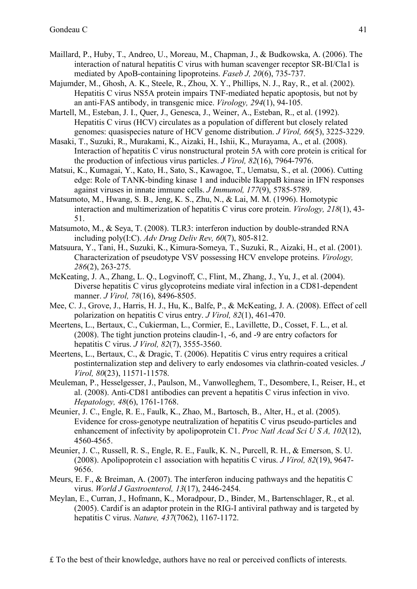- Maillard, P., Huby, T., Andreo, U., Moreau, M., Chapman, J., & Budkowska, A. (2006). The interaction of natural hepatitis C virus with human scavenger receptor SR-BI/Cla1 is mediated by ApoB-containing lipoproteins. *Faseb J, 20*(6), 735-737.
- Majumder, M., Ghosh, A. K., Steele, R., Zhou, X. Y., Phillips, N. J., Ray, R., et al. (2002). Hepatitis C virus NS5A protein impairs TNF-mediated hepatic apoptosis, but not by an anti-FAS antibody, in transgenic mice. *Virology, 294*(1), 94-105.
- Martell, M., Esteban, J. I., Quer, J., Genesca, J., Weiner, A., Esteban, R., et al. (1992). Hepatitis C virus (HCV) circulates as a population of different but closely related genomes: quasispecies nature of HCV genome distribution. *J Virol, 66*(5), 3225-3229.
- Masaki, T., Suzuki, R., Murakami, K., Aizaki, H., Ishii, K., Murayama, A., et al. (2008). Interaction of hepatitis C virus nonstructural protein 5A with core protein is critical for the production of infectious virus particles. *J Virol, 82*(16), 7964-7976.
- Matsui, K., Kumagai, Y., Kato, H., Sato, S., Kawagoe, T., Uematsu, S., et al. (2006). Cutting edge: Role of TANK-binding kinase 1 and inducible IkappaB kinase in IFN responses against viruses in innate immune cells. *J Immunol, 177*(9), 5785-5789.
- Matsumoto, M., Hwang, S. B., Jeng, K. S., Zhu, N., & Lai, M. M. (1996). Homotypic interaction and multimerization of hepatitis C virus core protein. *Virology, 218*(1), 43- 51.
- Matsumoto, M., & Seya, T. (2008). TLR3: interferon induction by double-stranded RNA including poly(I:C). *Adv Drug Deliv Rev, 60*(7), 805-812.
- Matsuura, Y., Tani, H., Suzuki, K., Kimura-Someya, T., Suzuki, R., Aizaki, H., et al. (2001). Characterization of pseudotype VSV possessing HCV envelope proteins. *Virology, 286*(2), 263-275.
- McKeating, J. A., Zhang, L. Q., Logvinoff, C., Flint, M., Zhang, J., Yu, J., et al. (2004). Diverse hepatitis C virus glycoproteins mediate viral infection in a CD81-dependent manner. *J Virol, 78*(16), 8496-8505.
- Mee, C. J., Grove, J., Harris, H. J., Hu, K., Balfe, P., & McKeating, J. A. (2008). Effect of cell polarization on hepatitis C virus entry. *J Virol, 82*(1), 461-470.
- Meertens, L., Bertaux, C., Cukierman, L., Cormier, E., Lavillette, D., Cosset, F. L., et al. (2008). The tight junction proteins claudin-1, -6, and -9 are entry cofactors for hepatitis C virus. *J Virol, 82*(7), 3555-3560.
- Meertens, L., Bertaux, C., & Dragic, T. (2006). Hepatitis C virus entry requires a critical postinternalization step and delivery to early endosomes via clathrin-coated vesicles. *J Virol, 80*(23), 11571-11578.
- Meuleman, P., Hesselgesser, J., Paulson, M., Vanwolleghem, T., Desombere, I., Reiser, H., et al. (2008). Anti-CD81 antibodies can prevent a hepatitis C virus infection in vivo. *Hepatology, 48*(6), 1761-1768.
- Meunier, J. C., Engle, R. E., Faulk, K., Zhao, M., Bartosch, B., Alter, H., et al. (2005). Evidence for cross-genotype neutralization of hepatitis C virus pseudo-particles and enhancement of infectivity by apolipoprotein C1. *Proc Natl Acad Sci U S A, 102*(12), 4560-4565.
- Meunier, J. C., Russell, R. S., Engle, R. E., Faulk, K. N., Purcell, R. H., & Emerson, S. U. (2008). Apolipoprotein c1 association with hepatitis C virus. *J Virol, 82*(19), 9647- 9656.
- Meurs, E. F., & Breiman, A. (2007). The interferon inducing pathways and the hepatitis C virus. *World J Gastroenterol, 13*(17), 2446-2454.
- Meylan, E., Curran, J., Hofmann, K., Moradpour, D., Binder, M., Bartenschlager, R., et al. (2005). Cardif is an adaptor protein in the RIG-I antiviral pathway and is targeted by hepatitis C virus. *Nature, 437*(7062), 1167-1172.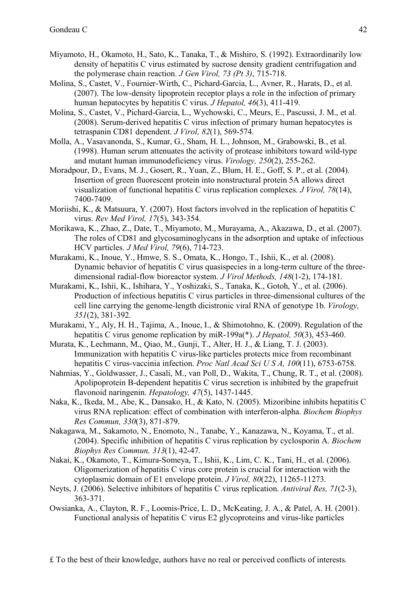- Miyamoto, H., Okamoto, H., Sato, K., Tanaka, T., & Mishiro, S. (1992). Extraordinarily low density of hepatitis C virus estimated by sucrose density gradient centrifugation and the polymerase chain reaction. *J Gen Virol, 73 (Pt 3)*, 715-718.
- Molina, S., Castet, V., Fournier-Wirth, C., Pichard-Garcia, L., Avner, R., Harats, D., et al. (2007). The low-density lipoprotein receptor plays a role in the infection of primary human hepatocytes by hepatitis C virus. *J Hepatol, 46*(3), 411-419.
- Molina, S., Castet, V., Pichard-Garcia, L., Wychowski, C., Meurs, E., Pascussi, J. M., et al. (2008). Serum-derived hepatitis C virus infection of primary human hepatocytes is tetraspanin CD81 dependent. *J Virol, 82*(1), 569-574.
- Molla, A., Vasavanonda, S., Kumar, G., Sham, H. L., Johnson, M., Grabowski, B., et al. (1998). Human serum attenuates the activity of protease inhibitors toward wild-type and mutant human immunodeficiency virus. *Virology, 250*(2), 255-262.
- Moradpour, D., Evans, M. J., Gosert, R., Yuan, Z., Blum, H. E., Goff, S. P., et al. (2004). Insertion of green fluorescent protein into nonstructural protein 5A allows direct visualization of functional hepatitis C virus replication complexes. *J Virol, 78*(14), 7400-7409.
- Moriishi, K., & Matsuura, Y. (2007). Host factors involved in the replication of hepatitis C virus. *Rev Med Virol, 17*(5), 343-354.
- Morikawa, K., Zhao, Z., Date, T., Miyamoto, M., Murayama, A., Akazawa, D., et al. (2007). The roles of CD81 and glycosaminoglycans in the adsorption and uptake of infectious HCV particles. *J Med Virol, 79*(6), 714-723.
- Murakami, K., Inoue, Y., Hmwe, S. S., Omata, K., Hongo, T., Ishii, K., et al. (2008). Dynamic behavior of hepatitis C virus quasispecies in a long-term culture of the threedimensional radial-flow bioreactor system. *J Virol Methods, 148*(1-2), 174-181.
- Murakami, K., Ishii, K., Ishihara, Y., Yoshizaki, S., Tanaka, K., Gotoh, Y., et al. (2006). Production of infectious hepatitis C virus particles in three-dimensional cultures of the cell line carrying the genome-length dicistronic viral RNA of genotype 1b. *Virology, 351*(2), 381-392.
- Murakami, Y., Aly, H. H., Tajima, A., Inoue, I., & Shimotohno, K. (2009). Regulation of the hepatitis C virus genome replication by miR-199a(\*). *J Hepatol, 50*(3), 453-460.
- Murata, K., Lechmann, M., Qiao, M., Gunji, T., Alter, H. J., & Liang, T. J. (2003). Immunization with hepatitis C virus-like particles protects mice from recombinant hepatitis C virus-vaccinia infection. *Proc Natl Acad Sci U S A, 100*(11), 6753-6758.
- Nahmias, Y., Goldwasser, J., Casali, M., van Poll, D., Wakita, T., Chung, R. T., et al. (2008). Apolipoprotein B-dependent hepatitis C virus secretion is inhibited by the grapefruit flavonoid naringenin. *Hepatology, 47*(5), 1437-1445.
- Naka, K., Ikeda, M., Abe, K., Dansako, H., & Kato, N. (2005). Mizoribine inhibits hepatitis C virus RNA replication: effect of combination with interferon-alpha. *Biochem Biophys Res Commun, 330*(3), 871-879.
- Nakagawa, M., Sakamoto, N., Enomoto, N., Tanabe, Y., Kanazawa, N., Koyama, T., et al. (2004). Specific inhibition of hepatitis C virus replication by cyclosporin A. *Biochem Biophys Res Commun, 313*(1), 42-47.
- Nakai, K., Okamoto, T., Kimura-Someya, T., Ishii, K., Lim, C. K., Tani, H., et al. (2006). Oligomerization of hepatitis C virus core protein is crucial for interaction with the cytoplasmic domain of E1 envelope protein. *J Virol, 80*(22), 11265-11273.
- Neyts, J. (2006). Selective inhibitors of hepatitis C virus replication. *Antiviral Res, 71*(2-3), 363-371.
- Owsianka, A., Clayton, R. F., Loomis-Price, L. D., McKeating, J. A., & Patel, A. H. (2001). Functional analysis of hepatitis C virus E2 glycoproteins and virus-like particles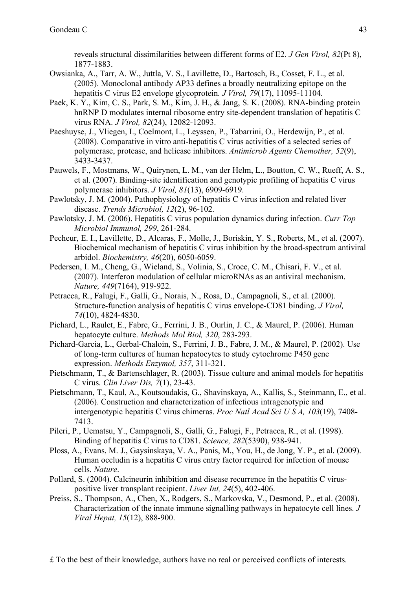reveals structural dissimilarities between different forms of E2. *J Gen Virol, 82*(Pt 8), 1877-1883.

- Owsianka, A., Tarr, A. W., Juttla, V. S., Lavillette, D., Bartosch, B., Cosset, F. L., et al. (2005). Monoclonal antibody AP33 defines a broadly neutralizing epitope on the hepatitis C virus E2 envelope glycoprotein. *J Virol, 79*(17), 11095-11104.
- Paek, K. Y., Kim, C. S., Park, S. M., Kim, J. H., & Jang, S. K. (2008). RNA-binding protein hnRNP D modulates internal ribosome entry site-dependent translation of hepatitis C virus RNA. *J Virol, 82*(24), 12082-12093.
- Paeshuyse, J., Vliegen, I., Coelmont, L., Leyssen, P., Tabarrini, O., Herdewijn, P., et al. (2008). Comparative in vitro anti-hepatitis C virus activities of a selected series of polymerase, protease, and helicase inhibitors. *Antimicrob Agents Chemother, 52*(9), 3433-3437.
- Pauwels, F., Mostmans, W., Quirynen, L. M., van der Helm, L., Boutton, C. W., Rueff, A. S., et al. (2007). Binding-site identification and genotypic profiling of hepatitis C virus polymerase inhibitors. *J Virol, 81*(13), 6909-6919.
- Pawlotsky, J. M. (2004). Pathophysiology of hepatitis C virus infection and related liver disease. *Trends Microbiol, 12*(2), 96-102.
- Pawlotsky, J. M. (2006). Hepatitis C virus population dynamics during infection. *Curr Top Microbiol Immunol, 299*, 261-284.
- Pecheur, E. I., Lavillette, D., Alcaras, F., Molle, J., Boriskin, Y. S., Roberts, M., et al. (2007). Biochemical mechanism of hepatitis C virus inhibition by the broad-spectrum antiviral arbidol. *Biochemistry, 46*(20), 6050-6059.
- Pedersen, I. M., Cheng, G., Wieland, S., Volinia, S., Croce, C. M., Chisari, F. V., et al. (2007). Interferon modulation of cellular microRNAs as an antiviral mechanism. *Nature, 449*(7164), 919-922.
- Petracca, R., Falugi, F., Galli, G., Norais, N., Rosa, D., Campagnoli, S., et al. (2000). Structure-function analysis of hepatitis C virus envelope-CD81 binding. *J Virol, 74*(10), 4824-4830.
- Pichard, L., Raulet, E., Fabre, G., Ferrini, J. B., Ourlin, J. C., & Maurel, P. (2006). Human hepatocyte culture. *Methods Mol Biol, 320*, 283-293.
- Pichard-Garcia, L., Gerbal-Chaloin, S., Ferrini, J. B., Fabre, J. M., & Maurel, P. (2002). Use of long-term cultures of human hepatocytes to study cytochrome P450 gene expression. *Methods Enzymol, 357*, 311-321.
- Pietschmann, T., & Bartenschlager, R. (2003). Tissue culture and animal models for hepatitis C virus. *Clin Liver Dis, 7*(1), 23-43.
- Pietschmann, T., Kaul, A., Koutsoudakis, G., Shavinskaya, A., Kallis, S., Steinmann, E., et al. (2006). Construction and characterization of infectious intragenotypic and intergenotypic hepatitis C virus chimeras. *Proc Natl Acad Sci U S A, 103*(19), 7408- 7413.
- Pileri, P., Uematsu, Y., Campagnoli, S., Galli, G., Falugi, F., Petracca, R., et al. (1998). Binding of hepatitis C virus to CD81. *Science, 282*(5390), 938-941.
- Ploss, A., Evans, M. J., Gaysinskaya, V. A., Panis, M., You, H., de Jong, Y. P., et al. (2009). Human occludin is a hepatitis C virus entry factor required for infection of mouse cells. *Nature*.
- Pollard, S. (2004). Calcineurin inhibition and disease recurrence in the hepatitis C viruspositive liver transplant recipient. *Liver Int, 24*(5), 402-406.
- Preiss, S., Thompson, A., Chen, X., Rodgers, S., Markovska, V., Desmond, P., et al. (2008). Characterization of the innate immune signalling pathways in hepatocyte cell lines. *J Viral Hepat, 15*(12), 888-900.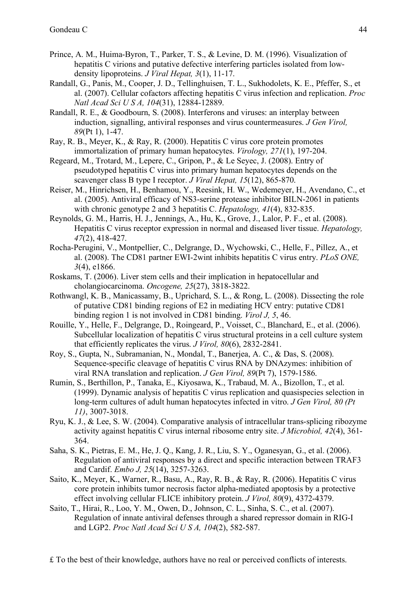- Prince, A. M., Huima-Byron, T., Parker, T. S., & Levine, D. M. (1996). Visualization of hepatitis C virions and putative defective interfering particles isolated from lowdensity lipoproteins. *J Viral Hepat, 3*(1), 11-17.
- Randall, G., Panis, M., Cooper, J. D., Tellinghuisen, T. L., Sukhodolets, K. E., Pfeffer, S., et al. (2007). Cellular cofactors affecting hepatitis C virus infection and replication. *Proc Natl Acad Sci U S A, 104*(31), 12884-12889.
- Randall, R. E., & Goodbourn, S. (2008). Interferons and viruses: an interplay between induction, signalling, antiviral responses and virus countermeasures. *J Gen Virol, 89*(Pt 1), 1-47.
- Ray, R. B., Meyer, K., & Ray, R. (2000). Hepatitis C virus core protein promotes immortalization of primary human hepatocytes. *Virology, 271*(1), 197-204.
- Regeard, M., Trotard, M., Lepere, C., Gripon, P., & Le Seyec, J. (2008). Entry of pseudotyped hepatitis C virus into primary human hepatocytes depends on the scavenger class B type I receptor. *J Viral Hepat, 15*(12), 865-870.
- Reiser, M., Hinrichsen, H., Benhamou, Y., Reesink, H. W., Wedemeyer, H., Avendano, C., et al. (2005). Antiviral efficacy of NS3-serine protease inhibitor BILN-2061 in patients with chronic genotype 2 and 3 hepatitis C. *Hepatology, 41*(4), 832-835.
- Reynolds, G. M., Harris, H. J., Jennings, A., Hu, K., Grove, J., Lalor, P. F., et al. (2008). Hepatitis C virus receptor expression in normal and diseased liver tissue. *Hepatology, 47*(2), 418-427.
- Rocha-Perugini, V., Montpellier, C., Delgrange, D., Wychowski, C., Helle, F., Pillez, A., et al. (2008). The CD81 partner EWI-2wint inhibits hepatitis C virus entry. *PLoS ONE, 3*(4), e1866.
- Roskams, T. (2006). Liver stem cells and their implication in hepatocellular and cholangiocarcinoma. *Oncogene, 25*(27), 3818-3822.
- Rothwangl, K. B., Manicassamy, B., Uprichard, S. L., & Rong, L. (2008). Dissecting the role of putative CD81 binding regions of E2 in mediating HCV entry: putative CD81 binding region 1 is not involved in CD81 binding. *Virol J, 5*, 46.
- Rouille, Y., Helle, F., Delgrange, D., Roingeard, P., Voisset, C., Blanchard, E., et al. (2006). Subcellular localization of hepatitis C virus structural proteins in a cell culture system that efficiently replicates the virus. *J Virol, 80*(6), 2832-2841.
- Roy, S., Gupta, N., Subramanian, N., Mondal, T., Banerjea, A. C., & Das, S. (2008). Sequence-specific cleavage of hepatitis C virus RNA by DNAzymes: inhibition of viral RNA translation and replication. *J Gen Virol, 89*(Pt 7), 1579-1586.
- Rumin, S., Berthillon, P., Tanaka, E., Kiyosawa, K., Trabaud, M. A., Bizollon, T., et al. (1999). Dynamic analysis of hepatitis C virus replication and quasispecies selection in long-term cultures of adult human hepatocytes infected in vitro. *J Gen Virol, 80 (Pt 11)*, 3007-3018.
- Ryu, K. J., & Lee, S. W. (2004). Comparative analysis of intracellular trans-splicing ribozyme activity against hepatitis C virus internal ribosome entry site. *J Microbiol, 42*(4), 361- 364.
- Saha, S. K., Pietras, E. M., He, J. Q., Kang, J. R., Liu, S. Y., Oganesyan, G., et al. (2006). Regulation of antiviral responses by a direct and specific interaction between TRAF3 and Cardif. *Embo J, 25*(14), 3257-3263.
- Saito, K., Meyer, K., Warner, R., Basu, A., Ray, R. B., & Ray, R. (2006). Hepatitis C virus core protein inhibits tumor necrosis factor alpha-mediated apoptosis by a protective effect involving cellular FLICE inhibitory protein. *J Virol, 80*(9), 4372-4379.
- Saito, T., Hirai, R., Loo, Y. M., Owen, D., Johnson, C. L., Sinha, S. C., et al. (2007). Regulation of innate antiviral defenses through a shared repressor domain in RIG-I and LGP2. *Proc Natl Acad Sci U S A, 104*(2), 582-587.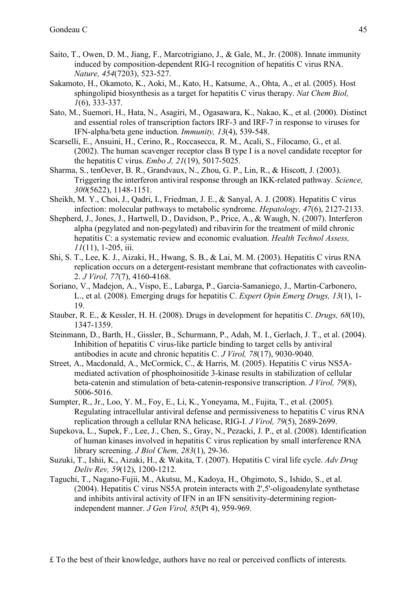- Saito, T., Owen, D. M., Jiang, F., Marcotrigiano, J., & Gale, M., Jr. (2008). Innate immunity induced by composition-dependent RIG-I recognition of hepatitis C virus RNA. *Nature, 454*(7203), 523-527.
- Sakamoto, H., Okamoto, K., Aoki, M., Kato, H., Katsume, A., Ohta, A., et al. (2005). Host sphingolipid biosynthesis as a target for hepatitis C virus therapy. *Nat Chem Biol, 1*(6), 333-337.
- Sato, M., Suemori, H., Hata, N., Asagiri, M., Ogasawara, K., Nakao, K., et al. (2000). Distinct and essential roles of transcription factors IRF-3 and IRF-7 in response to viruses for IFN-alpha/beta gene induction. *Immunity, 13*(4), 539-548.
- Scarselli, E., Ansuini, H., Cerino, R., Roccasecca, R. M., Acali, S., Filocamo, G., et al. (2002). The human scavenger receptor class B type I is a novel candidate receptor for the hepatitis C virus. *Embo J, 21*(19), 5017-5025.
- Sharma, S., tenOever, B. R., Grandvaux, N., Zhou, G. P., Lin, R., & Hiscott, J. (2003). Triggering the interferon antiviral response through an IKK-related pathway. *Science, 300*(5622), 1148-1151.
- Sheikh, M. Y., Choi, J., Qadri, I., Friedman, J. E., & Sanyal, A. J. (2008). Hepatitis C virus infection: molecular pathways to metabolic syndrome. *Hepatology, 47*(6), 2127-2133.
- Shepherd, J., Jones, J., Hartwell, D., Davidson, P., Price, A., & Waugh, N. (2007). Interferon alpha (pegylated and non-pegylated) and ribavirin for the treatment of mild chronic hepatitis C: a systematic review and economic evaluation. *Health Technol Assess, 11*(11), 1-205, iii.
- Shi, S. T., Lee, K. J., Aizaki, H., Hwang, S. B., & Lai, M. M. (2003). Hepatitis C virus RNA replication occurs on a detergent-resistant membrane that cofractionates with caveolin-2. *J Virol, 77*(7), 4160-4168.
- Soriano, V., Madejon, A., Vispo, E., Labarga, P., Garcia-Samaniego, J., Martin-Carbonero, L., et al. (2008). Emerging drugs for hepatitis C. *Expert Opin Emerg Drugs, 13*(1), 1- 19.
- Stauber, R. E., & Kessler, H. H. (2008). Drugs in development for hepatitis C. *Drugs, 68*(10), 1347-1359.
- Steinmann, D., Barth, H., Gissler, B., Schurmann, P., Adah, M. I., Gerlach, J. T., et al. (2004). Inhibition of hepatitis C virus-like particle binding to target cells by antiviral antibodies in acute and chronic hepatitis C. *J Virol, 78*(17), 9030-9040.
- Street, A., Macdonald, A., McCormick, C., & Harris, M. (2005). Hepatitis C virus NS5Amediated activation of phosphoinositide 3-kinase results in stabilization of cellular beta-catenin and stimulation of beta-catenin-responsive transcription. *J Virol, 79*(8), 5006-5016.
- Sumpter, R., Jr., Loo, Y. M., Foy, E., Li, K., Yoneyama, M., Fujita, T., et al. (2005). Regulating intracellular antiviral defense and permissiveness to hepatitis C virus RNA replication through a cellular RNA helicase, RIG-I. *J Virol, 79*(5), 2689-2699.
- Supekova, L., Supek, F., Lee, J., Chen, S., Gray, N., Pezacki, J. P., et al. (2008). Identification of human kinases involved in hepatitis C virus replication by small interference RNA library screening. *J Biol Chem, 283*(1), 29-36.
- Suzuki, T., Ishii, K., Aizaki, H., & Wakita, T. (2007). Hepatitis C viral life cycle. *Adv Drug Deliv Rev, 59*(12), 1200-1212.
- Taguchi, T., Nagano-Fujii, M., Akutsu, M., Kadoya, H., Ohgimoto, S., Ishido, S., et al. (2004). Hepatitis C virus NS5A protein interacts with 2',5'-oligoadenylate synthetase and inhibits antiviral activity of IFN in an IFN sensitivity-determining regionindependent manner. *J Gen Virol, 85*(Pt 4), 959-969.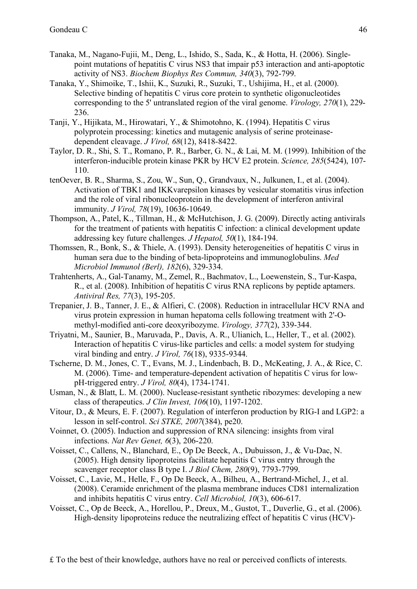- Tanaka, M., Nagano-Fujii, M., Deng, L., Ishido, S., Sada, K., & Hotta, H. (2006). Singlepoint mutations of hepatitis C virus NS3 that impair p53 interaction and anti-apoptotic activity of NS3. *Biochem Biophys Res Commun, 340*(3), 792-799.
- Tanaka, Y., Shimoike, T., Ishii, K., Suzuki, R., Suzuki, T., Ushijima, H., et al. (2000). Selective binding of hepatitis C virus core protein to synthetic oligonucleotides corresponding to the 5' untranslated region of the viral genome. *Virology, 270*(1), 229- 236.
- Tanji, Y., Hijikata, M., Hirowatari, Y., & Shimotohno, K. (1994). Hepatitis C virus polyprotein processing: kinetics and mutagenic analysis of serine proteinasedependent cleavage. *J Virol, 68*(12), 8418-8422.
- Taylor, D. R., Shi, S. T., Romano, P. R., Barber, G. N., & Lai, M. M. (1999). Inhibition of the interferon-inducible protein kinase PKR by HCV E2 protein. *Science, 285*(5424), 107- 110.
- tenOever, B. R., Sharma, S., Zou, W., Sun, Q., Grandvaux, N., Julkunen, I., et al. (2004). Activation of TBK1 and IKKvarepsilon kinases by vesicular stomatitis virus infection and the role of viral ribonucleoprotein in the development of interferon antiviral immunity. *J Virol, 78*(19), 10636-10649.
- Thompson, A., Patel, K., Tillman, H., & McHutchison, J. G. (2009). Directly acting antivirals for the treatment of patients with hepatitis C infection: a clinical development update addressing key future challenges. *J Hepatol, 50*(1), 184-194.
- Thomssen, R., Bonk, S., & Thiele, A. (1993). Density heterogeneities of hepatitis C virus in human sera due to the binding of beta-lipoproteins and immunoglobulins. *Med Microbiol Immunol (Berl), 182*(6), 329-334.
- Trahtenherts, A., Gal-Tanamy, M., Zemel, R., Bachmatov, L., Loewenstein, S., Tur-Kaspa, R., et al. (2008). Inhibition of hepatitis C virus RNA replicons by peptide aptamers. *Antiviral Res, 77*(3), 195-205.
- Trepanier, J. B., Tanner, J. E., & Alfieri, C. (2008). Reduction in intracellular HCV RNA and virus protein expression in human hepatoma cells following treatment with 2'-Omethyl-modified anti-core deoxyribozyme. *Virology, 377*(2), 339-344.
- Triyatni, M., Saunier, B., Maruvada, P., Davis, A. R., Ulianich, L., Heller, T., et al. (2002). Interaction of hepatitis C virus-like particles and cells: a model system for studying viral binding and entry. *J Virol, 76*(18), 9335-9344.
- Tscherne, D. M., Jones, C. T., Evans, M. J., Lindenbach, B. D., McKeating, J. A., & Rice, C. M. (2006). Time- and temperature-dependent activation of hepatitis C virus for lowpH-triggered entry. *J Virol, 80*(4), 1734-1741.
- Usman, N., & Blatt, L. M. (2000). Nuclease-resistant synthetic ribozymes: developing a new class of therapeutics. *J Clin Invest, 106*(10), 1197-1202.
- Vitour, D., & Meurs, E. F. (2007). Regulation of interferon production by RIG-I and LGP2: a lesson in self-control. *Sci STKE, 2007*(384), pe20.
- Voinnet, O. (2005). Induction and suppression of RNA silencing: insights from viral infections. *Nat Rev Genet, 6*(3), 206-220.
- Voisset, C., Callens, N., Blanchard, E., Op De Beeck, A., Dubuisson, J., & Vu-Dac, N. (2005). High density lipoproteins facilitate hepatitis C virus entry through the scavenger receptor class B type I. *J Biol Chem, 280*(9), 7793-7799.
- Voisset, C., Lavie, M., Helle, F., Op De Beeck, A., Bilheu, A., Bertrand-Michel, J., et al. (2008). Ceramide enrichment of the plasma membrane induces CD81 internalization and inhibits hepatitis C virus entry. *Cell Microbiol, 10*(3), 606-617.
- Voisset, C., Op de Beeck, A., Horellou, P., Dreux, M., Gustot, T., Duverlie, G., et al. (2006). High-density lipoproteins reduce the neutralizing effect of hepatitis C virus (HCV)-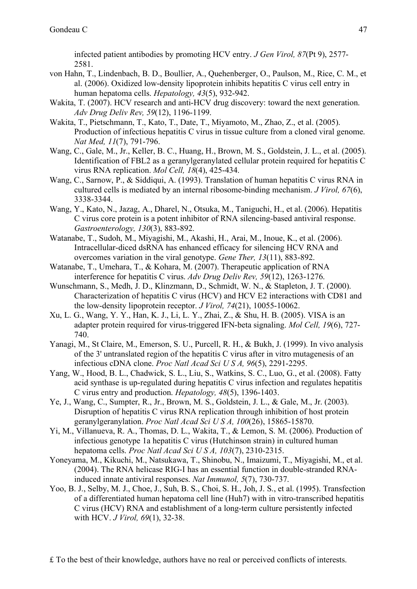infected patient antibodies by promoting HCV entry. *J Gen Virol, 87*(Pt 9), 2577- 2581.

- von Hahn, T., Lindenbach, B. D., Boullier, A., Quehenberger, O., Paulson, M., Rice, C. M., et al. (2006). Oxidized low-density lipoprotein inhibits hepatitis C virus cell entry in human hepatoma cells. *Hepatology, 43*(5), 932-942.
- Wakita, T. (2007). HCV research and anti-HCV drug discovery: toward the next generation. *Adv Drug Deliv Rev, 59*(12), 1196-1199.
- Wakita, T., Pietschmann, T., Kato, T., Date, T., Miyamoto, M., Zhao, Z., et al. (2005). Production of infectious hepatitis C virus in tissue culture from a cloned viral genome. *Nat Med, 11*(7), 791-796.
- Wang, C., Gale, M., Jr., Keller, B. C., Huang, H., Brown, M. S., Goldstein, J. L., et al. (2005). Identification of FBL2 as a geranylgeranylated cellular protein required for hepatitis C virus RNA replication. *Mol Cell, 18*(4), 425-434.
- Wang, C., Sarnow, P., & Siddiqui, A. (1993). Translation of human hepatitis C virus RNA in cultured cells is mediated by an internal ribosome-binding mechanism. *J Virol, 67*(6), 3338-3344.
- Wang, Y., Kato, N., Jazag, A., Dharel, N., Otsuka, M., Taniguchi, H., et al. (2006). Hepatitis C virus core protein is a potent inhibitor of RNA silencing-based antiviral response. *Gastroenterology, 130*(3), 883-892.
- Watanabe, T., Sudoh, M., Miyagishi, M., Akashi, H., Arai, M., Inoue, K., et al. (2006). Intracellular-diced dsRNA has enhanced efficacy for silencing HCV RNA and overcomes variation in the viral genotype. *Gene Ther, 13*(11), 883-892.
- Watanabe, T., Umehara, T., & Kohara, M. (2007). Therapeutic application of RNA interference for hepatitis C virus. *Adv Drug Deliv Rev, 59*(12), 1263-1276.
- Wunschmann, S., Medh, J. D., Klinzmann, D., Schmidt, W. N., & Stapleton, J. T. (2000). Characterization of hepatitis C virus (HCV) and HCV E2 interactions with CD81 and the low-density lipoprotein receptor. *J Virol, 74*(21), 10055-10062.
- Xu, L. G., Wang, Y. Y., Han, K. J., Li, L. Y., Zhai, Z., & Shu, H. B. (2005). VISA is an adapter protein required for virus-triggered IFN-beta signaling. *Mol Cell, 19*(6), 727- 740.
- Yanagi, M., St Claire, M., Emerson, S. U., Purcell, R. H., & Bukh, J. (1999). In vivo analysis of the 3' untranslated region of the hepatitis C virus after in vitro mutagenesis of an infectious cDNA clone. *Proc Natl Acad Sci U S A, 96*(5), 2291-2295.
- Yang, W., Hood, B. L., Chadwick, S. L., Liu, S., Watkins, S. C., Luo, G., et al. (2008). Fatty acid synthase is up-regulated during hepatitis C virus infection and regulates hepatitis C virus entry and production. *Hepatology, 48*(5), 1396-1403.
- Ye, J., Wang, C., Sumpter, R., Jr., Brown, M. S., Goldstein, J. L., & Gale, M., Jr. (2003). Disruption of hepatitis C virus RNA replication through inhibition of host protein geranylgeranylation. *Proc Natl Acad Sci U S A, 100*(26), 15865-15870.
- Yi, M., Villanueva, R. A., Thomas, D. L., Wakita, T., & Lemon, S. M. (2006). Production of infectious genotype 1a hepatitis C virus (Hutchinson strain) in cultured human hepatoma cells. *Proc Natl Acad Sci U S A, 103*(7), 2310-2315.
- Yoneyama, M., Kikuchi, M., Natsukawa, T., Shinobu, N., Imaizumi, T., Miyagishi, M., et al. (2004). The RNA helicase RIG-I has an essential function in double-stranded RNAinduced innate antiviral responses. *Nat Immunol, 5*(7), 730-737.
- Yoo, B. J., Selby, M. J., Choe, J., Suh, B. S., Choi, S. H., Joh, J. S., et al. (1995). Transfection of a differentiated human hepatoma cell line (Huh7) with in vitro-transcribed hepatitis C virus (HCV) RNA and establishment of a long-term culture persistently infected with HCV. *J Virol, 69*(1), 32-38.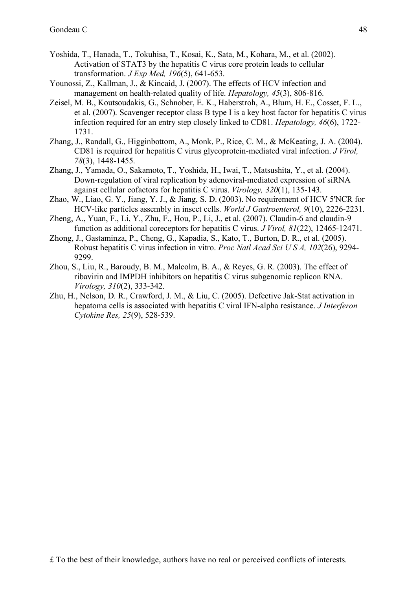- Yoshida, T., Hanada, T., Tokuhisa, T., Kosai, K., Sata, M., Kohara, M., et al. (2002). Activation of STAT3 by the hepatitis C virus core protein leads to cellular transformation. *J Exp Med, 196*(5), 641-653.
- Younossi, Z., Kallman, J., & Kincaid, J. (2007). The effects of HCV infection and management on health-related quality of life. *Hepatology, 45*(3), 806-816.
- Zeisel, M. B., Koutsoudakis, G., Schnober, E. K., Haberstroh, A., Blum, H. E., Cosset, F. L., et al. (2007). Scavenger receptor class B type I is a key host factor for hepatitis C virus infection required for an entry step closely linked to CD81. *Hepatology, 46*(6), 1722- 1731.
- Zhang, J., Randall, G., Higginbottom, A., Monk, P., Rice, C. M., & McKeating, J. A. (2004). CD81 is required for hepatitis C virus glycoprotein-mediated viral infection. *J Virol, 78*(3), 1448-1455.
- Zhang, J., Yamada, O., Sakamoto, T., Yoshida, H., Iwai, T., Matsushita, Y., et al. (2004). Down-regulation of viral replication by adenoviral-mediated expression of siRNA against cellular cofactors for hepatitis C virus. *Virology, 320*(1), 135-143.
- Zhao, W., Liao, G. Y., Jiang, Y. J., & Jiang, S. D. (2003). No requirement of HCV 5'NCR for HCV-like particles assembly in insect cells. *World J Gastroenterol, 9*(10), 2226-2231.
- Zheng, A., Yuan, F., Li, Y., Zhu, F., Hou, P., Li, J., et al. (2007). Claudin-6 and claudin-9 function as additional coreceptors for hepatitis C virus. *J Virol, 81*(22), 12465-12471.
- Zhong, J., Gastaminza, P., Cheng, G., Kapadia, S., Kato, T., Burton, D. R., et al. (2005). Robust hepatitis C virus infection in vitro. *Proc Natl Acad Sci U S A, 102*(26), 9294- 9299.
- Zhou, S., Liu, R., Baroudy, B. M., Malcolm, B. A., & Reyes, G. R. (2003). The effect of ribavirin and IMPDH inhibitors on hepatitis C virus subgenomic replicon RNA. *Virology, 310*(2), 333-342.
- Zhu, H., Nelson, D. R., Crawford, J. M., & Liu, C. (2005). Defective Jak-Stat activation in hepatoma cells is associated with hepatitis C viral IFN-alpha resistance. *J Interferon Cytokine Res, 25*(9), 528-539.